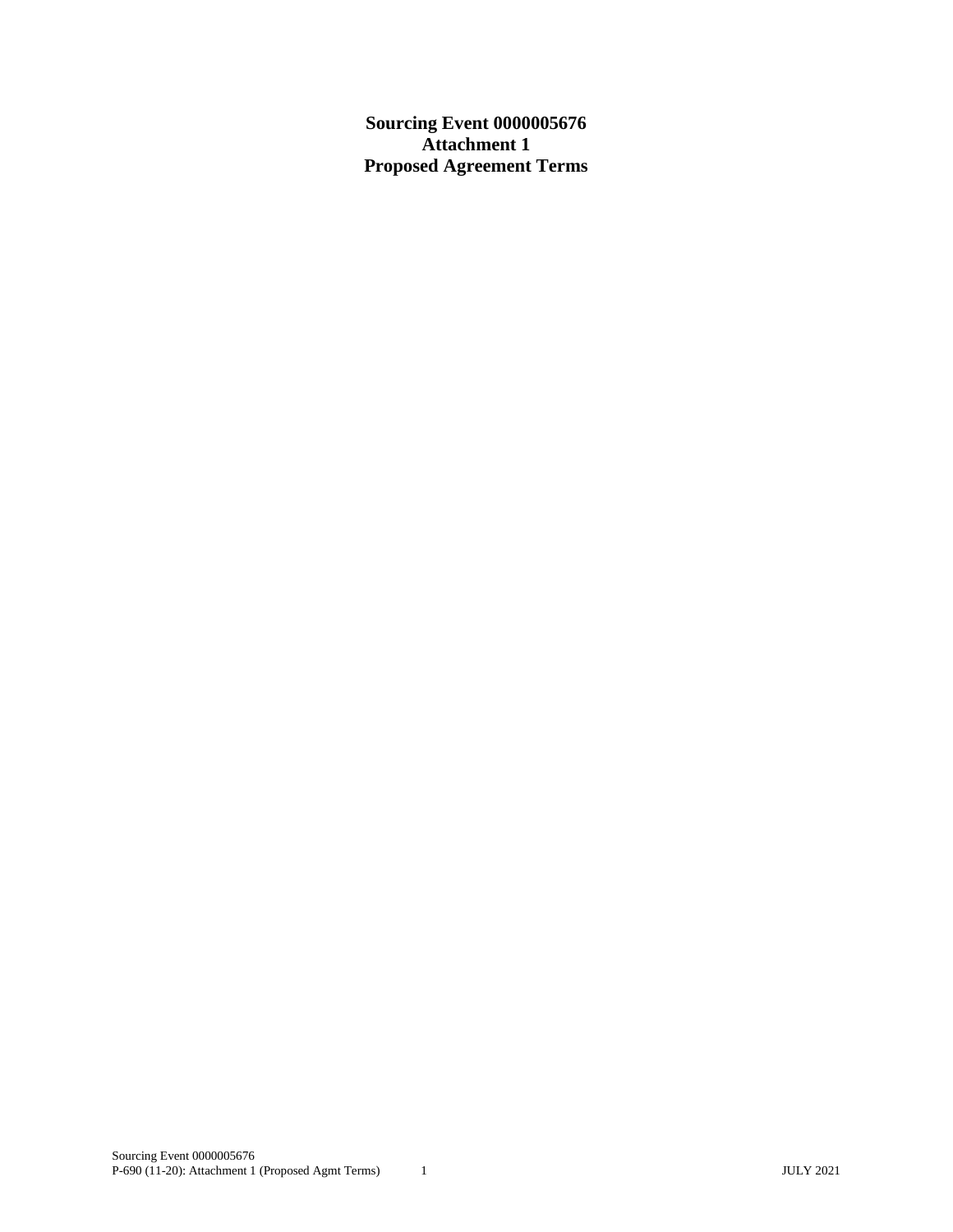**Sourcing Event 0000005676 Attachment 1 Proposed Agreement Terms**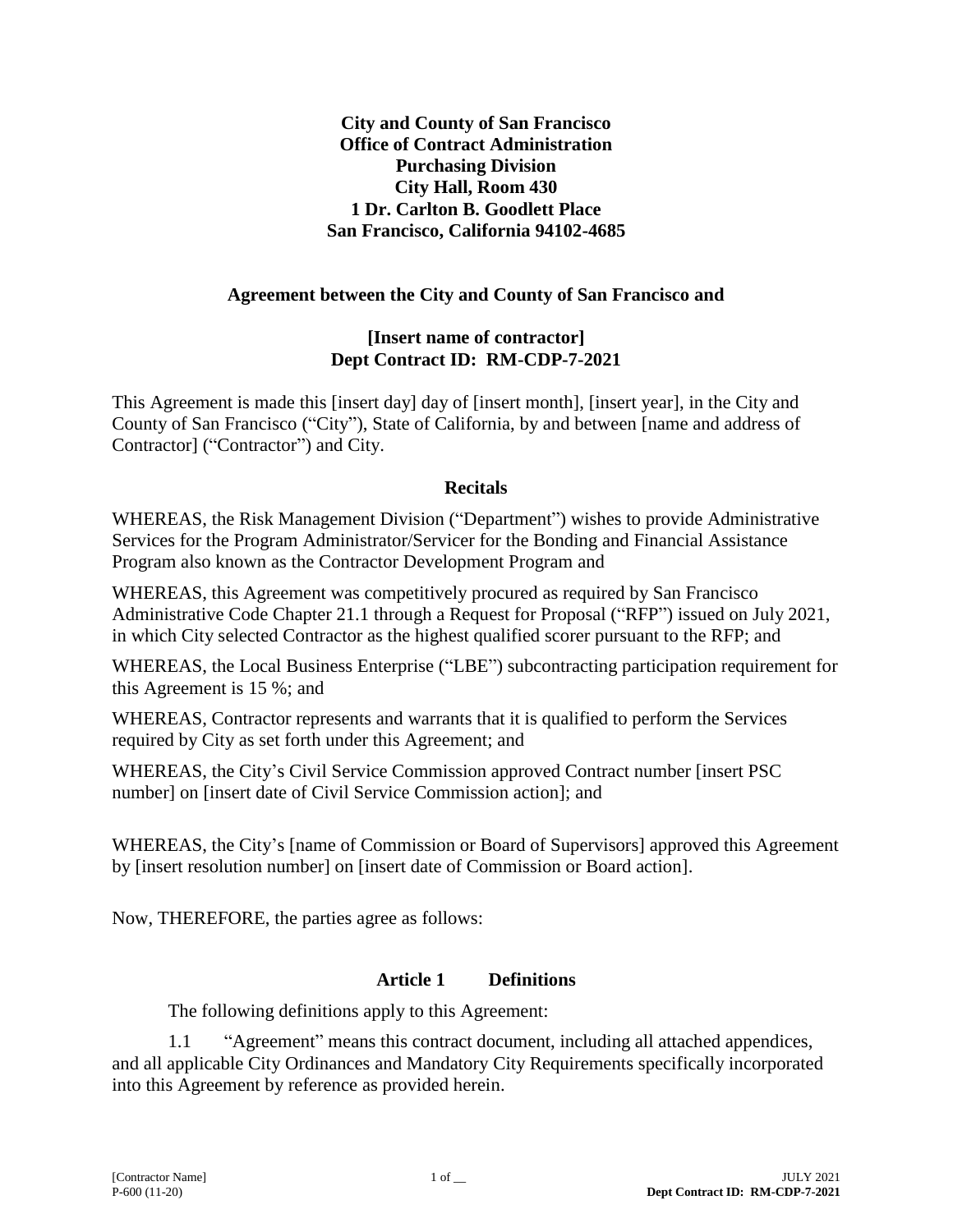**City and County of San Francisco Office of Contract Administration Purchasing Division City Hall, Room 430 1 Dr. Carlton B. Goodlett Place San Francisco, California 94102-4685**

## **Agreement between the City and County of San Francisco and**

### **[Insert name of contractor] Dept Contract ID: RM-CDP-7-2021**

This Agreement is made this [insert day] day of [insert month], [insert year], in the City and County of San Francisco ("City"), State of California, by and between [name and address of Contractor] ("Contractor") and City.

### **Recitals**

WHEREAS, the Risk Management Division ("Department") wishes to provide Administrative Services for the Program Administrator/Servicer for the Bonding and Financial Assistance Program also known as the Contractor Development Program and

WHEREAS, this Agreement was competitively procured as required by San Francisco Administrative Code Chapter 21.1 through a Request for Proposal ("RFP") issued on July 2021, in which City selected Contractor as the highest qualified scorer pursuant to the RFP; and

WHEREAS, the Local Business Enterprise ("LBE") subcontracting participation requirement for this Agreement is 15 %; and

WHEREAS, Contractor represents and warrants that it is qualified to perform the Services required by City as set forth under this Agreement; and

WHEREAS, the City's Civil Service Commission approved Contract number [insert PSC number] on [insert date of Civil Service Commission action]; and

WHEREAS, the City's [name of Commission or Board of Supervisors] approved this Agreement by [insert resolution number] on [insert date of Commission or Board action].

Now, THEREFORE, the parties agree as follows:

### **Article 1 Definitions**

The following definitions apply to this Agreement:

1.1 "Agreement" means this contract document, including all attached appendices, and all applicable City Ordinances and Mandatory City Requirements specifically incorporated into this Agreement by reference as provided herein.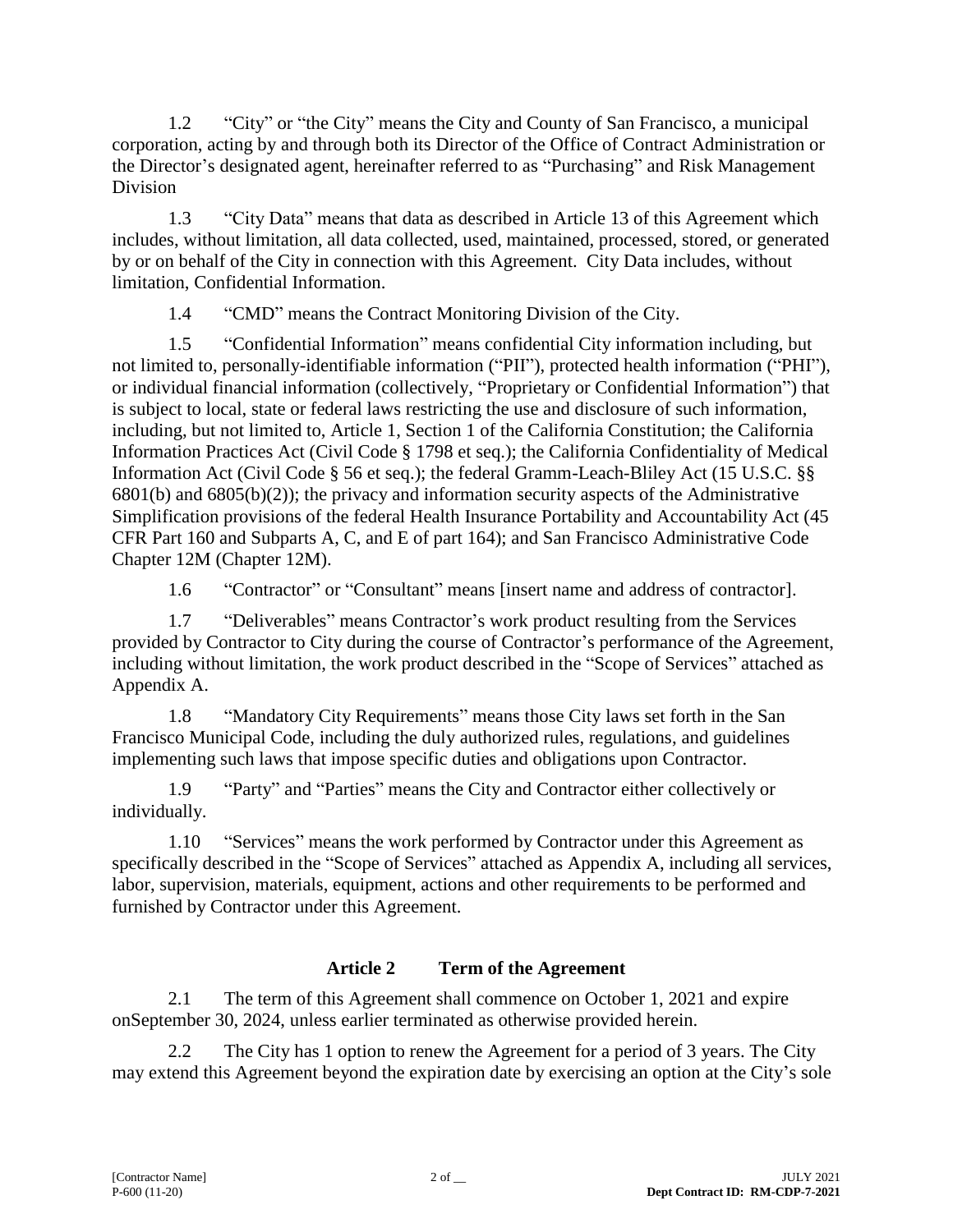1.2 "City" or "the City" means the City and County of San Francisco, a municipal corporation, acting by and through both its Director of the Office of Contract Administration or the Director's designated agent, hereinafter referred to as "Purchasing" and Risk Management Division

1.3 "City Data" means that data as described in Article 13 of this Agreement which includes, without limitation, all data collected, used, maintained, processed, stored, or generated by or on behalf of the City in connection with this Agreement. City Data includes, without limitation, Confidential Information.

1.4 "CMD" means the Contract Monitoring Division of the City.

1.5 "Confidential Information" means confidential City information including, but not limited to, personally-identifiable information ("PII"), protected health information ("PHI"), or individual financial information (collectively, "Proprietary or Confidential Information") that is subject to local, state or federal laws restricting the use and disclosure of such information, including, but not limited to, Article 1, Section 1 of the California Constitution; the California Information Practices Act (Civil Code § 1798 et seq.); the California Confidentiality of Medical Information Act (Civil Code § 56 et seq.); the federal Gramm-Leach-Bliley Act (15 U.S.C. §§ 6801(b) and 6805(b)(2)); the privacy and information security aspects of the Administrative Simplification provisions of the federal Health Insurance Portability and Accountability Act (45 CFR Part 160 and Subparts A, C, and E of part 164); and San Francisco Administrative Code Chapter 12M (Chapter 12M).

1.6 "Contractor" or "Consultant" means [insert name and address of contractor].

1.7 "Deliverables" means Contractor's work product resulting from the Services provided by Contractor to City during the course of Contractor's performance of the Agreement, including without limitation, the work product described in the "Scope of Services" attached as Appendix A.

1.8 "Mandatory City Requirements" means those City laws set forth in the San Francisco Municipal Code, including the duly authorized rules, regulations, and guidelines implementing such laws that impose specific duties and obligations upon Contractor.

1.9 "Party" and "Parties" means the City and Contractor either collectively or individually.

1.10 "Services" means the work performed by Contractor under this Agreement as specifically described in the "Scope of Services" attached as Appendix A, including all services, labor, supervision, materials, equipment, actions and other requirements to be performed and furnished by Contractor under this Agreement.

## **Article 2 Term of the Agreement**

2.1 The term of this Agreement shall commence on October 1, 2021 and expire onSeptember 30, 2024, unless earlier terminated as otherwise provided herein.

2.2 The City has 1 option to renew the Agreement for a period of 3 years. The City may extend this Agreement beyond the expiration date by exercising an option at the City's sole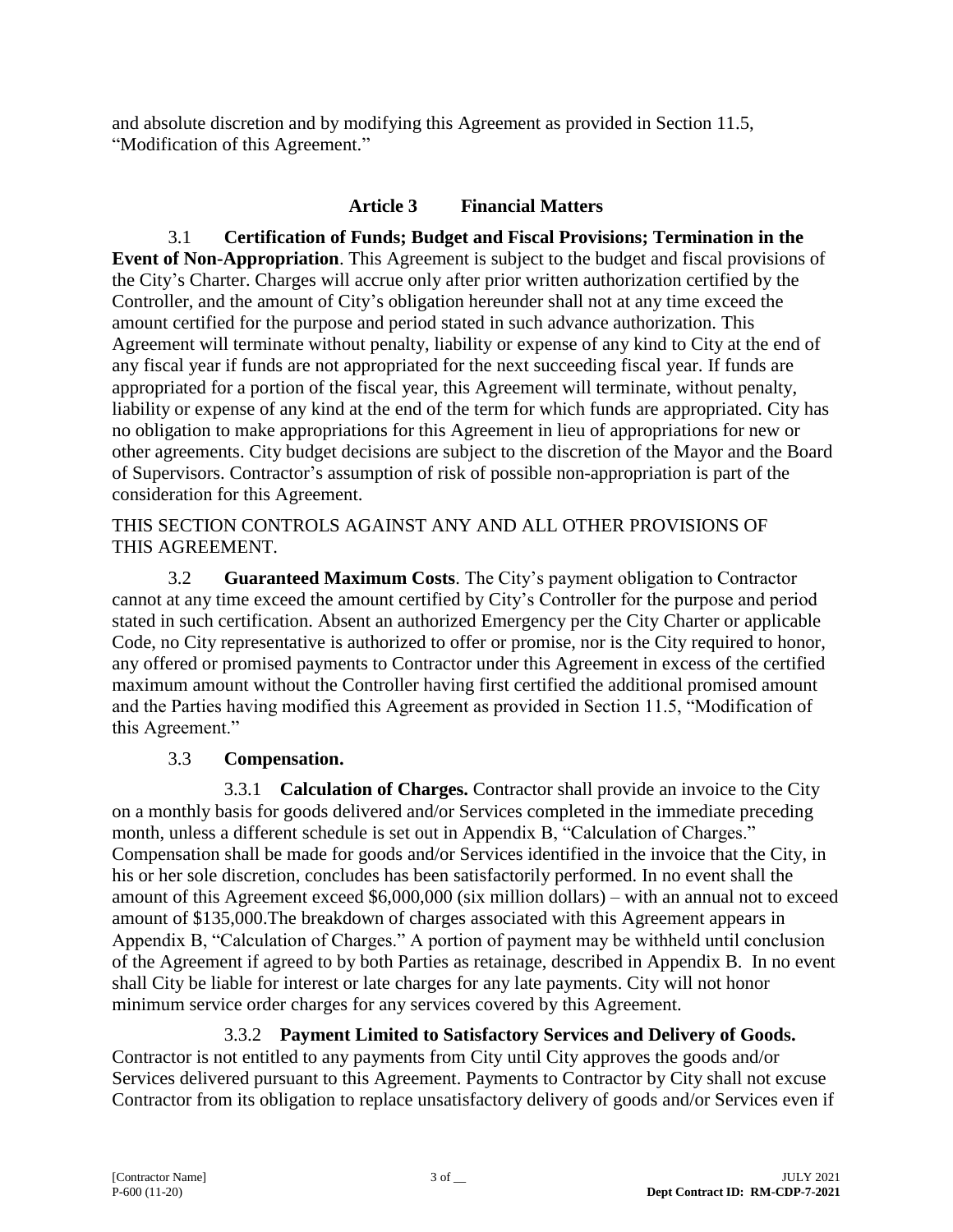and absolute discretion and by modifying this Agreement as provided in Section 11.5, "Modification of this Agreement."

## **Article 3 Financial Matters**

3.1 **Certification of Funds; Budget and Fiscal Provisions; Termination in the Event of Non-Appropriation**. This Agreement is subject to the budget and fiscal provisions of the City's Charter. Charges will accrue only after prior written authorization certified by the Controller, and the amount of City's obligation hereunder shall not at any time exceed the amount certified for the purpose and period stated in such advance authorization. This Agreement will terminate without penalty, liability or expense of any kind to City at the end of any fiscal year if funds are not appropriated for the next succeeding fiscal year. If funds are appropriated for a portion of the fiscal year, this Agreement will terminate, without penalty, liability or expense of any kind at the end of the term for which funds are appropriated. City has no obligation to make appropriations for this Agreement in lieu of appropriations for new or other agreements. City budget decisions are subject to the discretion of the Mayor and the Board of Supervisors. Contractor's assumption of risk of possible non-appropriation is part of the consideration for this Agreement.

THIS SECTION CONTROLS AGAINST ANY AND ALL OTHER PROVISIONS OF THIS AGREEMENT.

3.2 **Guaranteed Maximum Costs**. The City's payment obligation to Contractor cannot at any time exceed the amount certified by City's Controller for the purpose and period stated in such certification. Absent an authorized Emergency per the City Charter or applicable Code, no City representative is authorized to offer or promise, nor is the City required to honor, any offered or promised payments to Contractor under this Agreement in excess of the certified maximum amount without the Controller having first certified the additional promised amount and the Parties having modified this Agreement as provided in Section 11.5, "Modification of this Agreement."

## 3.3 **Compensation.**

3.3.1 **Calculation of Charges.** Contractor shall provide an invoice to the City on a monthly basis for goods delivered and/or Services completed in the immediate preceding month, unless a different schedule is set out in Appendix B, "Calculation of Charges." Compensation shall be made for goods and/or Services identified in the invoice that the City, in his or her sole discretion, concludes has been satisfactorily performed. In no event shall the amount of this Agreement exceed \$6,000,000 (six million dollars) – with an annual not to exceed amount of \$135,000.The breakdown of charges associated with this Agreement appears in Appendix B, "Calculation of Charges." A portion of payment may be withheld until conclusion of the Agreement if agreed to by both Parties as retainage, described in Appendix B. In no event shall City be liable for interest or late charges for any late payments. City will not honor minimum service order charges for any services covered by this Agreement.

3.3.2 **Payment Limited to Satisfactory Services and Delivery of Goods.** Contractor is not entitled to any payments from City until City approves the goods and/or Services delivered pursuant to this Agreement. Payments to Contractor by City shall not excuse Contractor from its obligation to replace unsatisfactory delivery of goods and/or Services even if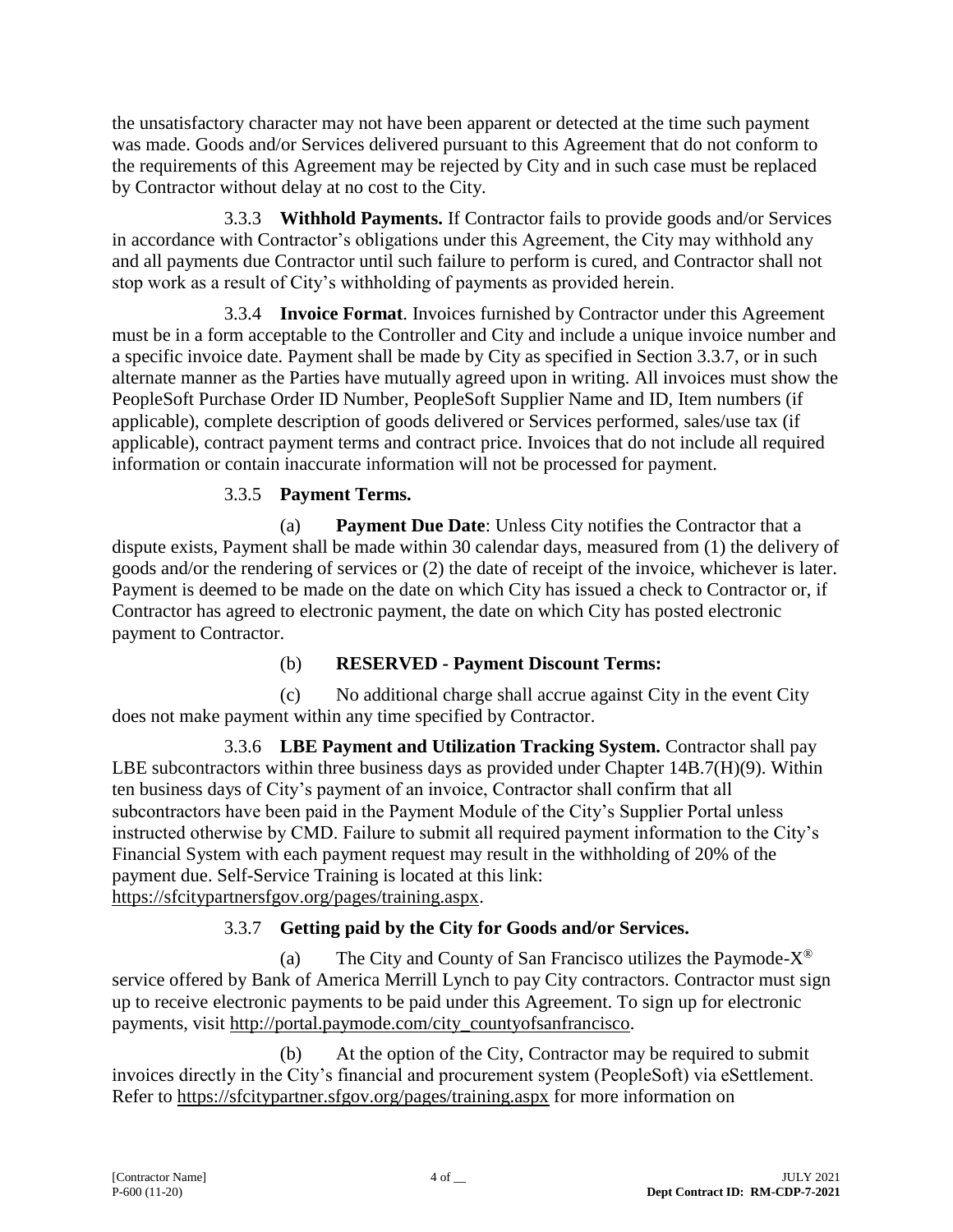the unsatisfactory character may not have been apparent or detected at the time such payment was made. Goods and/or Services delivered pursuant to this Agreement that do not conform to the requirements of this Agreement may be rejected by City and in such case must be replaced by Contractor without delay at no cost to the City.

3.3.3 **Withhold Payments.** If Contractor fails to provide goods and/or Services in accordance with Contractor's obligations under this Agreement, the City may withhold any and all payments due Contractor until such failure to perform is cured, and Contractor shall not stop work as a result of City's withholding of payments as provided herein.

3.3.4 **Invoice Format**. Invoices furnished by Contractor under this Agreement must be in a form acceptable to the Controller and City and include a unique invoice number and a specific invoice date. Payment shall be made by City as specified in Section 3.3.7, or in such alternate manner as the Parties have mutually agreed upon in writing. All invoices must show the PeopleSoft Purchase Order ID Number, PeopleSoft Supplier Name and ID, Item numbers (if applicable), complete description of goods delivered or Services performed, sales/use tax (if applicable), contract payment terms and contract price. Invoices that do not include all required information or contain inaccurate information will not be processed for payment.

## 3.3.5 **Payment Terms.**

(a) **Payment Due Date**: Unless City notifies the Contractor that a dispute exists, Payment shall be made within 30 calendar days, measured from (1) the delivery of goods and/or the rendering of services or (2) the date of receipt of the invoice, whichever is later. Payment is deemed to be made on the date on which City has issued a check to Contractor or, if Contractor has agreed to electronic payment, the date on which City has posted electronic payment to Contractor.

## (b) **RESERVED - Payment Discount Terms:**

(c) No additional charge shall accrue against City in the event City does not make payment within any time specified by Contractor.

3.3.6 **LBE Payment and Utilization Tracking System.** Contractor shall pay LBE subcontractors within three business days as provided under Chapter 14B.7(H)(9). Within ten business days of City's payment of an invoice, Contractor shall confirm that all subcontractors have been paid in the Payment Module of the City's Supplier Portal unless instructed otherwise by CMD. Failure to submit all required payment information to the City's Financial System with each payment request may result in the withholding of 20% of the payment due. Self-Service Training is located at this link: [https://sfcitypartnersfgov.org/pages/training.aspx.](https://sfcitypartnersfgov.org/pages/training.aspx)

## 3.3.7 **Getting paid by the City for Goods and/or Services.**

(a) The City and County of San Francisco utilizes the Paymode- $X^{\circledast}$ service offered by Bank of America Merrill Lynch to pay City contractors. Contractor must sign up to receive electronic payments to be paid under this Agreement. To sign up for electronic payments, visit [http://portal.paymode.com/city\\_countyofsanfrancisco.](http://portal.paymode.com/city_countyofsanfrancisco)

(b) At the option of the City, Contractor may be required to submit invoices directly in the City's financial and procurement system (PeopleSoft) via eSettlement. Refer to<https://sfcitypartner.sfgov.org/pages/training.aspx> for more information on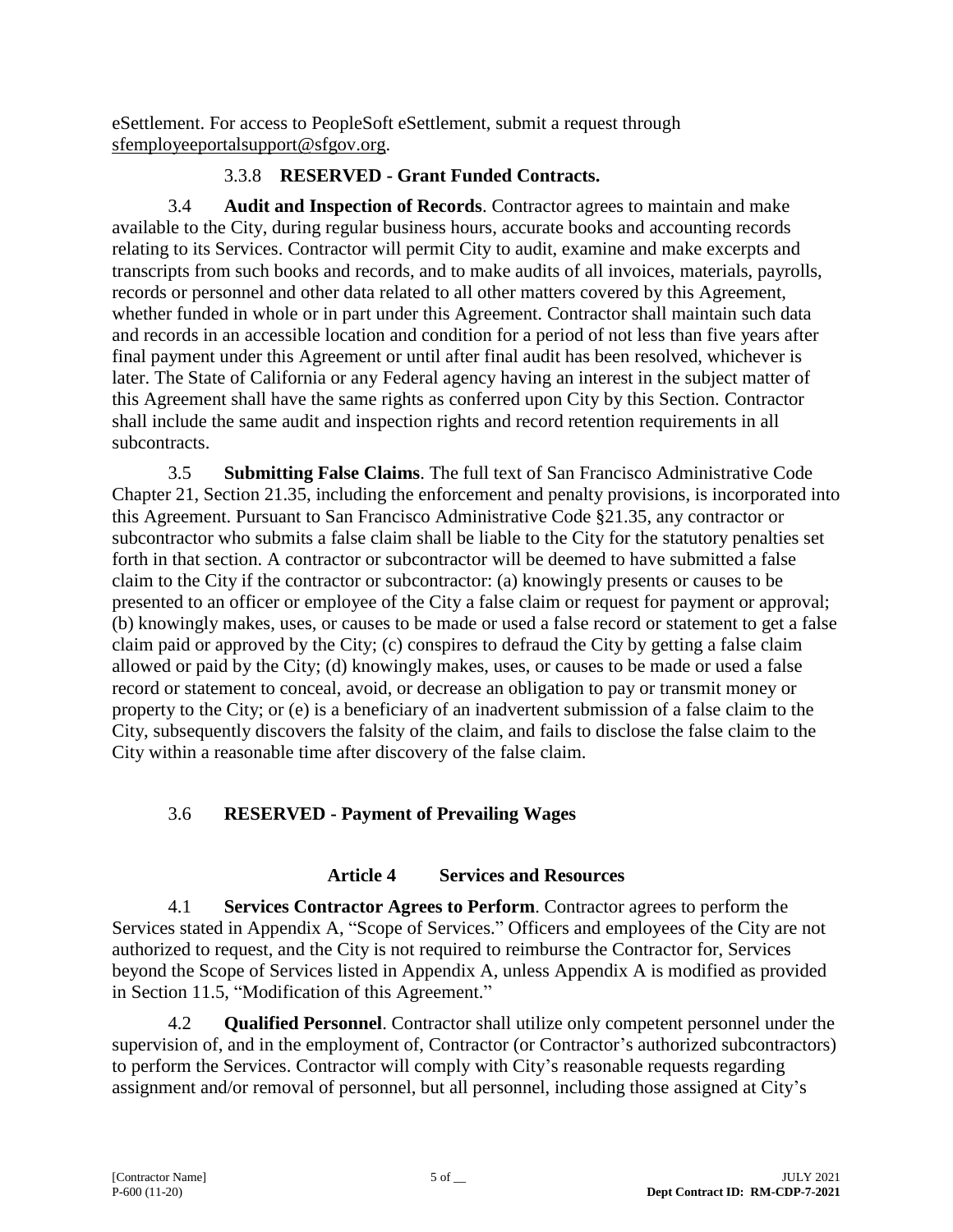eSettlement. For access to PeopleSoft eSettlement, submit a request through [sfemployeeportalsupport@sfgov.org.](mailto:sfemployeeportalsupport@sfgov.org)

## 3.3.8 **RESERVED - Grant Funded Contracts.**

3.4 **Audit and Inspection of Records**. Contractor agrees to maintain and make available to the City, during regular business hours, accurate books and accounting records relating to its Services. Contractor will permit City to audit, examine and make excerpts and transcripts from such books and records, and to make audits of all invoices, materials, payrolls, records or personnel and other data related to all other matters covered by this Agreement, whether funded in whole or in part under this Agreement. Contractor shall maintain such data and records in an accessible location and condition for a period of not less than five years after final payment under this Agreement or until after final audit has been resolved, whichever is later. The State of California or any Federal agency having an interest in the subject matter of this Agreement shall have the same rights as conferred upon City by this Section. Contractor shall include the same audit and inspection rights and record retention requirements in all subcontracts.

3.5 **Submitting False Claims**. The full text of San Francisco Administrative Code Chapter 21, Section 21.35, including the enforcement and penalty provisions, is incorporated into this Agreement. Pursuant to San Francisco Administrative Code §21.35, any contractor or subcontractor who submits a false claim shall be liable to the City for the statutory penalties set forth in that section. A contractor or subcontractor will be deemed to have submitted a false claim to the City if the contractor or subcontractor: (a) knowingly presents or causes to be presented to an officer or employee of the City a false claim or request for payment or approval; (b) knowingly makes, uses, or causes to be made or used a false record or statement to get a false claim paid or approved by the City; (c) conspires to defraud the City by getting a false claim allowed or paid by the City; (d) knowingly makes, uses, or causes to be made or used a false record or statement to conceal, avoid, or decrease an obligation to pay or transmit money or property to the City; or (e) is a beneficiary of an inadvertent submission of a false claim to the City, subsequently discovers the falsity of the claim, and fails to disclose the false claim to the City within a reasonable time after discovery of the false claim.

# 3.6 **RESERVED - Payment of Prevailing Wages**

# **Article 4 Services and Resources**

4.1 **Services Contractor Agrees to Perform**. Contractor agrees to perform the Services stated in Appendix A, "Scope of Services." Officers and employees of the City are not authorized to request, and the City is not required to reimburse the Contractor for, Services beyond the Scope of Services listed in Appendix A, unless Appendix A is modified as provided in Section 11.5, "Modification of this Agreement."

4.2 **Qualified Personnel**. Contractor shall utilize only competent personnel under the supervision of, and in the employment of, Contractor (or Contractor's authorized subcontractors) to perform the Services. Contractor will comply with City's reasonable requests regarding assignment and/or removal of personnel, but all personnel, including those assigned at City's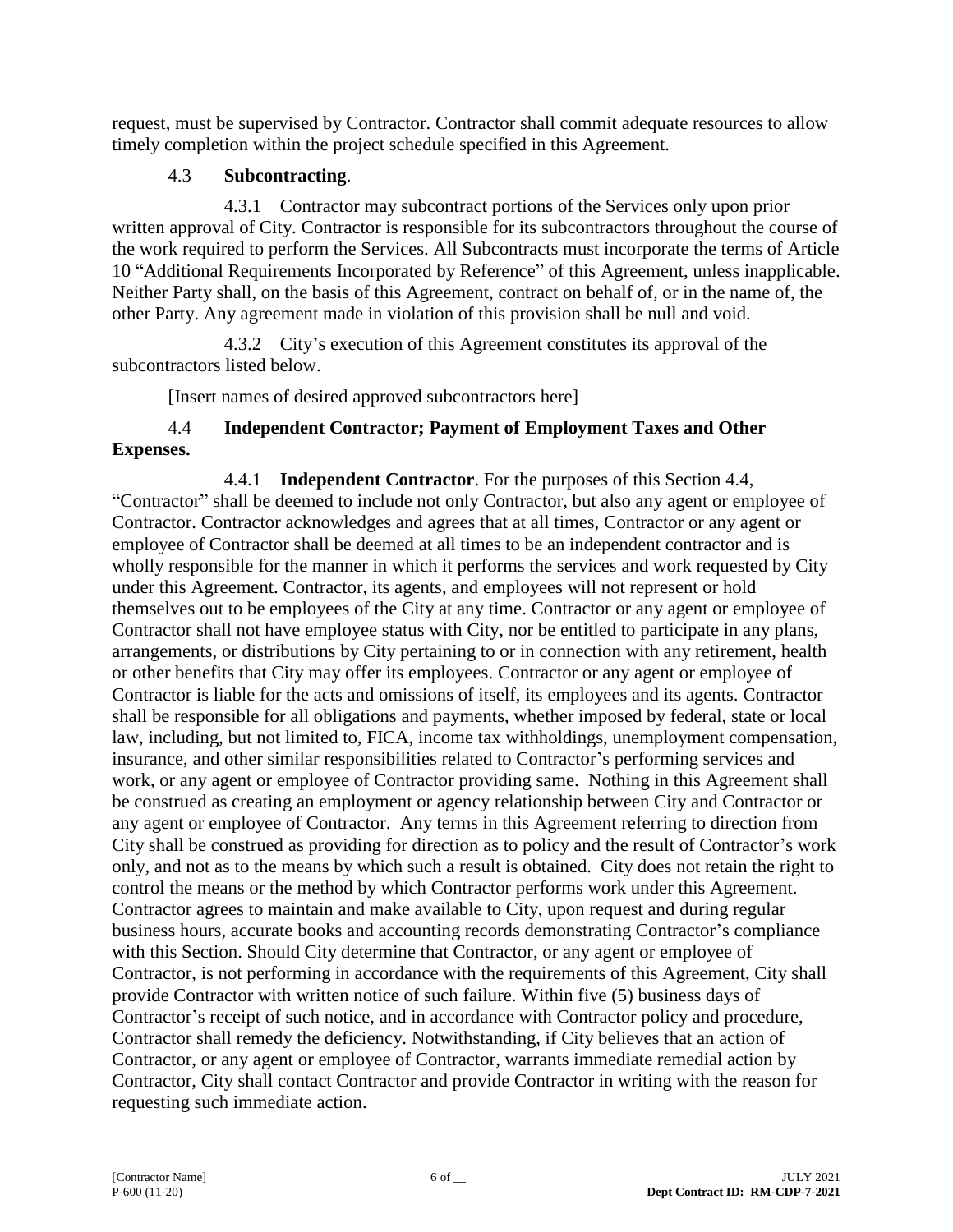request, must be supervised by Contractor. Contractor shall commit adequate resources to allow timely completion within the project schedule specified in this Agreement.

## 4.3 **Subcontracting**.

4.3.1 Contractor may subcontract portions of the Services only upon prior written approval of City. Contractor is responsible for its subcontractors throughout the course of the work required to perform the Services. All Subcontracts must incorporate the terms of Article 10 "Additional Requirements Incorporated by Reference" of this Agreement, unless inapplicable. Neither Party shall, on the basis of this Agreement, contract on behalf of, or in the name of, the other Party. Any agreement made in violation of this provision shall be null and void.

4.3.2 City's execution of this Agreement constitutes its approval of the subcontractors listed below.

[Insert names of desired approved subcontractors here]

## 4.4 **Independent Contractor; Payment of Employment Taxes and Other Expenses.**

4.4.1 **Independent Contractor**. For the purposes of this Section 4.4, "Contractor" shall be deemed to include not only Contractor, but also any agent or employee of Contractor. Contractor acknowledges and agrees that at all times, Contractor or any agent or employee of Contractor shall be deemed at all times to be an independent contractor and is wholly responsible for the manner in which it performs the services and work requested by City under this Agreement. Contractor, its agents, and employees will not represent or hold themselves out to be employees of the City at any time. Contractor or any agent or employee of Contractor shall not have employee status with City, nor be entitled to participate in any plans, arrangements, or distributions by City pertaining to or in connection with any retirement, health or other benefits that City may offer its employees. Contractor or any agent or employee of Contractor is liable for the acts and omissions of itself, its employees and its agents. Contractor shall be responsible for all obligations and payments, whether imposed by federal, state or local law, including, but not limited to, FICA, income tax withholdings, unemployment compensation, insurance, and other similar responsibilities related to Contractor's performing services and work, or any agent or employee of Contractor providing same. Nothing in this Agreement shall be construed as creating an employment or agency relationship between City and Contractor or any agent or employee of Contractor. Any terms in this Agreement referring to direction from City shall be construed as providing for direction as to policy and the result of Contractor's work only, and not as to the means by which such a result is obtained. City does not retain the right to control the means or the method by which Contractor performs work under this Agreement. Contractor agrees to maintain and make available to City, upon request and during regular business hours, accurate books and accounting records demonstrating Contractor's compliance with this Section. Should City determine that Contractor, or any agent or employee of Contractor, is not performing in accordance with the requirements of this Agreement, City shall provide Contractor with written notice of such failure. Within five (5) business days of Contractor's receipt of such notice, and in accordance with Contractor policy and procedure, Contractor shall remedy the deficiency. Notwithstanding, if City believes that an action of Contractor, or any agent or employee of Contractor, warrants immediate remedial action by Contractor, City shall contact Contractor and provide Contractor in writing with the reason for requesting such immediate action.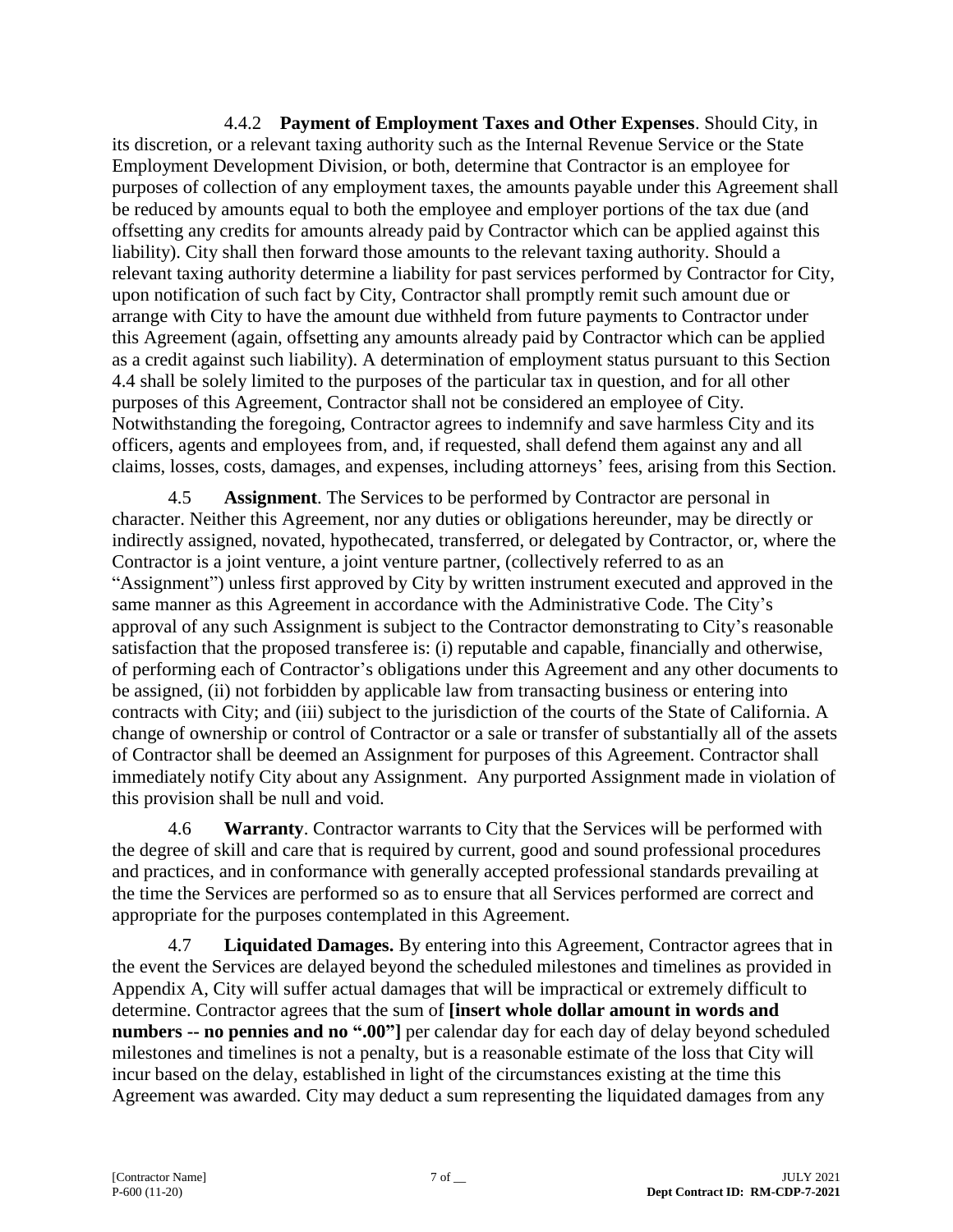4.4.2 **Payment of Employment Taxes and Other Expenses**. Should City, in its discretion, or a relevant taxing authority such as the Internal Revenue Service or the State Employment Development Division, or both, determine that Contractor is an employee for purposes of collection of any employment taxes, the amounts payable under this Agreement shall be reduced by amounts equal to both the employee and employer portions of the tax due (and offsetting any credits for amounts already paid by Contractor which can be applied against this liability). City shall then forward those amounts to the relevant taxing authority. Should a relevant taxing authority determine a liability for past services performed by Contractor for City, upon notification of such fact by City, Contractor shall promptly remit such amount due or arrange with City to have the amount due withheld from future payments to Contractor under this Agreement (again, offsetting any amounts already paid by Contractor which can be applied as a credit against such liability). A determination of employment status pursuant to this Section 4.4 shall be solely limited to the purposes of the particular tax in question, and for all other purposes of this Agreement, Contractor shall not be considered an employee of City. Notwithstanding the foregoing, Contractor agrees to indemnify and save harmless City and its officers, agents and employees from, and, if requested, shall defend them against any and all claims, losses, costs, damages, and expenses, including attorneys' fees, arising from this Section.

4.5 **Assignment**. The Services to be performed by Contractor are personal in character. Neither this Agreement, nor any duties or obligations hereunder, may be directly or indirectly assigned, novated, hypothecated, transferred, or delegated by Contractor, or, where the Contractor is a joint venture, a joint venture partner, (collectively referred to as an "Assignment") unless first approved by City by written instrument executed and approved in the same manner as this Agreement in accordance with the Administrative Code. The City's approval of any such Assignment is subject to the Contractor demonstrating to City's reasonable satisfaction that the proposed transferee is: (i) reputable and capable, financially and otherwise, of performing each of Contractor's obligations under this Agreement and any other documents to be assigned, (ii) not forbidden by applicable law from transacting business or entering into contracts with City; and (iii) subject to the jurisdiction of the courts of the State of California. A change of ownership or control of Contractor or a sale or transfer of substantially all of the assets of Contractor shall be deemed an Assignment for purposes of this Agreement. Contractor shall immediately notify City about any Assignment. Any purported Assignment made in violation of this provision shall be null and void.

4.6 **Warranty**. Contractor warrants to City that the Services will be performed with the degree of skill and care that is required by current, good and sound professional procedures and practices, and in conformance with generally accepted professional standards prevailing at the time the Services are performed so as to ensure that all Services performed are correct and appropriate for the purposes contemplated in this Agreement.

4.7 **Liquidated Damages.** By entering into this Agreement, Contractor agrees that in the event the Services are delayed beyond the scheduled milestones and timelines as provided in Appendix A, City will suffer actual damages that will be impractical or extremely difficult to determine. Contractor agrees that the sum of **[insert whole dollar amount in words and numbers -- no pennies and no ".00"]** per calendar day for each day of delay beyond scheduled milestones and timelines is not a penalty, but is a reasonable estimate of the loss that City will incur based on the delay, established in light of the circumstances existing at the time this Agreement was awarded. City may deduct a sum representing the liquidated damages from any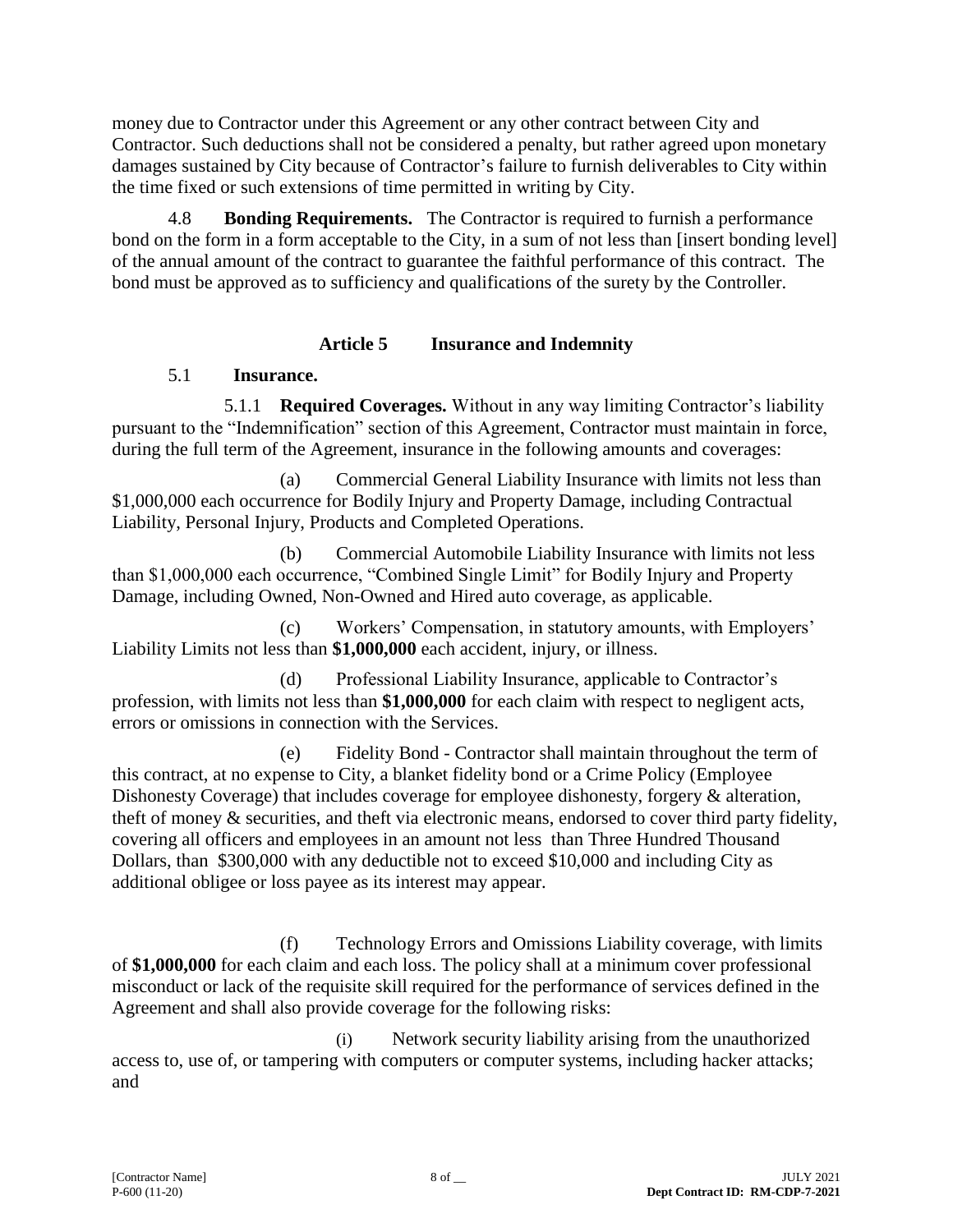money due to Contractor under this Agreement or any other contract between City and Contractor. Such deductions shall not be considered a penalty, but rather agreed upon monetary damages sustained by City because of Contractor's failure to furnish deliverables to City within the time fixed or such extensions of time permitted in writing by City.

4.8 **Bonding Requirements.** The Contractor is required to furnish a performance bond on the form in a form acceptable to the City, in a sum of not less than [insert bonding level] of the annual amount of the contract to guarantee the faithful performance of this contract. The bond must be approved as to sufficiency and qualifications of the surety by the Controller.

### **Article 5 Insurance and Indemnity**

## 5.1 **Insurance.**

5.1.1 **Required Coverages.** Without in any way limiting Contractor's liability pursuant to the "Indemnification" section of this Agreement, Contractor must maintain in force, during the full term of the Agreement, insurance in the following amounts and coverages:

(a) Commercial General Liability Insurance with limits not less than \$1,000,000 each occurrence for Bodily Injury and Property Damage, including Contractual Liability, Personal Injury, Products and Completed Operations.

(b) Commercial Automobile Liability Insurance with limits not less than \$1,000,000 each occurrence, "Combined Single Limit" for Bodily Injury and Property Damage, including Owned, Non-Owned and Hired auto coverage, as applicable.

(c) Workers' Compensation, in statutory amounts, with Employers' Liability Limits not less than **\$1,000,000** each accident, injury, or illness.

(d) Professional Liability Insurance, applicable to Contractor's profession, with limits not less than **\$1,000,000** for each claim with respect to negligent acts, errors or omissions in connection with the Services.

(e) Fidelity Bond - Contractor shall maintain throughout the term of this contract, at no expense to City, a blanket fidelity bond or a Crime Policy (Employee Dishonesty Coverage) that includes coverage for employee dishonesty, forgery & alteration, theft of money & securities, and theft via electronic means, endorsed to cover third party fidelity, covering all officers and employees in an amount not less than Three Hundred Thousand Dollars, than \$300,000 with any deductible not to exceed \$10,000 and including City as additional obligee or loss payee as its interest may appear.

(f) Technology Errors and Omissions Liability coverage, with limits of **\$1,000,000** for each claim and each loss. The policy shall at a minimum cover professional misconduct or lack of the requisite skill required for the performance of services defined in the Agreement and shall also provide coverage for the following risks:

(i) Network security liability arising from the unauthorized access to, use of, or tampering with computers or computer systems, including hacker attacks; and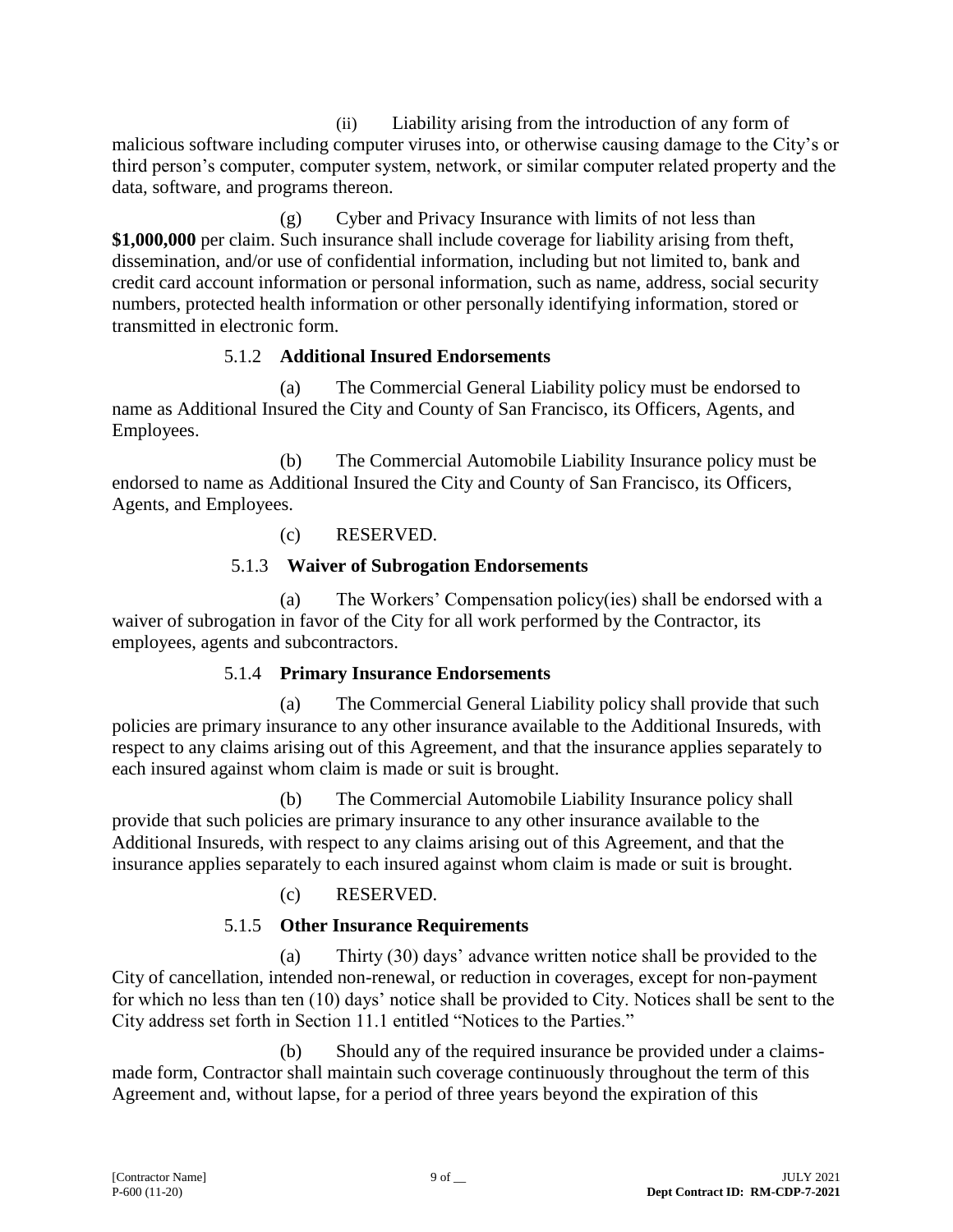(ii) Liability arising from the introduction of any form of malicious software including computer viruses into, or otherwise causing damage to the City's or third person's computer, computer system, network, or similar computer related property and the data, software, and programs thereon.

(g) Cyber and Privacy Insurance with limits of not less than **\$1,000,000** per claim. Such insurance shall include coverage for liability arising from theft, dissemination, and/or use of confidential information, including but not limited to, bank and credit card account information or personal information, such as name, address, social security numbers, protected health information or other personally identifying information, stored or transmitted in electronic form.

## 5.1.2 **Additional Insured Endorsements**

(a) The Commercial General Liability policy must be endorsed to name as Additional Insured the City and County of San Francisco, its Officers, Agents, and Employees.

(b) The Commercial Automobile Liability Insurance policy must be endorsed to name as Additional Insured the City and County of San Francisco, its Officers, Agents, and Employees.

## (c) RESERVED.

## 5.1.3 **Waiver of Subrogation Endorsements**

(a) The Workers' Compensation policy(ies) shall be endorsed with a waiver of subrogation in favor of the City for all work performed by the Contractor, its employees, agents and subcontractors.

## 5.1.4 **Primary Insurance Endorsements**

(a) The Commercial General Liability policy shall provide that such policies are primary insurance to any other insurance available to the Additional Insureds, with respect to any claims arising out of this Agreement, and that the insurance applies separately to each insured against whom claim is made or suit is brought.

(b) The Commercial Automobile Liability Insurance policy shall provide that such policies are primary insurance to any other insurance available to the Additional Insureds, with respect to any claims arising out of this Agreement, and that the insurance applies separately to each insured against whom claim is made or suit is brought.

## (c) RESERVED.

# 5.1.5 **Other Insurance Requirements**

(a) Thirty (30) days' advance written notice shall be provided to the City of cancellation, intended non-renewal, or reduction in coverages, except for non-payment for which no less than ten (10) days' notice shall be provided to City. Notices shall be sent to the City address set forth in Section 11.1 entitled "Notices to the Parties."

(b) Should any of the required insurance be provided under a claimsmade form, Contractor shall maintain such coverage continuously throughout the term of this Agreement and, without lapse, for a period of three years beyond the expiration of this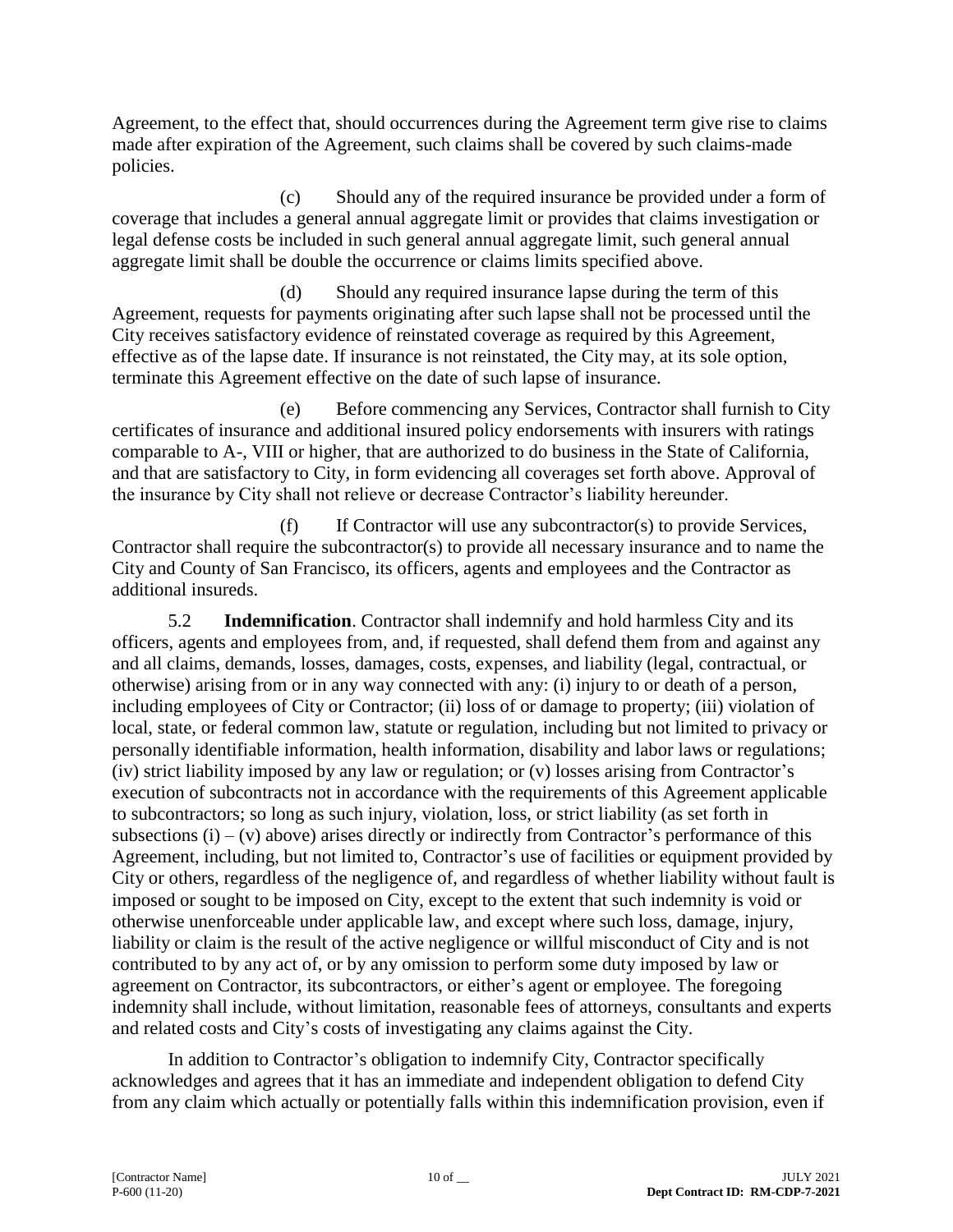Agreement, to the effect that, should occurrences during the Agreement term give rise to claims made after expiration of the Agreement, such claims shall be covered by such claims-made policies.

(c) Should any of the required insurance be provided under a form of coverage that includes a general annual aggregate limit or provides that claims investigation or legal defense costs be included in such general annual aggregate limit, such general annual aggregate limit shall be double the occurrence or claims limits specified above.

(d) Should any required insurance lapse during the term of this Agreement, requests for payments originating after such lapse shall not be processed until the City receives satisfactory evidence of reinstated coverage as required by this Agreement, effective as of the lapse date. If insurance is not reinstated, the City may, at its sole option, terminate this Agreement effective on the date of such lapse of insurance.

(e) Before commencing any Services, Contractor shall furnish to City certificates of insurance and additional insured policy endorsements with insurers with ratings comparable to A-, VIII or higher, that are authorized to do business in the State of California, and that are satisfactory to City, in form evidencing all coverages set forth above. Approval of the insurance by City shall not relieve or decrease Contractor's liability hereunder.

(f) If Contractor will use any subcontractor(s) to provide Services, Contractor shall require the subcontractor(s) to provide all necessary insurance and to name the City and County of San Francisco, its officers, agents and employees and the Contractor as additional insureds.

5.2 **Indemnification**. Contractor shall indemnify and hold harmless City and its officers, agents and employees from, and, if requested, shall defend them from and against any and all claims, demands, losses, damages, costs, expenses, and liability (legal, contractual, or otherwise) arising from or in any way connected with any: (i) injury to or death of a person, including employees of City or Contractor; (ii) loss of or damage to property; (iii) violation of local, state, or federal common law, statute or regulation, including but not limited to privacy or personally identifiable information, health information, disability and labor laws or regulations; (iv) strict liability imposed by any law or regulation; or (v) losses arising from Contractor's execution of subcontracts not in accordance with the requirements of this Agreement applicable to subcontractors; so long as such injury, violation, loss, or strict liability (as set forth in subsections  $(i) - (v)$  above) arises directly or indirectly from Contractor's performance of this Agreement, including, but not limited to, Contractor's use of facilities or equipment provided by City or others, regardless of the negligence of, and regardless of whether liability without fault is imposed or sought to be imposed on City, except to the extent that such indemnity is void or otherwise unenforceable under applicable law, and except where such loss, damage, injury, liability or claim is the result of the active negligence or willful misconduct of City and is not contributed to by any act of, or by any omission to perform some duty imposed by law or agreement on Contractor, its subcontractors, or either's agent or employee. The foregoing indemnity shall include, without limitation, reasonable fees of attorneys, consultants and experts and related costs and City's costs of investigating any claims against the City.

In addition to Contractor's obligation to indemnify City, Contractor specifically acknowledges and agrees that it has an immediate and independent obligation to defend City from any claim which actually or potentially falls within this indemnification provision, even if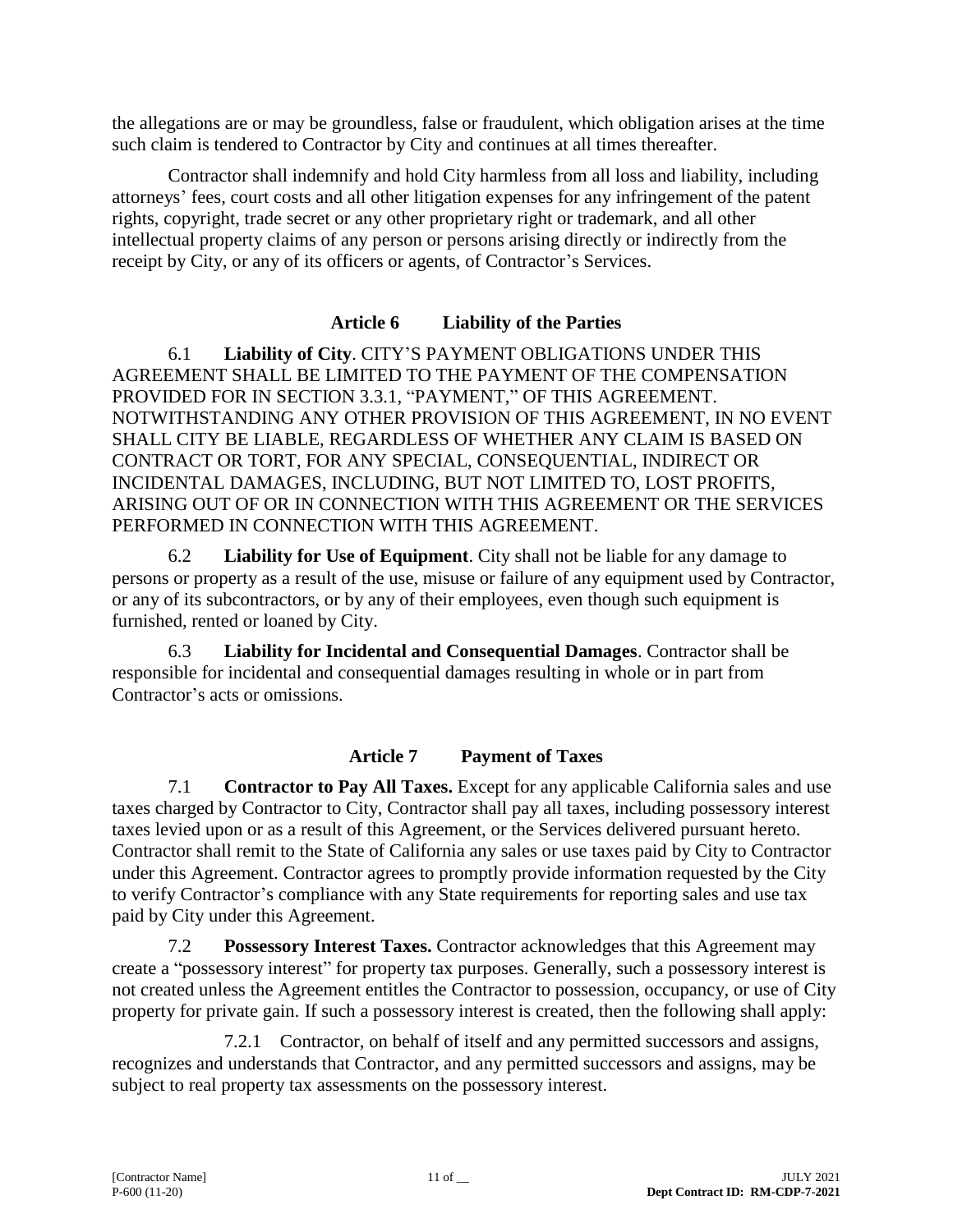the allegations are or may be groundless, false or fraudulent, which obligation arises at the time such claim is tendered to Contractor by City and continues at all times thereafter.

Contractor shall indemnify and hold City harmless from all loss and liability, including attorneys' fees, court costs and all other litigation expenses for any infringement of the patent rights, copyright, trade secret or any other proprietary right or trademark, and all other intellectual property claims of any person or persons arising directly or indirectly from the receipt by City, or any of its officers or agents, of Contractor's Services.

## **Article 6 Liability of the Parties**

6.1 **Liability of City**. CITY'S PAYMENT OBLIGATIONS UNDER THIS AGREEMENT SHALL BE LIMITED TO THE PAYMENT OF THE COMPENSATION PROVIDED FOR IN SECTION 3.3.1, "PAYMENT," OF THIS AGREEMENT. NOTWITHSTANDING ANY OTHER PROVISION OF THIS AGREEMENT, IN NO EVENT SHALL CITY BE LIABLE, REGARDLESS OF WHETHER ANY CLAIM IS BASED ON CONTRACT OR TORT, FOR ANY SPECIAL, CONSEQUENTIAL, INDIRECT OR INCIDENTAL DAMAGES, INCLUDING, BUT NOT LIMITED TO, LOST PROFITS, ARISING OUT OF OR IN CONNECTION WITH THIS AGREEMENT OR THE SERVICES PERFORMED IN CONNECTION WITH THIS AGREEMENT.

6.2 **Liability for Use of Equipment**. City shall not be liable for any damage to persons or property as a result of the use, misuse or failure of any equipment used by Contractor, or any of its subcontractors, or by any of their employees, even though such equipment is furnished, rented or loaned by City.

6.3 **Liability for Incidental and Consequential Damages**. Contractor shall be responsible for incidental and consequential damages resulting in whole or in part from Contractor's acts or omissions.

## **Article 7 Payment of Taxes**

7.1 **Contractor to Pay All Taxes.** Except for any applicable California sales and use taxes charged by Contractor to City, Contractor shall pay all taxes, including possessory interest taxes levied upon or as a result of this Agreement, or the Services delivered pursuant hereto. Contractor shall remit to the State of California any sales or use taxes paid by City to Contractor under this Agreement. Contractor agrees to promptly provide information requested by the City to verify Contractor's compliance with any State requirements for reporting sales and use tax paid by City under this Agreement.

7.2 **Possessory Interest Taxes.** Contractor acknowledges that this Agreement may create a "possessory interest" for property tax purposes. Generally, such a possessory interest is not created unless the Agreement entitles the Contractor to possession, occupancy, or use of City property for private gain. If such a possessory interest is created, then the following shall apply:

7.2.1 Contractor, on behalf of itself and any permitted successors and assigns, recognizes and understands that Contractor, and any permitted successors and assigns, may be subject to real property tax assessments on the possessory interest.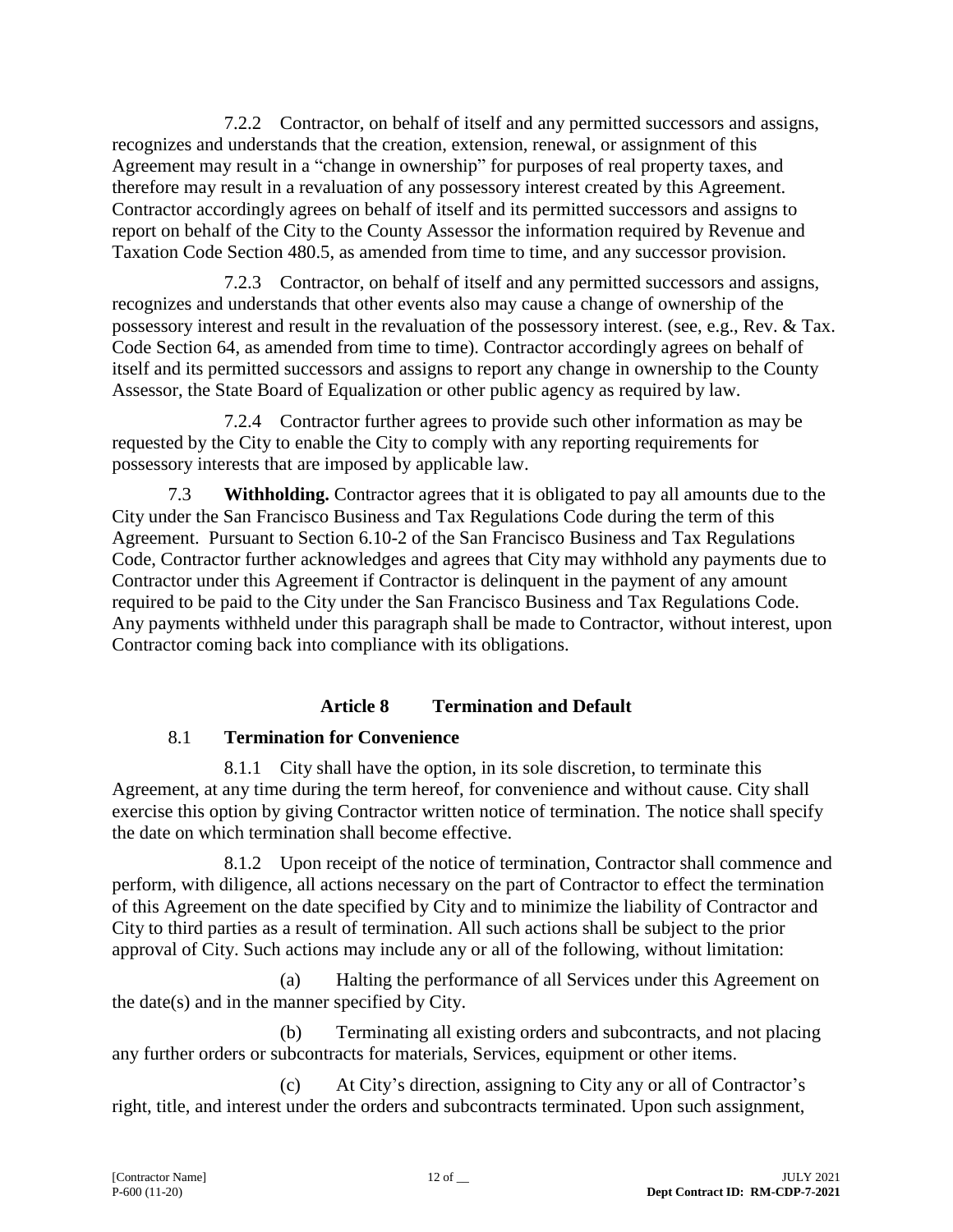7.2.2 Contractor, on behalf of itself and any permitted successors and assigns, recognizes and understands that the creation, extension, renewal, or assignment of this Agreement may result in a "change in ownership" for purposes of real property taxes, and therefore may result in a revaluation of any possessory interest created by this Agreement. Contractor accordingly agrees on behalf of itself and its permitted successors and assigns to report on behalf of the City to the County Assessor the information required by Revenue and Taxation Code Section 480.5, as amended from time to time, and any successor provision.

7.2.3 Contractor, on behalf of itself and any permitted successors and assigns, recognizes and understands that other events also may cause a change of ownership of the possessory interest and result in the revaluation of the possessory interest. (see, e.g., Rev. & Tax. Code Section 64, as amended from time to time). Contractor accordingly agrees on behalf of itself and its permitted successors and assigns to report any change in ownership to the County Assessor, the State Board of Equalization or other public agency as required by law.

7.2.4 Contractor further agrees to provide such other information as may be requested by the City to enable the City to comply with any reporting requirements for possessory interests that are imposed by applicable law.

7.3 **Withholding.** Contractor agrees that it is obligated to pay all amounts due to the City under the San Francisco Business and Tax Regulations Code during the term of this Agreement. Pursuant to Section 6.10-2 of the San Francisco Business and Tax Regulations Code, Contractor further acknowledges and agrees that City may withhold any payments due to Contractor under this Agreement if Contractor is delinquent in the payment of any amount required to be paid to the City under the San Francisco Business and Tax Regulations Code. Any payments withheld under this paragraph shall be made to Contractor, without interest, upon Contractor coming back into compliance with its obligations.

## **Article 8 Termination and Default**

## 8.1 **Termination for Convenience**

8.1.1 City shall have the option, in its sole discretion, to terminate this Agreement, at any time during the term hereof, for convenience and without cause. City shall exercise this option by giving Contractor written notice of termination. The notice shall specify the date on which termination shall become effective.

8.1.2 Upon receipt of the notice of termination, Contractor shall commence and perform, with diligence, all actions necessary on the part of Contractor to effect the termination of this Agreement on the date specified by City and to minimize the liability of Contractor and City to third parties as a result of termination. All such actions shall be subject to the prior approval of City. Such actions may include any or all of the following, without limitation:

(a) Halting the performance of all Services under this Agreement on the date(s) and in the manner specified by City.

(b) Terminating all existing orders and subcontracts, and not placing any further orders or subcontracts for materials, Services, equipment or other items.

(c) At City's direction, assigning to City any or all of Contractor's right, title, and interest under the orders and subcontracts terminated. Upon such assignment,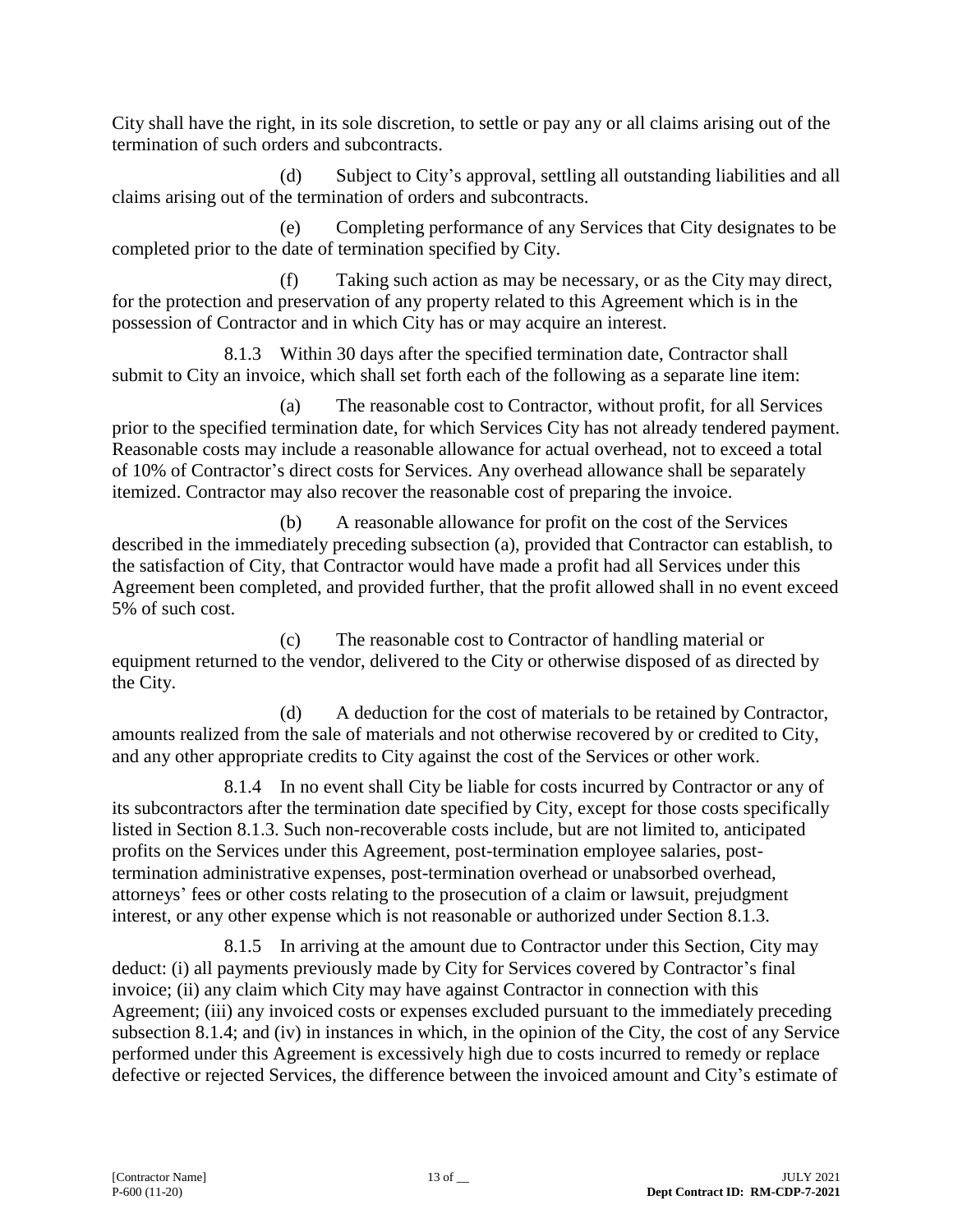City shall have the right, in its sole discretion, to settle or pay any or all claims arising out of the termination of such orders and subcontracts.

(d) Subject to City's approval, settling all outstanding liabilities and all claims arising out of the termination of orders and subcontracts.

(e) Completing performance of any Services that City designates to be completed prior to the date of termination specified by City.

(f) Taking such action as may be necessary, or as the City may direct, for the protection and preservation of any property related to this Agreement which is in the possession of Contractor and in which City has or may acquire an interest.

8.1.3 Within 30 days after the specified termination date, Contractor shall submit to City an invoice, which shall set forth each of the following as a separate line item:

(a) The reasonable cost to Contractor, without profit, for all Services prior to the specified termination date, for which Services City has not already tendered payment. Reasonable costs may include a reasonable allowance for actual overhead, not to exceed a total of 10% of Contractor's direct costs for Services. Any overhead allowance shall be separately itemized. Contractor may also recover the reasonable cost of preparing the invoice.

(b) A reasonable allowance for profit on the cost of the Services described in the immediately preceding subsection (a), provided that Contractor can establish, to the satisfaction of City, that Contractor would have made a profit had all Services under this Agreement been completed, and provided further, that the profit allowed shall in no event exceed 5% of such cost.

(c) The reasonable cost to Contractor of handling material or equipment returned to the vendor, delivered to the City or otherwise disposed of as directed by the City.

(d) A deduction for the cost of materials to be retained by Contractor, amounts realized from the sale of materials and not otherwise recovered by or credited to City, and any other appropriate credits to City against the cost of the Services or other work.

8.1.4 In no event shall City be liable for costs incurred by Contractor or any of its subcontractors after the termination date specified by City, except for those costs specifically listed in Section 8.1.3. Such non-recoverable costs include, but are not limited to, anticipated profits on the Services under this Agreement, post-termination employee salaries, posttermination administrative expenses, post-termination overhead or unabsorbed overhead, attorneys' fees or other costs relating to the prosecution of a claim or lawsuit, prejudgment interest, or any other expense which is not reasonable or authorized under Section 8.1.3.

8.1.5 In arriving at the amount due to Contractor under this Section, City may deduct: (i) all payments previously made by City for Services covered by Contractor's final invoice; (ii) any claim which City may have against Contractor in connection with this Agreement; (iii) any invoiced costs or expenses excluded pursuant to the immediately preceding subsection 8.1.4; and (iv) in instances in which, in the opinion of the City, the cost of any Service performed under this Agreement is excessively high due to costs incurred to remedy or replace defective or rejected Services, the difference between the invoiced amount and City's estimate of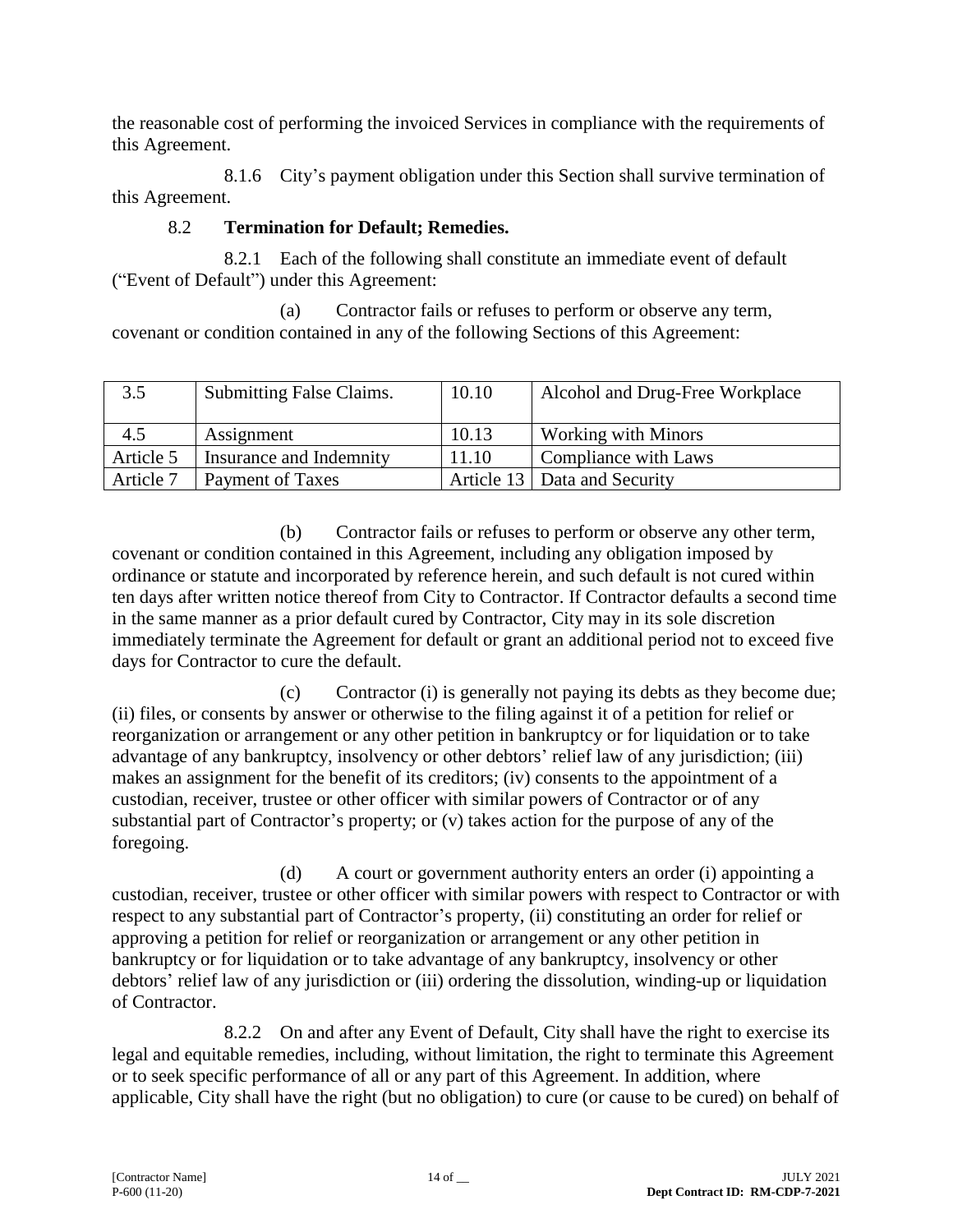the reasonable cost of performing the invoiced Services in compliance with the requirements of this Agreement.

8.1.6 City's payment obligation under this Section shall survive termination of this Agreement.

## 8.2 **Termination for Default; Remedies.**

8.2.1 Each of the following shall constitute an immediate event of default ("Event of Default") under this Agreement:

(a) Contractor fails or refuses to perform or observe any term, covenant or condition contained in any of the following Sections of this Agreement:

| 3.5       | <b>Submitting False Claims.</b> | 10.10 | Alcohol and Drug-Free Workplace |
|-----------|---------------------------------|-------|---------------------------------|
| 4.5       | Assignment                      | 10.13 | <b>Working with Minors</b>      |
| Article 5 | Insurance and Indemnity         | 11.10 | Compliance with Laws            |
| Article 7 | Payment of Taxes                |       | Article 13   Data and Security  |

(b) Contractor fails or refuses to perform or observe any other term, covenant or condition contained in this Agreement, including any obligation imposed by ordinance or statute and incorporated by reference herein, and such default is not cured within ten days after written notice thereof from City to Contractor. If Contractor defaults a second time in the same manner as a prior default cured by Contractor, City may in its sole discretion immediately terminate the Agreement for default or grant an additional period not to exceed five days for Contractor to cure the default.

(c) Contractor (i) is generally not paying its debts as they become due; (ii) files, or consents by answer or otherwise to the filing against it of a petition for relief or reorganization or arrangement or any other petition in bankruptcy or for liquidation or to take advantage of any bankruptcy, insolvency or other debtors' relief law of any jurisdiction; (iii) makes an assignment for the benefit of its creditors; (iv) consents to the appointment of a custodian, receiver, trustee or other officer with similar powers of Contractor or of any substantial part of Contractor's property; or (v) takes action for the purpose of any of the foregoing.

(d) A court or government authority enters an order (i) appointing a custodian, receiver, trustee or other officer with similar powers with respect to Contractor or with respect to any substantial part of Contractor's property, (ii) constituting an order for relief or approving a petition for relief or reorganization or arrangement or any other petition in bankruptcy or for liquidation or to take advantage of any bankruptcy, insolvency or other debtors' relief law of any jurisdiction or (iii) ordering the dissolution, winding-up or liquidation of Contractor.

8.2.2 On and after any Event of Default, City shall have the right to exercise its legal and equitable remedies, including, without limitation, the right to terminate this Agreement or to seek specific performance of all or any part of this Agreement. In addition, where applicable, City shall have the right (but no obligation) to cure (or cause to be cured) on behalf of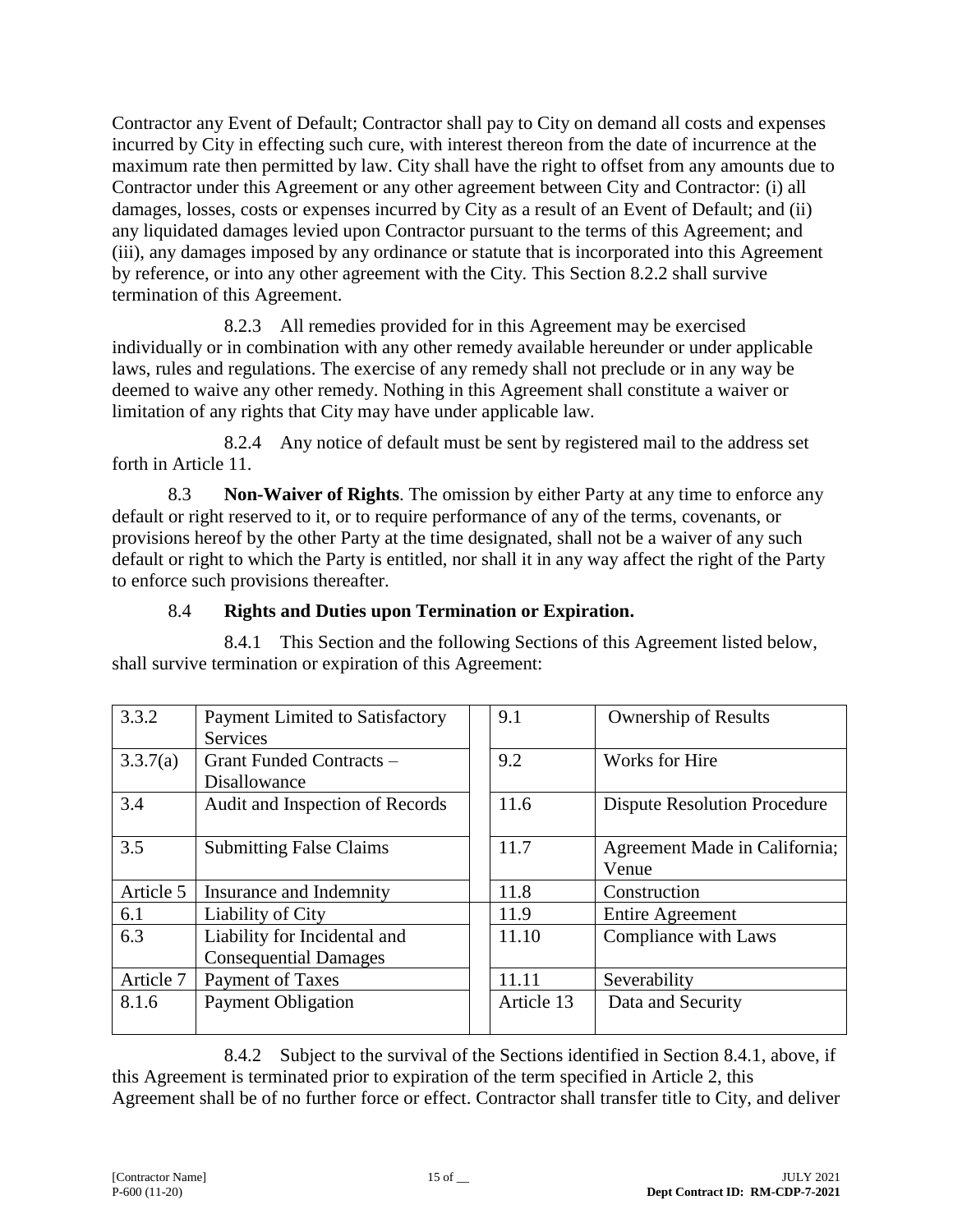Contractor any Event of Default; Contractor shall pay to City on demand all costs and expenses incurred by City in effecting such cure, with interest thereon from the date of incurrence at the maximum rate then permitted by law. City shall have the right to offset from any amounts due to Contractor under this Agreement or any other agreement between City and Contractor: (i) all damages, losses, costs or expenses incurred by City as a result of an Event of Default; and (ii) any liquidated damages levied upon Contractor pursuant to the terms of this Agreement; and (iii), any damages imposed by any ordinance or statute that is incorporated into this Agreement by reference, or into any other agreement with the City. This Section 8.2.2 shall survive termination of this Agreement.

8.2.3 All remedies provided for in this Agreement may be exercised individually or in combination with any other remedy available hereunder or under applicable laws, rules and regulations. The exercise of any remedy shall not preclude or in any way be deemed to waive any other remedy. Nothing in this Agreement shall constitute a waiver or limitation of any rights that City may have under applicable law.

8.2.4 Any notice of default must be sent by registered mail to the address set forth in Article 11.

8.3 **Non-Waiver of Rights**. The omission by either Party at any time to enforce any default or right reserved to it, or to require performance of any of the terms, covenants, or provisions hereof by the other Party at the time designated, shall not be a waiver of any such default or right to which the Party is entitled, nor shall it in any way affect the right of the Party to enforce such provisions thereafter.

## 8.4 **Rights and Duties upon Termination or Expiration.**

8.4.1 This Section and the following Sections of this Agreement listed below, shall survive termination or expiration of this Agreement:

| 3.3.2     | <b>Payment Limited to Satisfactory</b> | 9.1        | <b>Ownership of Results</b>         |
|-----------|----------------------------------------|------------|-------------------------------------|
|           | <b>Services</b>                        |            |                                     |
| 3.3.7(a)  | Grant Funded Contracts -               | 9.2        | Works for Hire                      |
|           | Disallowance                           |            |                                     |
| 3.4       | Audit and Inspection of Records        | 11.6       | <b>Dispute Resolution Procedure</b> |
|           |                                        |            |                                     |
| 3.5       | <b>Submitting False Claims</b>         | 11.7       | Agreement Made in California;       |
|           |                                        |            | Venue                               |
| Article 5 | Insurance and Indemnity                | 11.8       | Construction                        |
| 6.1       | Liability of City                      | 11.9       | <b>Entire Agreement</b>             |
| 6.3       | Liability for Incidental and           | 11.10      | Compliance with Laws                |
|           | <b>Consequential Damages</b>           |            |                                     |
| Article 7 | Payment of Taxes                       | 11.11      | Severability                        |
| 8.1.6     | <b>Payment Obligation</b>              | Article 13 | Data and Security                   |
|           |                                        |            |                                     |

8.4.2 Subject to the survival of the Sections identified in Section 8.4.1, above, if this Agreement is terminated prior to expiration of the term specified in Article 2, this Agreement shall be of no further force or effect. Contractor shall transfer title to City, and deliver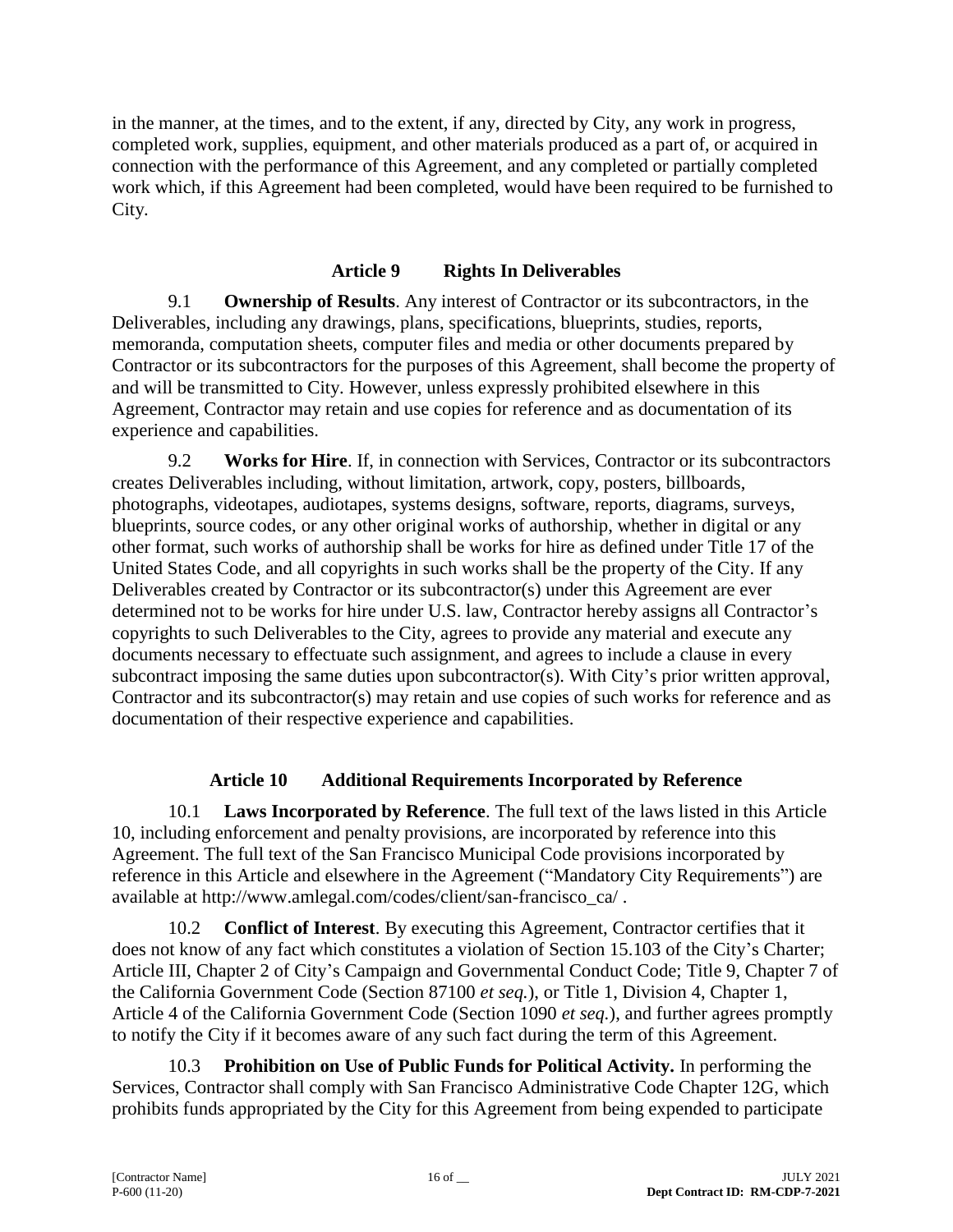in the manner, at the times, and to the extent, if any, directed by City, any work in progress, completed work, supplies, equipment, and other materials produced as a part of, or acquired in connection with the performance of this Agreement, and any completed or partially completed work which, if this Agreement had been completed, would have been required to be furnished to City.

## **Article 9 Rights In Deliverables**

9.1 **Ownership of Results**. Any interest of Contractor or its subcontractors, in the Deliverables, including any drawings, plans, specifications, blueprints, studies, reports, memoranda, computation sheets, computer files and media or other documents prepared by Contractor or its subcontractors for the purposes of this Agreement, shall become the property of and will be transmitted to City. However, unless expressly prohibited elsewhere in this Agreement, Contractor may retain and use copies for reference and as documentation of its experience and capabilities.

9.2 **Works for Hire**. If, in connection with Services, Contractor or its subcontractors creates Deliverables including, without limitation, artwork, copy, posters, billboards, photographs, videotapes, audiotapes, systems designs, software, reports, diagrams, surveys, blueprints, source codes, or any other original works of authorship, whether in digital or any other format, such works of authorship shall be works for hire as defined under Title 17 of the United States Code, and all copyrights in such works shall be the property of the City. If any Deliverables created by Contractor or its subcontractor(s) under this Agreement are ever determined not to be works for hire under U.S. law, Contractor hereby assigns all Contractor's copyrights to such Deliverables to the City, agrees to provide any material and execute any documents necessary to effectuate such assignment, and agrees to include a clause in every subcontract imposing the same duties upon subcontractor(s). With City's prior written approval, Contractor and its subcontractor(s) may retain and use copies of such works for reference and as documentation of their respective experience and capabilities.

## **Article 10 Additional Requirements Incorporated by Reference**

10.1 **Laws Incorporated by Reference**. The full text of the laws listed in this Article 10, including enforcement and penalty provisions, are incorporated by reference into this Agreement. The full text of the San Francisco Municipal Code provisions incorporated by reference in this Article and elsewhere in the Agreement ("Mandatory City Requirements") are available at http://www.amlegal.com/codes/client/san-francisco\_ca/ .

10.2 **Conflict of Interest**. By executing this Agreement, Contractor certifies that it does not know of any fact which constitutes a violation of Section 15.103 of the City's Charter; Article III, Chapter 2 of City's Campaign and Governmental Conduct Code; Title 9, Chapter 7 of the California Government Code (Section 87100 *et seq.*), or Title 1, Division 4, Chapter 1, Article 4 of the California Government Code (Section 1090 *et seq.*), and further agrees promptly to notify the City if it becomes aware of any such fact during the term of this Agreement.

10.3 **Prohibition on Use of Public Funds for Political Activity.** In performing the Services, Contractor shall comply with San Francisco Administrative Code Chapter 12G, which prohibits funds appropriated by the City for this Agreement from being expended to participate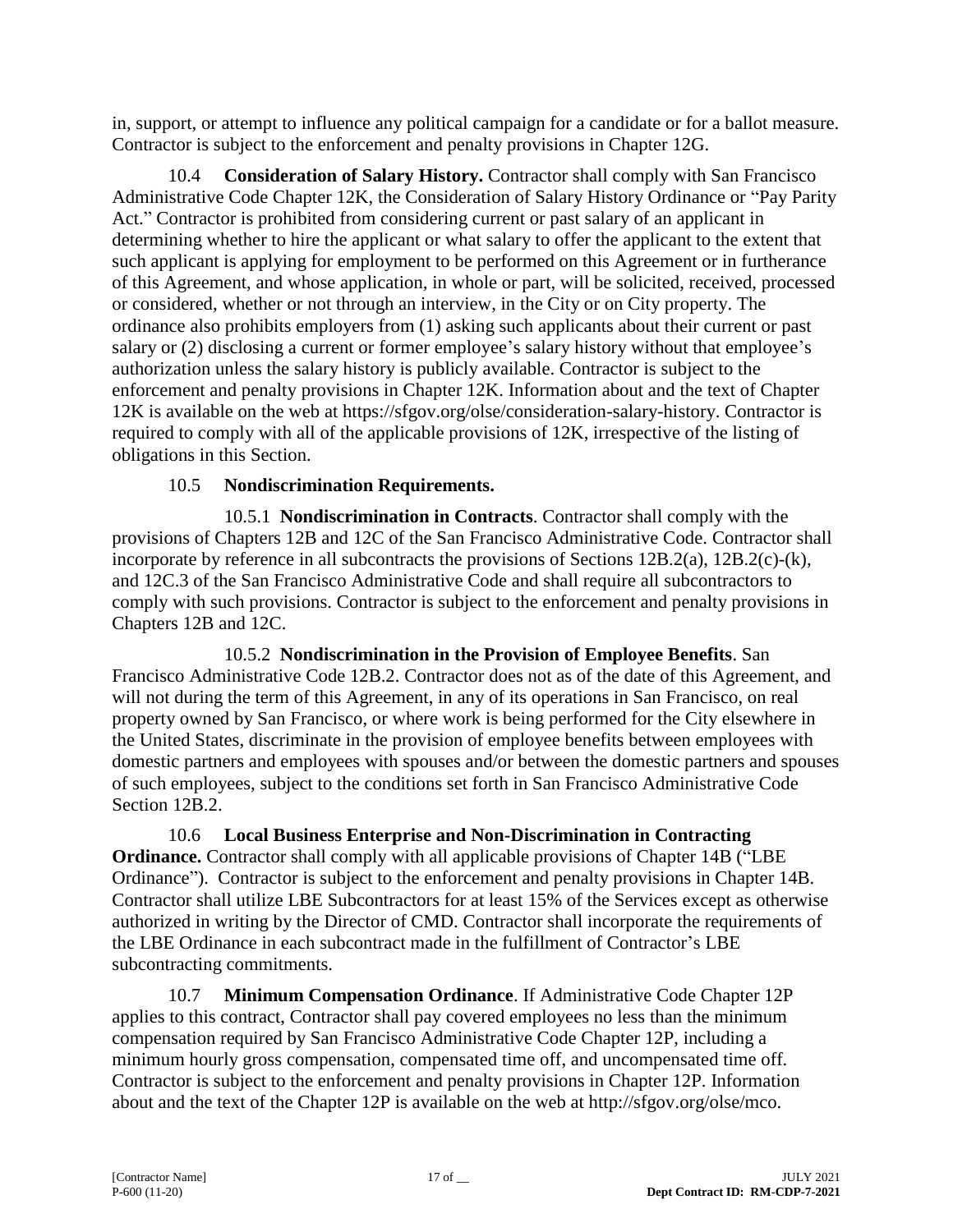in, support, or attempt to influence any political campaign for a candidate or for a ballot measure. Contractor is subject to the enforcement and penalty provisions in Chapter 12G.

10.4 **Consideration of Salary History.** Contractor shall comply with San Francisco Administrative Code Chapter 12K, the Consideration of Salary History Ordinance or "Pay Parity Act." Contractor is prohibited from considering current or past salary of an applicant in determining whether to hire the applicant or what salary to offer the applicant to the extent that such applicant is applying for employment to be performed on this Agreement or in furtherance of this Agreement, and whose application, in whole or part, will be solicited, received, processed or considered, whether or not through an interview, in the City or on City property. The ordinance also prohibits employers from (1) asking such applicants about their current or past salary or (2) disclosing a current or former employee's salary history without that employee's authorization unless the salary history is publicly available. Contractor is subject to the enforcement and penalty provisions in Chapter 12K. Information about and the text of Chapter 12K is available on the web at https://sfgov.org/olse/consideration-salary-history. Contractor is required to comply with all of the applicable provisions of 12K, irrespective of the listing of obligations in this Section.

## 10.5 **Nondiscrimination Requirements.**

10.5.1 **Nondiscrimination in Contracts**. Contractor shall comply with the provisions of Chapters 12B and 12C of the San Francisco Administrative Code. Contractor shall incorporate by reference in all subcontracts the provisions of Sections 12B.2(a), 12B.2(c)-(k), and 12C.3 of the San Francisco Administrative Code and shall require all subcontractors to comply with such provisions. Contractor is subject to the enforcement and penalty provisions in Chapters 12B and 12C.

10.5.2 **Nondiscrimination in the Provision of Employee Benefits**. San Francisco Administrative Code 12B.2. Contractor does not as of the date of this Agreement, and will not during the term of this Agreement, in any of its operations in San Francisco, on real property owned by San Francisco, or where work is being performed for the City elsewhere in the United States, discriminate in the provision of employee benefits between employees with domestic partners and employees with spouses and/or between the domestic partners and spouses of such employees, subject to the conditions set forth in San Francisco Administrative Code Section 12B.2.

10.6 **Local Business Enterprise and Non-Discrimination in Contracting Ordinance.** Contractor shall comply with all applicable provisions of Chapter 14B ("LBE Ordinance"). Contractor is subject to the enforcement and penalty provisions in Chapter 14B. Contractor shall utilize LBE Subcontractors for at least 15% of the Services except as otherwise authorized in writing by the Director of CMD. Contractor shall incorporate the requirements of the LBE Ordinance in each subcontract made in the fulfillment of Contractor's LBE subcontracting commitments.

10.7 **Minimum Compensation Ordinance**. If Administrative Code Chapter 12P applies to this contract, Contractor shall pay covered employees no less than the minimum compensation required by San Francisco Administrative Code Chapter 12P, including a minimum hourly gross compensation, compensated time off, and uncompensated time off. Contractor is subject to the enforcement and penalty provisions in Chapter 12P. Information about and the text of the Chapter 12P is available on the web at http://sfgov.org/olse/mco.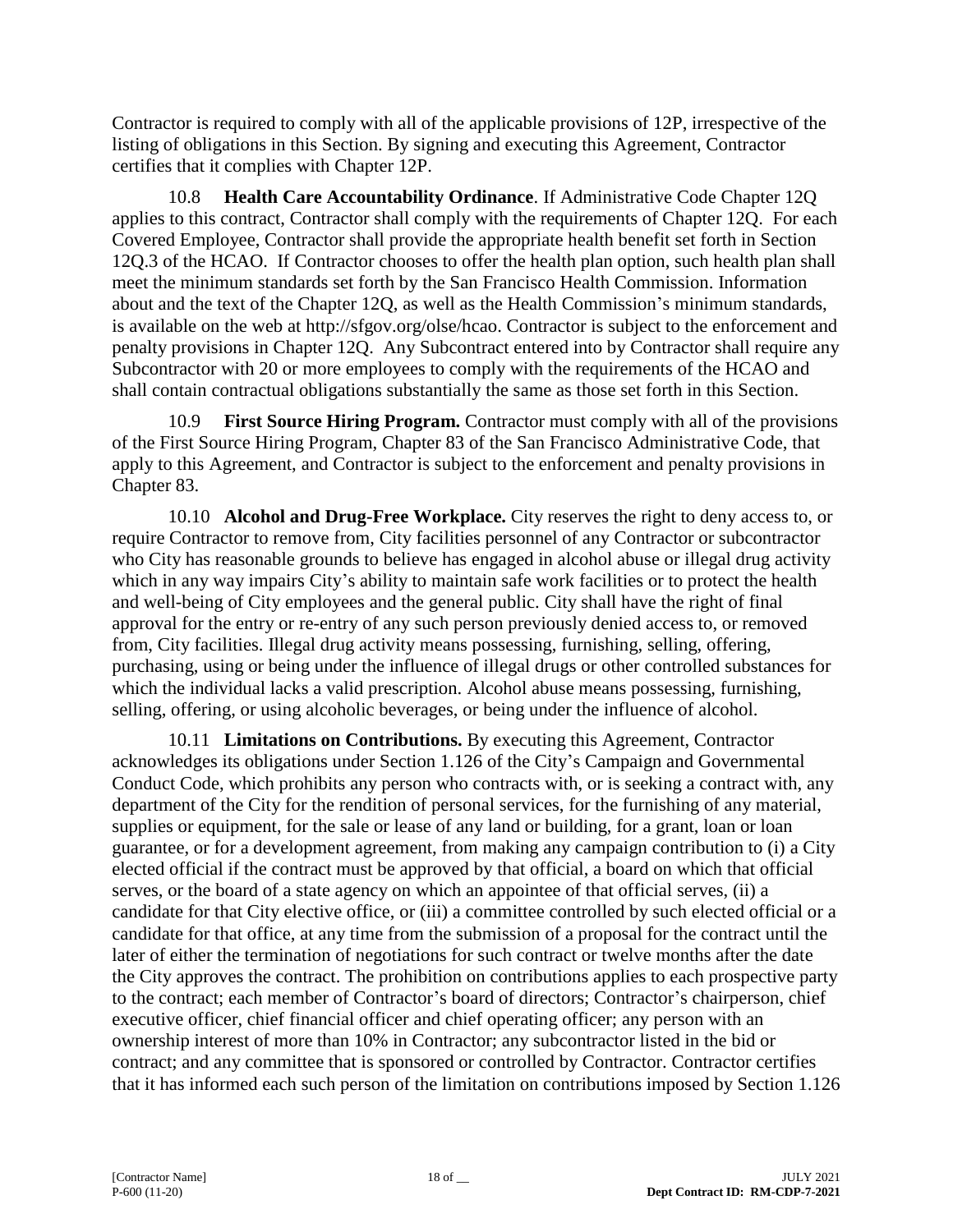Contractor is required to comply with all of the applicable provisions of 12P, irrespective of the listing of obligations in this Section. By signing and executing this Agreement, Contractor certifies that it complies with Chapter 12P.

10.8 **Health Care Accountability Ordinance**. If Administrative Code Chapter 12Q applies to this contract, Contractor shall comply with the requirements of Chapter 12Q. For each Covered Employee, Contractor shall provide the appropriate health benefit set forth in Section 12Q.3 of the HCAO. If Contractor chooses to offer the health plan option, such health plan shall meet the minimum standards set forth by the San Francisco Health Commission. Information about and the text of the Chapter 12Q, as well as the Health Commission's minimum standards, is available on the web at http://sfgov.org/olse/hcao. Contractor is subject to the enforcement and penalty provisions in Chapter 12Q. Any Subcontract entered into by Contractor shall require any Subcontractor with 20 or more employees to comply with the requirements of the HCAO and shall contain contractual obligations substantially the same as those set forth in this Section.

10.9 **First Source Hiring Program.** Contractor must comply with all of the provisions of the First Source Hiring Program, Chapter 83 of the San Francisco Administrative Code, that apply to this Agreement, and Contractor is subject to the enforcement and penalty provisions in Chapter 83.

10.10 **Alcohol and Drug-Free Workplace.** City reserves the right to deny access to, or require Contractor to remove from, City facilities personnel of any Contractor or subcontractor who City has reasonable grounds to believe has engaged in alcohol abuse or illegal drug activity which in any way impairs City's ability to maintain safe work facilities or to protect the health and well-being of City employees and the general public. City shall have the right of final approval for the entry or re-entry of any such person previously denied access to, or removed from, City facilities. Illegal drug activity means possessing, furnishing, selling, offering, purchasing, using or being under the influence of illegal drugs or other controlled substances for which the individual lacks a valid prescription. Alcohol abuse means possessing, furnishing, selling, offering, or using alcoholic beverages, or being under the influence of alcohol.

10.11 **Limitations on Contributions.** By executing this Agreement, Contractor acknowledges its obligations under Section 1.126 of the City's Campaign and Governmental Conduct Code, which prohibits any person who contracts with, or is seeking a contract with, any department of the City for the rendition of personal services, for the furnishing of any material, supplies or equipment, for the sale or lease of any land or building, for a grant, loan or loan guarantee, or for a development agreement, from making any campaign contribution to (i) a City elected official if the contract must be approved by that official, a board on which that official serves, or the board of a state agency on which an appointee of that official serves, (ii) a candidate for that City elective office, or (iii) a committee controlled by such elected official or a candidate for that office, at any time from the submission of a proposal for the contract until the later of either the termination of negotiations for such contract or twelve months after the date the City approves the contract. The prohibition on contributions applies to each prospective party to the contract; each member of Contractor's board of directors; Contractor's chairperson, chief executive officer, chief financial officer and chief operating officer; any person with an ownership interest of more than 10% in Contractor; any subcontractor listed in the bid or contract; and any committee that is sponsored or controlled by Contractor. Contractor certifies that it has informed each such person of the limitation on contributions imposed by Section 1.126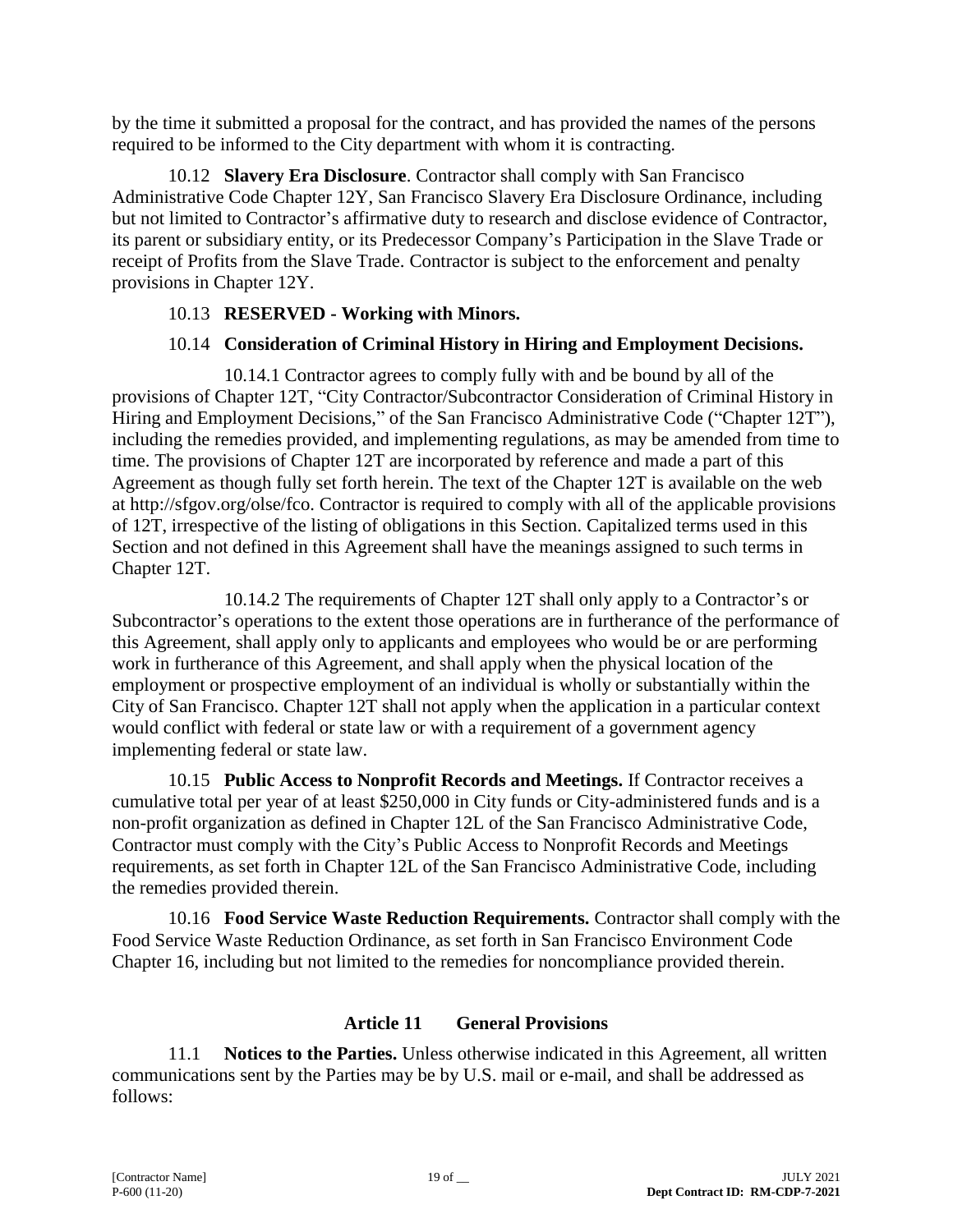by the time it submitted a proposal for the contract, and has provided the names of the persons required to be informed to the City department with whom it is contracting.

10.12 **Slavery Era Disclosure**. Contractor shall comply with San Francisco Administrative Code Chapter 12Y, San Francisco Slavery Era Disclosure Ordinance, including but not limited to Contractor's affirmative duty to research and disclose evidence of Contractor, its parent or subsidiary entity, or its Predecessor Company's Participation in the Slave Trade or receipt of Profits from the Slave Trade. Contractor is subject to the enforcement and penalty provisions in Chapter 12Y.

## 10.13 **RESERVED - Working with Minors.**

## 10.14 **Consideration of Criminal History in Hiring and Employment Decisions.**

10.14.1 Contractor agrees to comply fully with and be bound by all of the provisions of Chapter 12T, "City Contractor/Subcontractor Consideration of Criminal History in Hiring and Employment Decisions," of the San Francisco Administrative Code ("Chapter 12T"), including the remedies provided, and implementing regulations, as may be amended from time to time. The provisions of Chapter 12T are incorporated by reference and made a part of this Agreement as though fully set forth herein. The text of the Chapter 12T is available on the web at http://sfgov.org/olse/fco. Contractor is required to comply with all of the applicable provisions of 12T, irrespective of the listing of obligations in this Section. Capitalized terms used in this Section and not defined in this Agreement shall have the meanings assigned to such terms in Chapter 12T.

10.14.2 The requirements of Chapter 12T shall only apply to a Contractor's or Subcontractor's operations to the extent those operations are in furtherance of the performance of this Agreement, shall apply only to applicants and employees who would be or are performing work in furtherance of this Agreement, and shall apply when the physical location of the employment or prospective employment of an individual is wholly or substantially within the City of San Francisco. Chapter 12T shall not apply when the application in a particular context would conflict with federal or state law or with a requirement of a government agency implementing federal or state law.

10.15 **Public Access to Nonprofit Records and Meetings.** If Contractor receives a cumulative total per year of at least \$250,000 in City funds or City-administered funds and is a non-profit organization as defined in Chapter 12L of the San Francisco Administrative Code, Contractor must comply with the City's Public Access to Nonprofit Records and Meetings requirements, as set forth in Chapter 12L of the San Francisco Administrative Code, including the remedies provided therein.

10.16 **Food Service Waste Reduction Requirements.** Contractor shall comply with the Food Service Waste Reduction Ordinance, as set forth in San Francisco Environment Code Chapter 16, including but not limited to the remedies for noncompliance provided therein.

## **Article 11 General Provisions**

11.1 **Notices to the Parties.** Unless otherwise indicated in this Agreement, all written communications sent by the Parties may be by U.S. mail or e-mail, and shall be addressed as follows: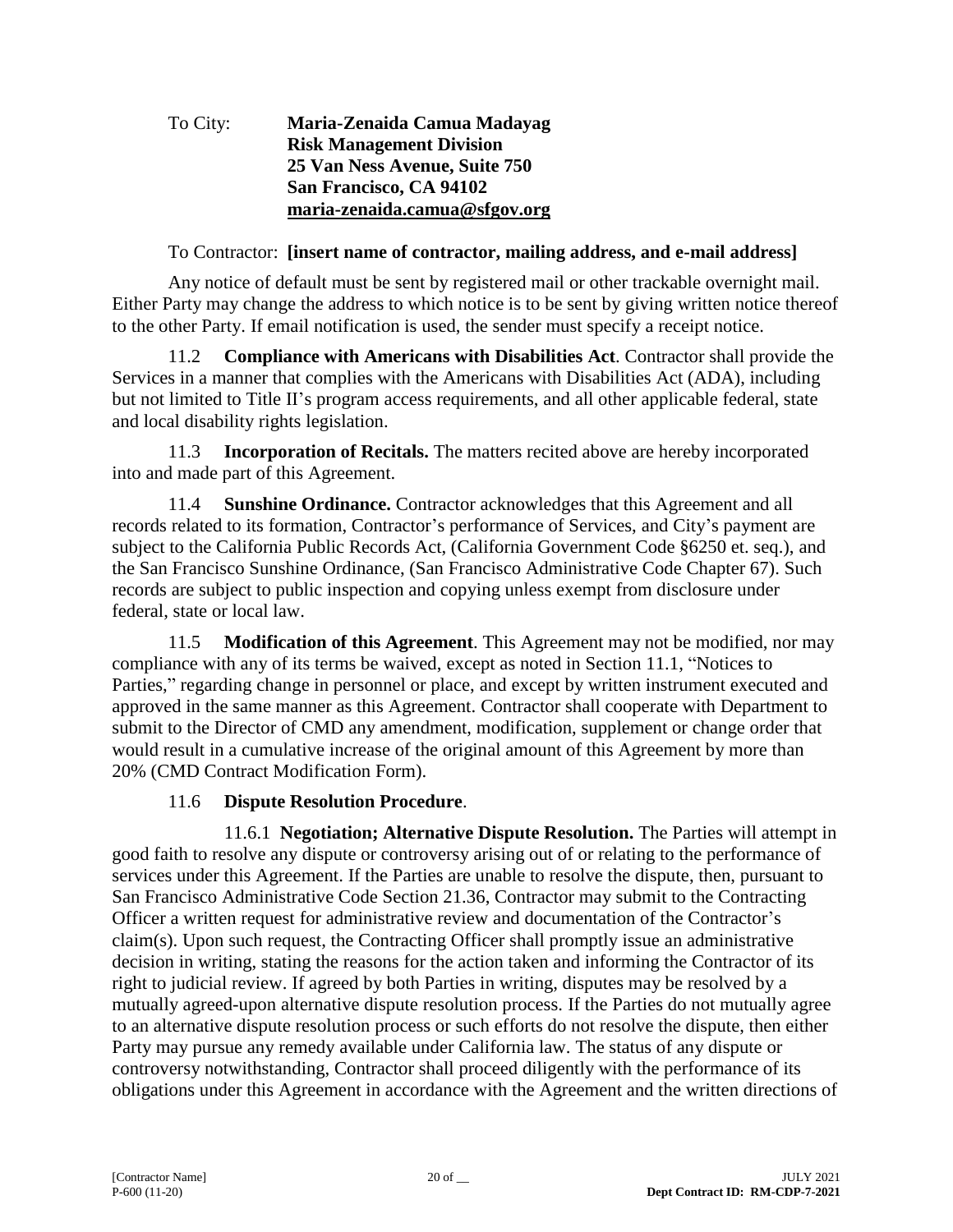### To City: **Maria-Zenaida Camua Madayag Risk Management Division 25 Van Ness Avenue, Suite 750 San Francisco, CA 94102 [maria-zenaida.camua@sfgov.org](mailto:maria-zenaida.camua@sfgov.org)**

## To Contractor: **[insert name of contractor, mailing address, and e-mail address]**

Any notice of default must be sent by registered mail or other trackable overnight mail. Either Party may change the address to which notice is to be sent by giving written notice thereof to the other Party. If email notification is used, the sender must specify a receipt notice.

11.2 **Compliance with Americans with Disabilities Act**. Contractor shall provide the Services in a manner that complies with the Americans with Disabilities Act (ADA), including but not limited to Title II's program access requirements, and all other applicable federal, state and local disability rights legislation.

11.3 **Incorporation of Recitals.** The matters recited above are hereby incorporated into and made part of this Agreement.

11.4 **Sunshine Ordinance.** Contractor acknowledges that this Agreement and all records related to its formation, Contractor's performance of Services, and City's payment are subject to the California Public Records Act, (California Government Code §6250 et. seq.), and the San Francisco Sunshine Ordinance, (San Francisco Administrative Code Chapter 67). Such records are subject to public inspection and copying unless exempt from disclosure under federal, state or local law.

11.5 **Modification of this Agreement**. This Agreement may not be modified, nor may compliance with any of its terms be waived, except as noted in Section 11.1, "Notices to Parties," regarding change in personnel or place, and except by written instrument executed and approved in the same manner as this Agreement. Contractor shall cooperate with Department to submit to the Director of CMD any amendment, modification, supplement or change order that would result in a cumulative increase of the original amount of this Agreement by more than 20% (CMD Contract Modification Form).

## 11.6 **Dispute Resolution Procedure**.

11.6.1 **Negotiation; Alternative Dispute Resolution.** The Parties will attempt in good faith to resolve any dispute or controversy arising out of or relating to the performance of services under this Agreement. If the Parties are unable to resolve the dispute, then, pursuant to San Francisco Administrative Code Section 21.36, Contractor may submit to the Contracting Officer a written request for administrative review and documentation of the Contractor's claim(s). Upon such request, the Contracting Officer shall promptly issue an administrative decision in writing, stating the reasons for the action taken and informing the Contractor of its right to judicial review. If agreed by both Parties in writing, disputes may be resolved by a mutually agreed-upon alternative dispute resolution process. If the Parties do not mutually agree to an alternative dispute resolution process or such efforts do not resolve the dispute, then either Party may pursue any remedy available under California law. The status of any dispute or controversy notwithstanding, Contractor shall proceed diligently with the performance of its obligations under this Agreement in accordance with the Agreement and the written directions of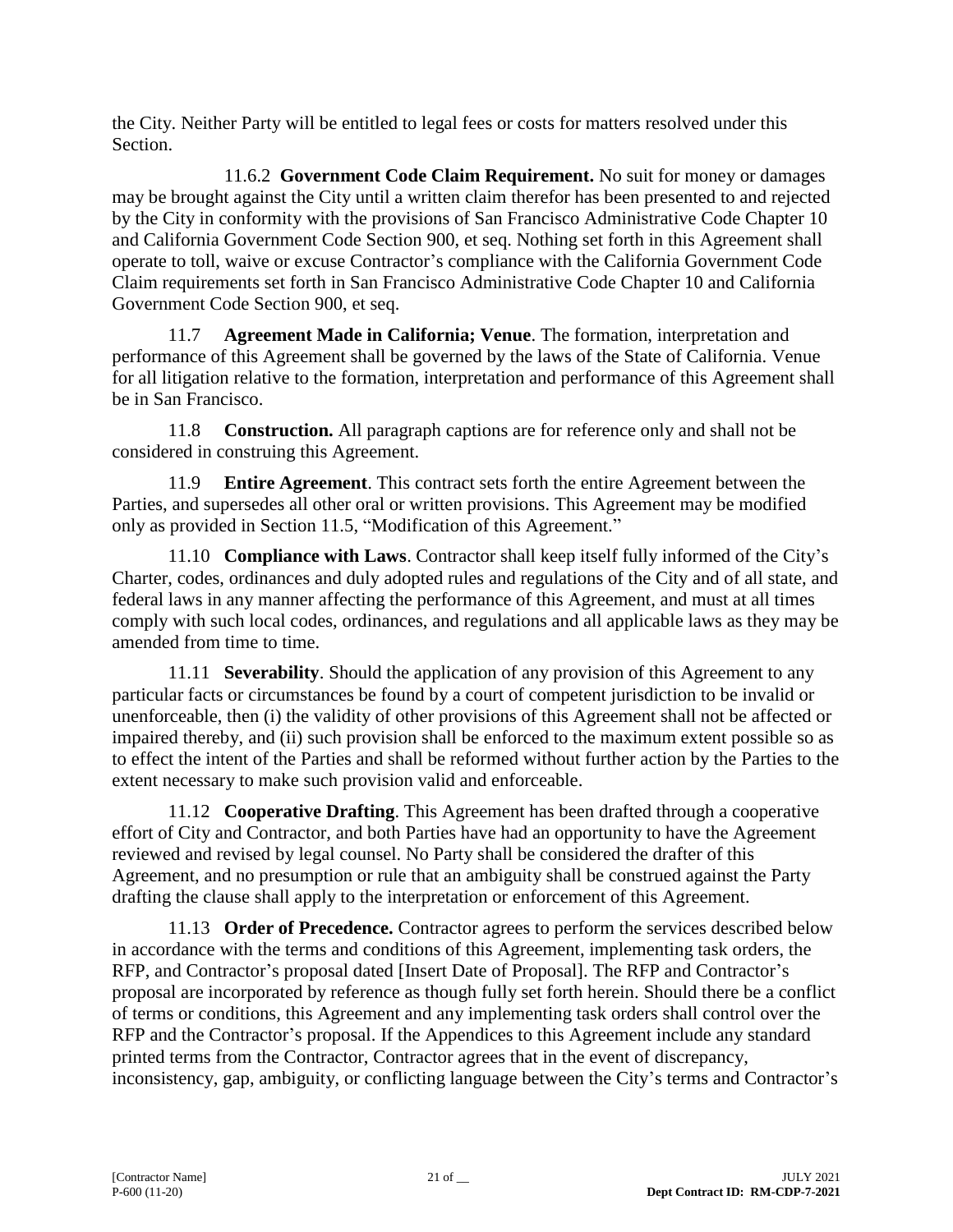the City. Neither Party will be entitled to legal fees or costs for matters resolved under this Section.

11.6.2 **Government Code Claim Requirement.** No suit for money or damages may be brought against the City until a written claim therefor has been presented to and rejected by the City in conformity with the provisions of San Francisco Administrative Code Chapter 10 and California Government Code Section 900, et seq. Nothing set forth in this Agreement shall operate to toll, waive or excuse Contractor's compliance with the California Government Code Claim requirements set forth in San Francisco Administrative Code Chapter 10 and California Government Code Section 900, et seq.

11.7 **Agreement Made in California; Venue**. The formation, interpretation and performance of this Agreement shall be governed by the laws of the State of California. Venue for all litigation relative to the formation, interpretation and performance of this Agreement shall be in San Francisco.

11.8 **Construction.** All paragraph captions are for reference only and shall not be considered in construing this Agreement.

11.9 **Entire Agreement**. This contract sets forth the entire Agreement between the Parties, and supersedes all other oral or written provisions. This Agreement may be modified only as provided in Section 11.5, "Modification of this Agreement."

11.10 **Compliance with Laws**. Contractor shall keep itself fully informed of the City's Charter, codes, ordinances and duly adopted rules and regulations of the City and of all state, and federal laws in any manner affecting the performance of this Agreement, and must at all times comply with such local codes, ordinances, and regulations and all applicable laws as they may be amended from time to time.

11.11 **Severability**. Should the application of any provision of this Agreement to any particular facts or circumstances be found by a court of competent jurisdiction to be invalid or unenforceable, then (i) the validity of other provisions of this Agreement shall not be affected or impaired thereby, and (ii) such provision shall be enforced to the maximum extent possible so as to effect the intent of the Parties and shall be reformed without further action by the Parties to the extent necessary to make such provision valid and enforceable.

11.12 **Cooperative Drafting**. This Agreement has been drafted through a cooperative effort of City and Contractor, and both Parties have had an opportunity to have the Agreement reviewed and revised by legal counsel. No Party shall be considered the drafter of this Agreement, and no presumption or rule that an ambiguity shall be construed against the Party drafting the clause shall apply to the interpretation or enforcement of this Agreement.

11.13 **Order of Precedence.** Contractor agrees to perform the services described below in accordance with the terms and conditions of this Agreement, implementing task orders, the RFP, and Contractor's proposal dated [Insert Date of Proposal]. The RFP and Contractor's proposal are incorporated by reference as though fully set forth herein. Should there be a conflict of terms or conditions, this Agreement and any implementing task orders shall control over the RFP and the Contractor's proposal. If the Appendices to this Agreement include any standard printed terms from the Contractor, Contractor agrees that in the event of discrepancy, inconsistency, gap, ambiguity, or conflicting language between the City's terms and Contractor's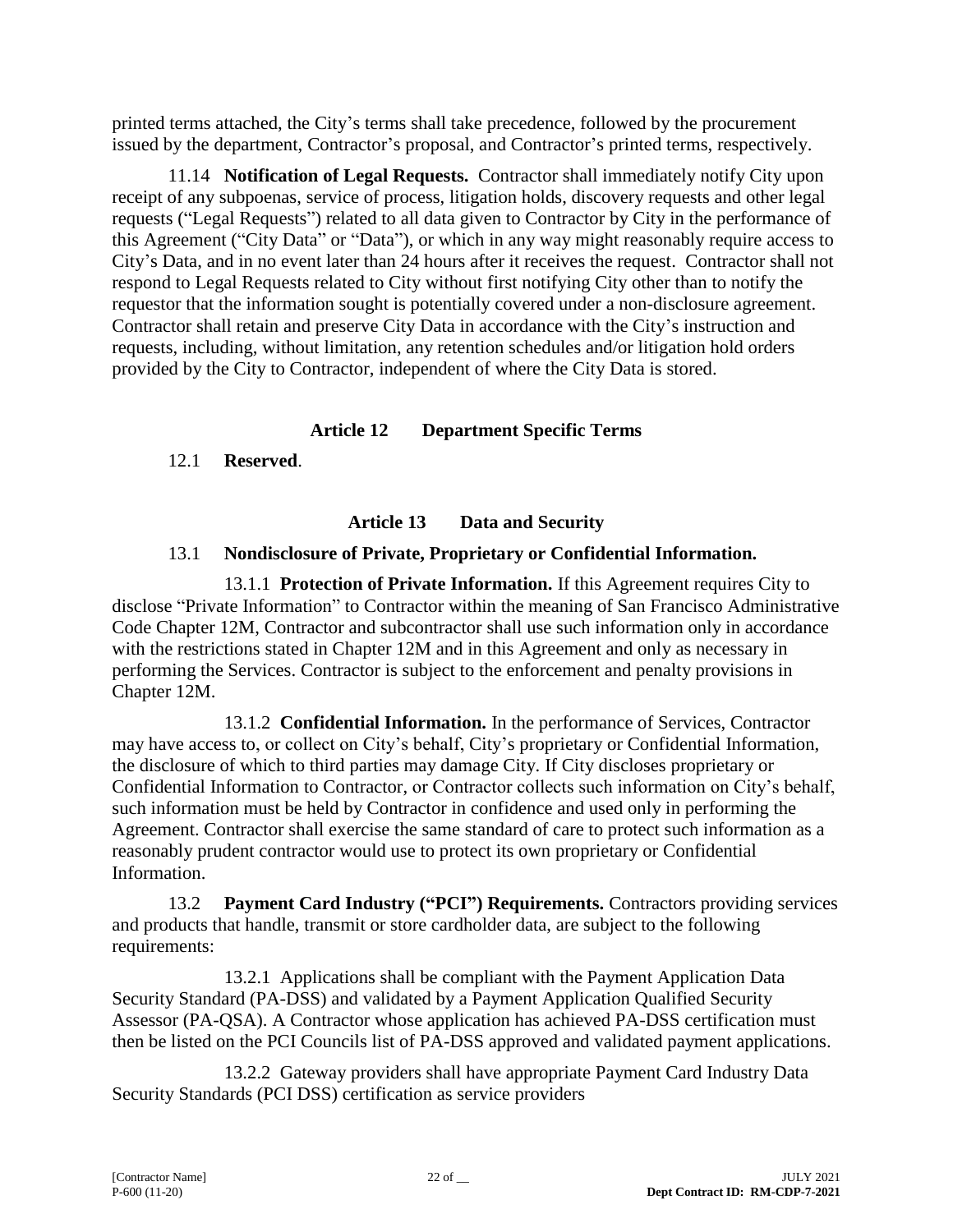printed terms attached, the City's terms shall take precedence, followed by the procurement issued by the department, Contractor's proposal, and Contractor's printed terms, respectively.

11.14 **Notification of Legal Requests.** Contractor shall immediately notify City upon receipt of any subpoenas, service of process, litigation holds, discovery requests and other legal requests ("Legal Requests") related to all data given to Contractor by City in the performance of this Agreement ("City Data" or "Data"), or which in any way might reasonably require access to City's Data, and in no event later than 24 hours after it receives the request. Contractor shall not respond to Legal Requests related to City without first notifying City other than to notify the requestor that the information sought is potentially covered under a non-disclosure agreement. Contractor shall retain and preserve City Data in accordance with the City's instruction and requests, including, without limitation, any retention schedules and/or litigation hold orders provided by the City to Contractor, independent of where the City Data is stored.

## **Article 12 Department Specific Terms**

## 12.1 **Reserved**.

## **Article 13 Data and Security**

## 13.1 **Nondisclosure of Private, Proprietary or Confidential Information.**

13.1.1 **Protection of Private Information.** If this Agreement requires City to disclose "Private Information" to Contractor within the meaning of San Francisco Administrative Code Chapter 12M, Contractor and subcontractor shall use such information only in accordance with the restrictions stated in Chapter 12M and in this Agreement and only as necessary in performing the Services. Contractor is subject to the enforcement and penalty provisions in Chapter 12M.

13.1.2 **Confidential Information.** In the performance of Services, Contractor may have access to, or collect on City's behalf, City's proprietary or Confidential Information, the disclosure of which to third parties may damage City. If City discloses proprietary or Confidential Information to Contractor, or Contractor collects such information on City's behalf, such information must be held by Contractor in confidence and used only in performing the Agreement. Contractor shall exercise the same standard of care to protect such information as a reasonably prudent contractor would use to protect its own proprietary or Confidential Information.

13.2 **Payment Card Industry ("PCI") Requirements.** Contractors providing services and products that handle, transmit or store cardholder data, are subject to the following requirements:

13.2.1 Applications shall be compliant with the Payment Application Data Security Standard (PA-DSS) and validated by a Payment Application Qualified Security Assessor (PA-QSA). A Contractor whose application has achieved PA-DSS certification must then be listed on the PCI Councils list of PA-DSS approved and validated payment applications.

13.2.2 Gateway providers shall have appropriate Payment Card Industry Data Security Standards (PCI DSS) certification as service providers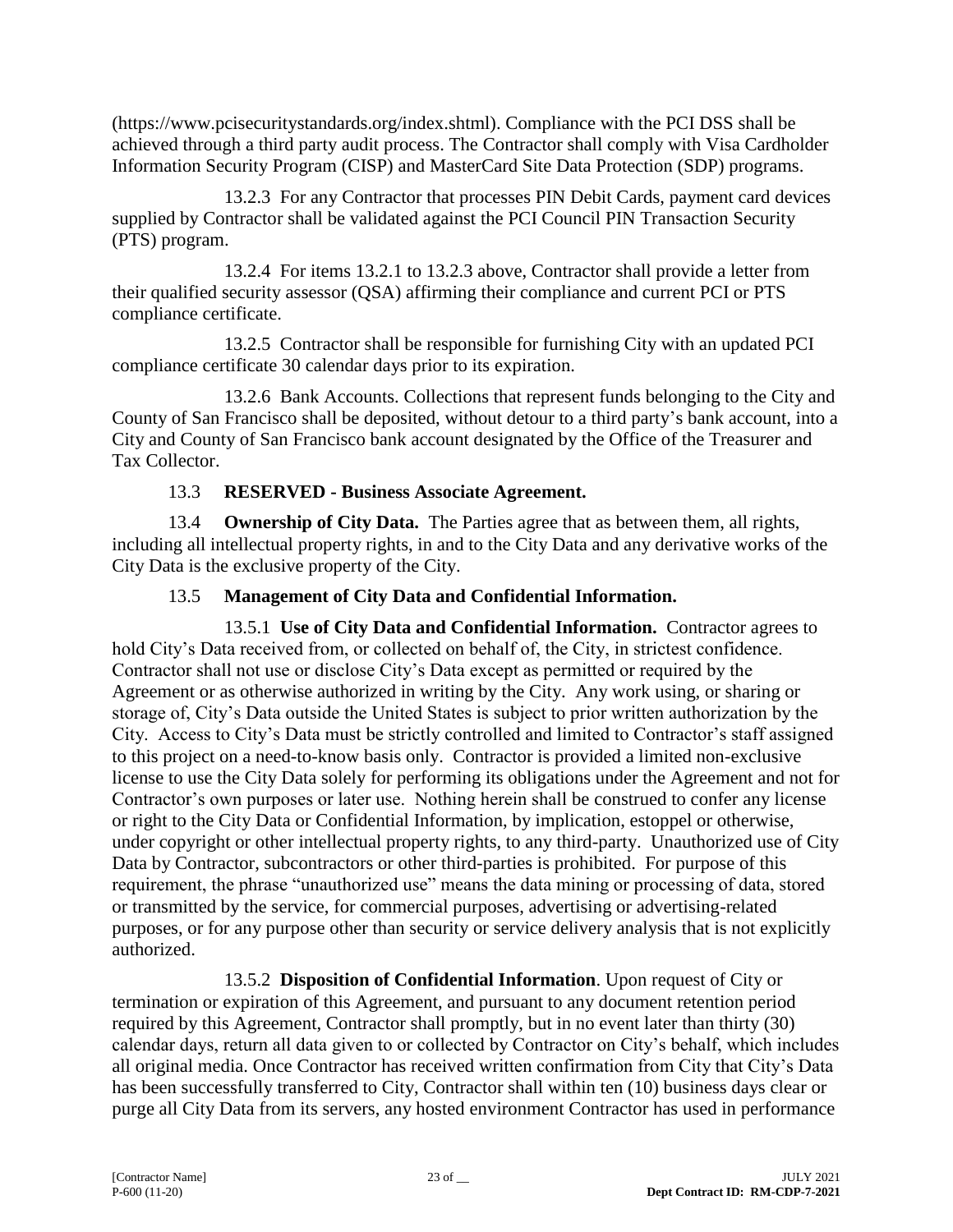(https://www.pcisecuritystandards.org/index.shtml). Compliance with the PCI DSS shall be achieved through a third party audit process. The Contractor shall comply with Visa Cardholder Information Security Program (CISP) and MasterCard Site Data Protection (SDP) programs.

13.2.3 For any Contractor that processes PIN Debit Cards, payment card devices supplied by Contractor shall be validated against the PCI Council PIN Transaction Security (PTS) program.

13.2.4 For items 13.2.1 to 13.2.3 above, Contractor shall provide a letter from their qualified security assessor (QSA) affirming their compliance and current PCI or PTS compliance certificate.

13.2.5 Contractor shall be responsible for furnishing City with an updated PCI compliance certificate 30 calendar days prior to its expiration.

13.2.6 Bank Accounts. Collections that represent funds belonging to the City and County of San Francisco shall be deposited, without detour to a third party's bank account, into a City and County of San Francisco bank account designated by the Office of the Treasurer and Tax Collector.

## 13.3 **RESERVED - Business Associate Agreement.**

13.4 **Ownership of City Data.** The Parties agree that as between them, all rights, including all intellectual property rights, in and to the City Data and any derivative works of the City Data is the exclusive property of the City.

## 13.5 **Management of City Data and Confidential Information.**

13.5.1 **Use of City Data and Confidential Information.** Contractor agrees to hold City's Data received from, or collected on behalf of, the City, in strictest confidence. Contractor shall not use or disclose City's Data except as permitted or required by the Agreement or as otherwise authorized in writing by the City. Any work using, or sharing or storage of, City's Data outside the United States is subject to prior written authorization by the City. Access to City's Data must be strictly controlled and limited to Contractor's staff assigned to this project on a need-to-know basis only. Contractor is provided a limited non-exclusive license to use the City Data solely for performing its obligations under the Agreement and not for Contractor's own purposes or later use. Nothing herein shall be construed to confer any license or right to the City Data or Confidential Information, by implication, estoppel or otherwise, under copyright or other intellectual property rights, to any third-party. Unauthorized use of City Data by Contractor, subcontractors or other third-parties is prohibited. For purpose of this requirement, the phrase "unauthorized use" means the data mining or processing of data, stored or transmitted by the service, for commercial purposes, advertising or advertising-related purposes, or for any purpose other than security or service delivery analysis that is not explicitly authorized.

13.5.2 **Disposition of Confidential Information**. Upon request of City or termination or expiration of this Agreement, and pursuant to any document retention period required by this Agreement, Contractor shall promptly, but in no event later than thirty (30) calendar days, return all data given to or collected by Contractor on City's behalf, which includes all original media. Once Contractor has received written confirmation from City that City's Data has been successfully transferred to City, Contractor shall within ten (10) business days clear or purge all City Data from its servers, any hosted environment Contractor has used in performance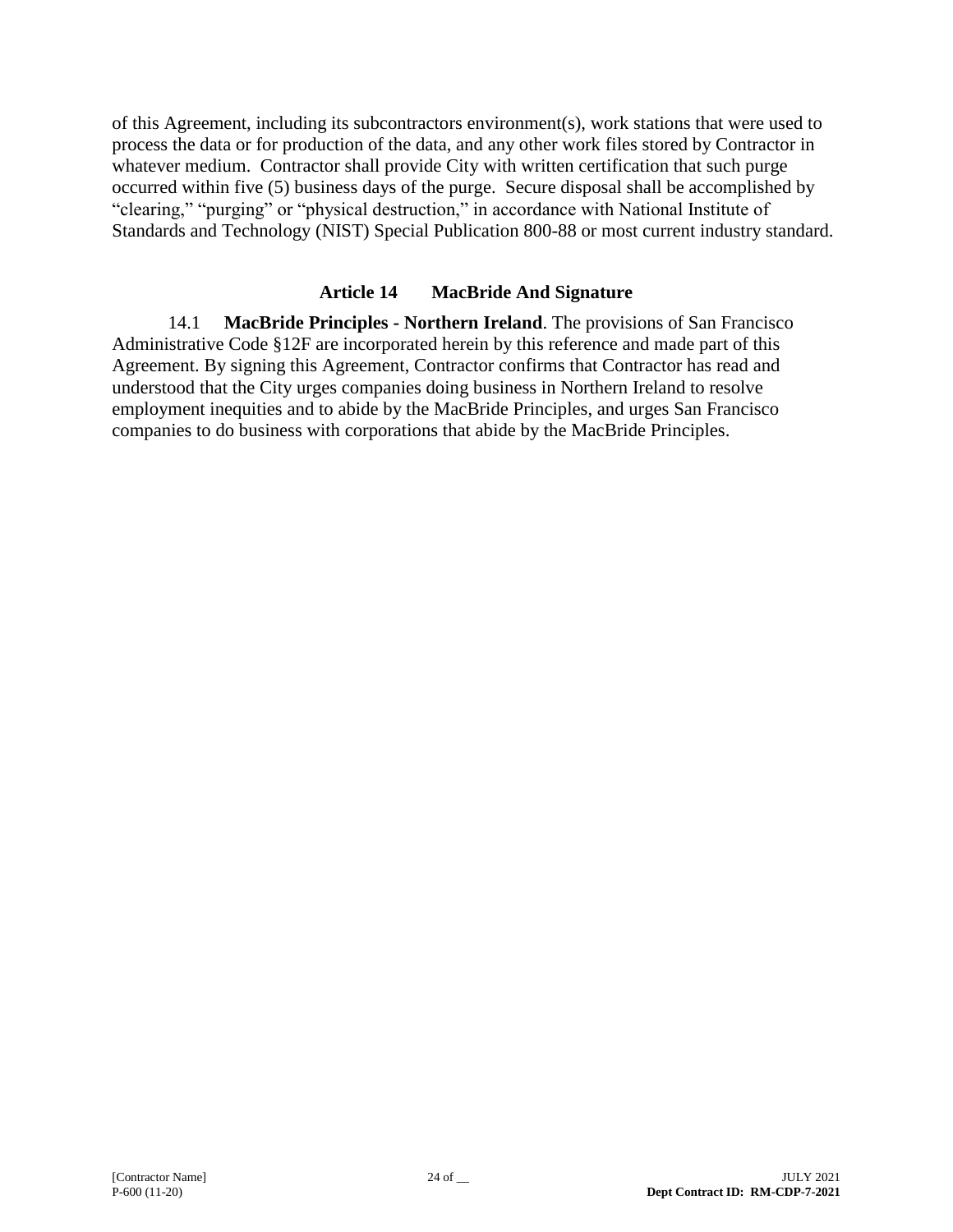of this Agreement, including its subcontractors environment(s), work stations that were used to process the data or for production of the data, and any other work files stored by Contractor in whatever medium. Contractor shall provide City with written certification that such purge occurred within five (5) business days of the purge. Secure disposal shall be accomplished by "clearing," "purging" or "physical destruction," in accordance with National Institute of Standards and Technology (NIST) Special Publication 800-88 or most current industry standard.

### **Article 14 MacBride And Signature**

14.1 **MacBride Principles - Northern Ireland**. The provisions of San Francisco Administrative Code §12F are incorporated herein by this reference and made part of this Agreement. By signing this Agreement, Contractor confirms that Contractor has read and understood that the City urges companies doing business in Northern Ireland to resolve employment inequities and to abide by the MacBride Principles, and urges San Francisco companies to do business with corporations that abide by the MacBride Principles.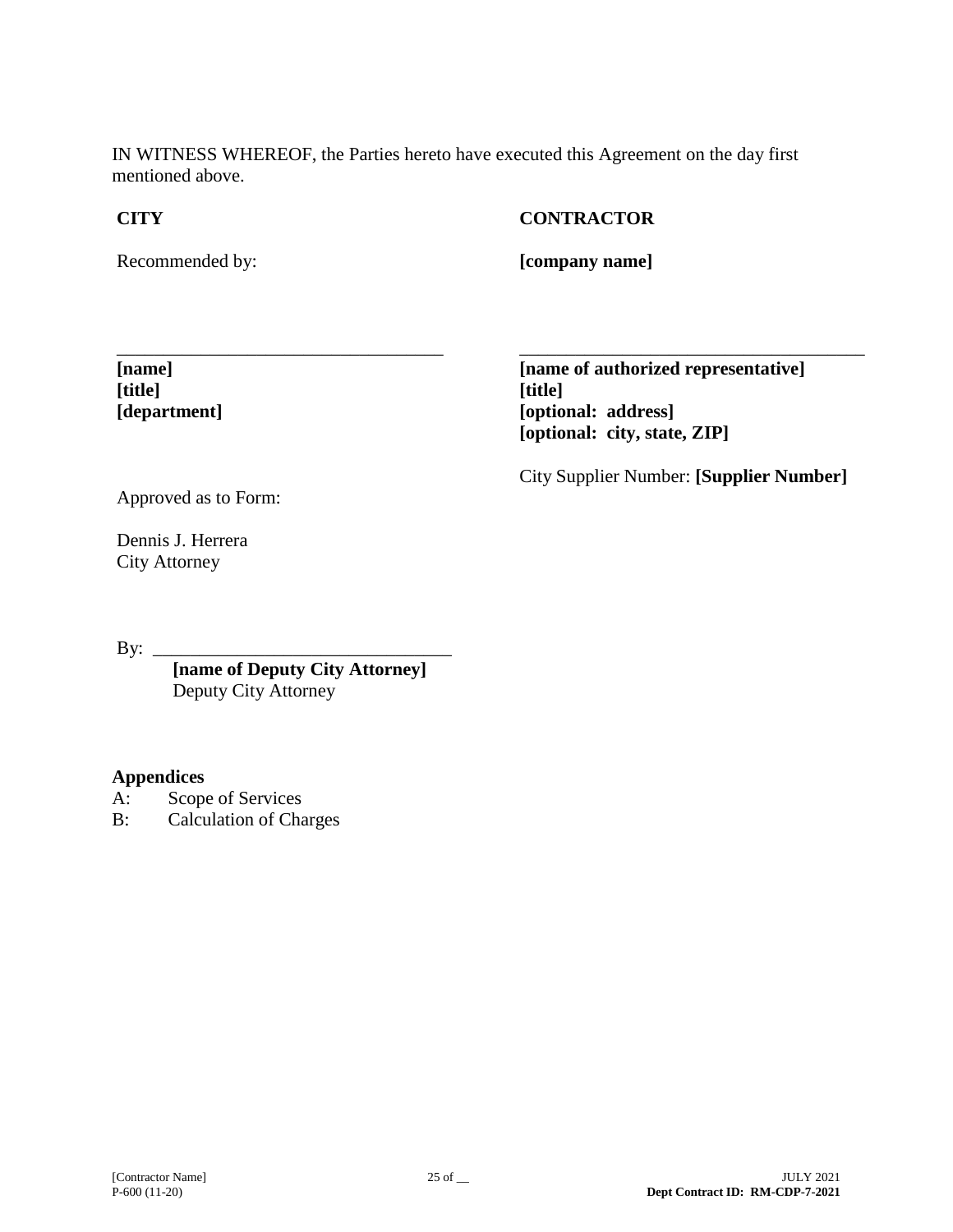IN WITNESS WHEREOF, the Parties hereto have executed this Agreement on the day first mentioned above.

## **CITY**

## **CONTRACTOR**

Recommended by:

**[company name]**

\_\_\_\_\_\_\_\_\_\_\_\_\_\_\_\_\_\_\_\_\_\_\_\_\_\_\_\_\_\_\_\_\_\_\_ **[name] [title] [department]**

**[name of authorized representative] [title] [optional: address] [optional: city, state, ZIP]**

City Supplier Number: **[Supplier Number]**

\_\_\_\_\_\_\_\_\_\_\_\_\_\_\_\_\_\_\_\_\_\_\_\_\_\_\_\_\_\_\_\_\_\_\_\_\_

Approved as to Form:

Dennis J. Herrera City Attorney

By:  $\_\_$ 

**[name of Deputy City Attorney]** Deputy City Attorney

### **Appendices**

- A: Scope of Services
- B: Calculation of Charges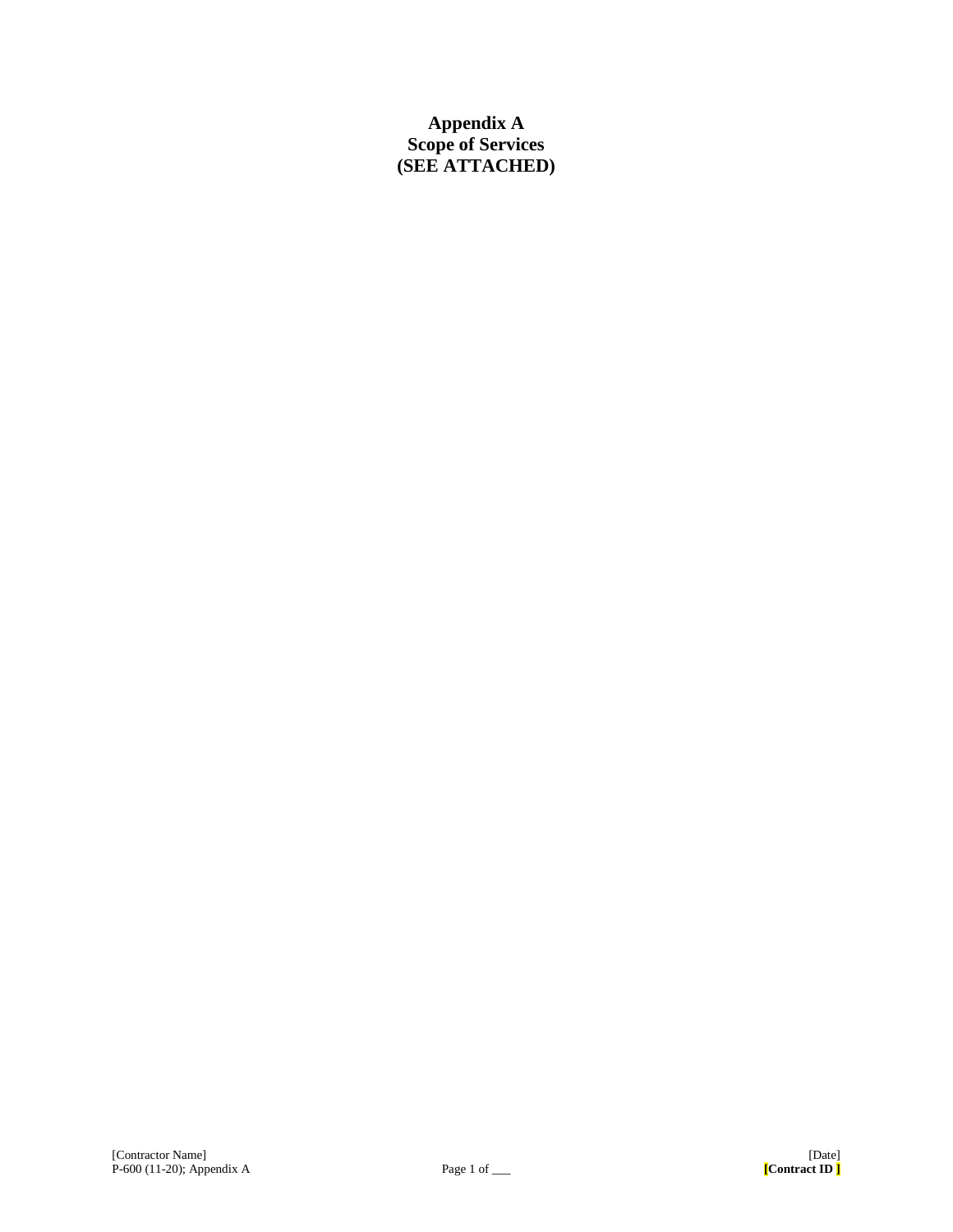## **Appendix A Scope of Services (SEE ATTACHED)**

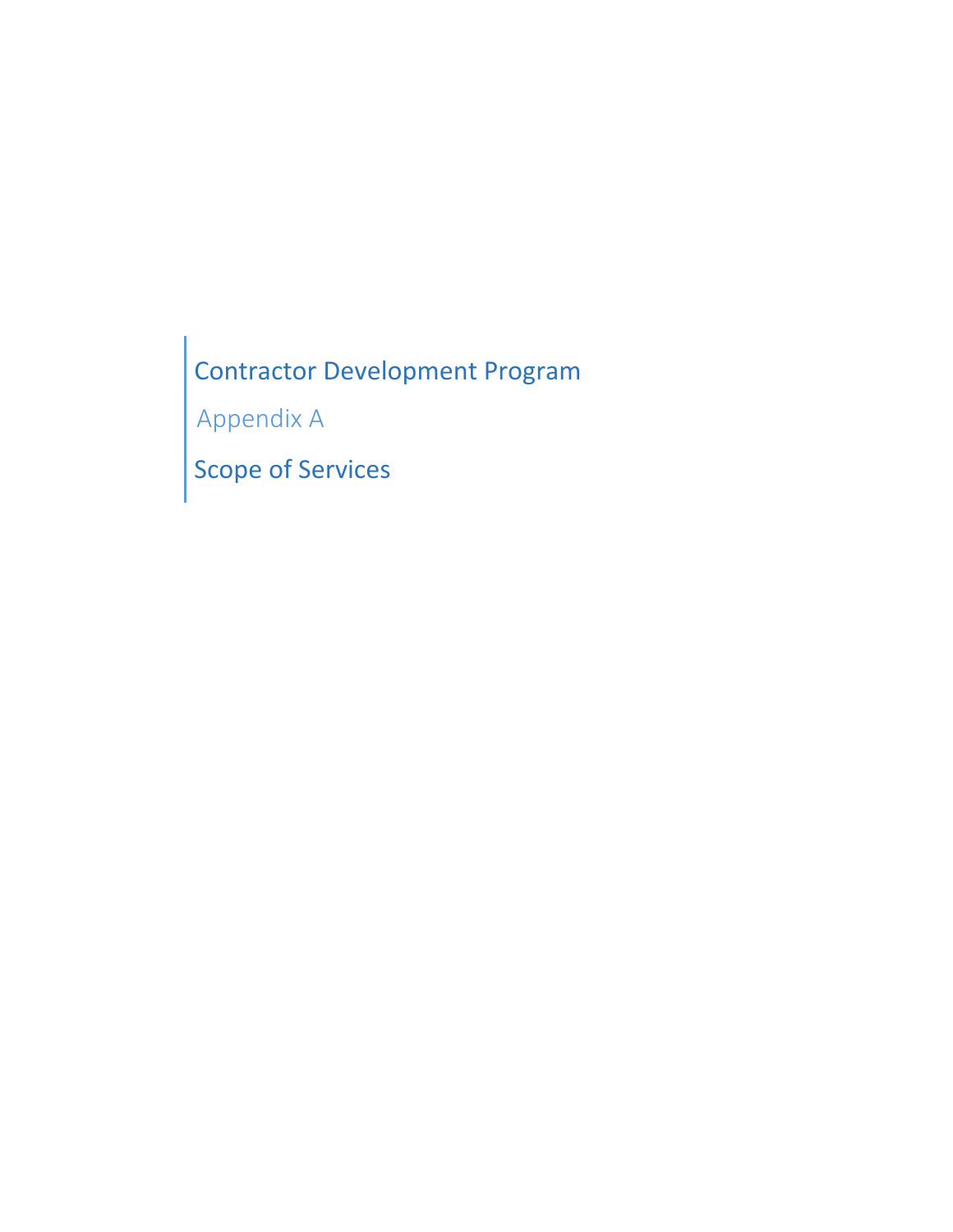Contractor Development Program

Appendix A

Scope of Services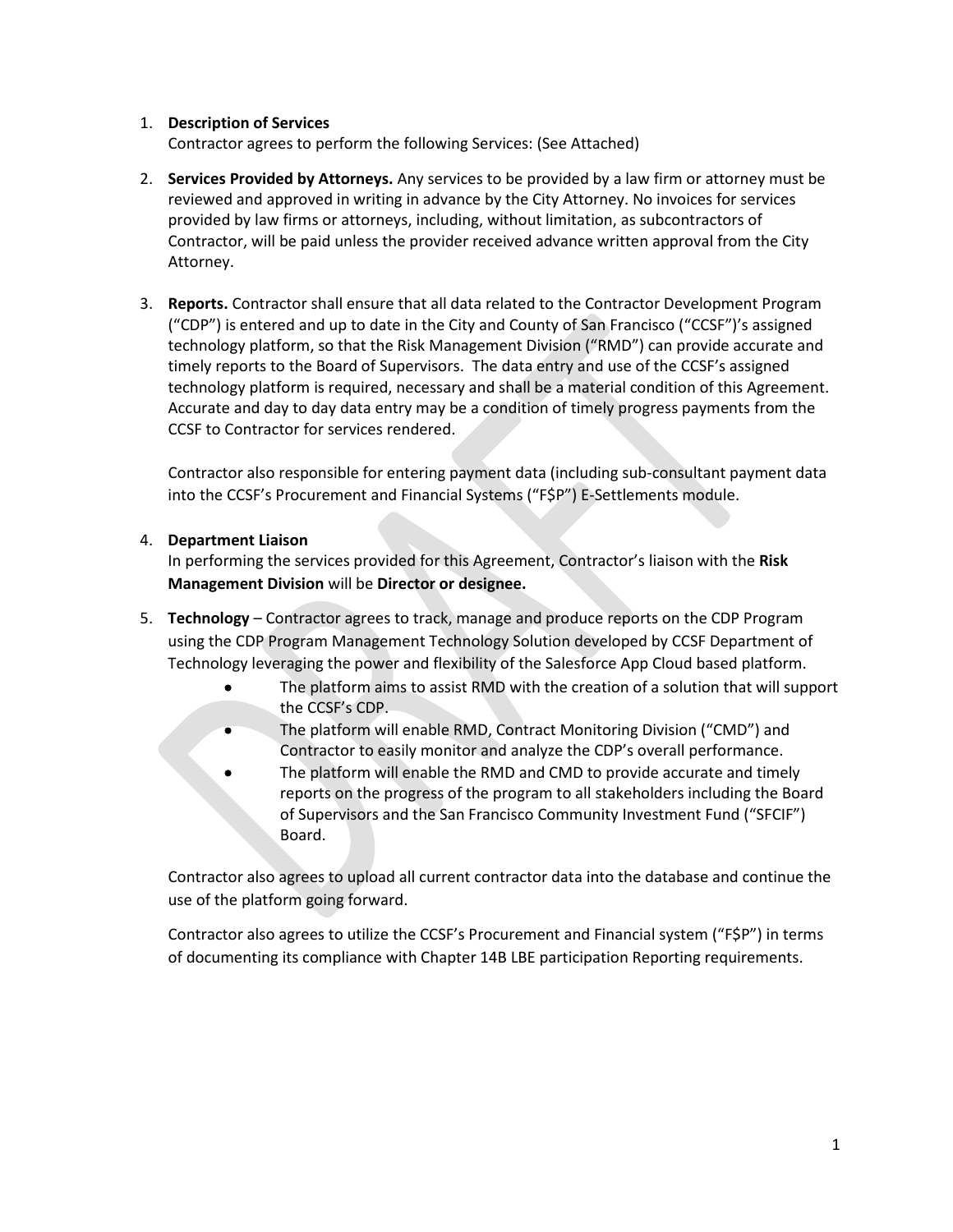### 1. **Description of Services**

Contractor agrees to perform the following Services: (See Attached)

- 2. **Services Provided by Attorneys.** Any services to be provided by a law firm or attorney must be reviewed and approved in writing in advance by the City Attorney. No invoices for services provided by law firms or attorneys, including, without limitation, as subcontractors of Contractor, will be paid unless the provider received advance written approval from the City Attorney.
- 3. **Reports.** Contractor shall ensure that all data related to the Contractor Development Program ("CDP") is entered and up to date in the City and County of San Francisco ("CCSF")'s assigned technology platform, so that the Risk Management Division ("RMD") can provide accurate and timely reports to the Board of Supervisors. The data entry and use of the CCSF's assigned technology platform is required, necessary and shall be a material condition of this Agreement. Accurate and day to day data entry may be a condition of timely progress payments from the CCSF to Contractor for services rendered.

Contractor also responsible for entering payment data (including sub-consultant payment data into the CCSF's Procurement and Financial Systems ("F\$P") E-Settlements module.

### 4. **Department Liaison**

In performing the services provided for this Agreement, Contractor's liaison with the **Risk Management Division** will be **Director or designee.**

- 5. **Technology** Contractor agrees to track, manage and produce reports on the CDP Program using the CDP Program Management Technology Solution developed by CCSF Department of Technology leveraging the power and flexibility of the Salesforce App Cloud based platform.
	- The platform aims to assist RMD with the creation of a solution that will support the CCSF's CDP.
	- The platform will enable RMD, Contract Monitoring Division ("CMD") and Contractor to easily monitor and analyze the CDP's overall performance.
	- The platform will enable the RMD and CMD to provide accurate and timely reports on the progress of the program to all stakeholders including the Board of Supervisors and the San Francisco Community Investment Fund ("SFCIF") Board.

Contractor also agrees to upload all current contractor data into the database and continue the use of the platform going forward.

Contractor also agrees to utilize the CCSF's Procurement and Financial system ("F\$P") in terms of documenting its compliance with Chapter 14B LBE participation Reporting requirements.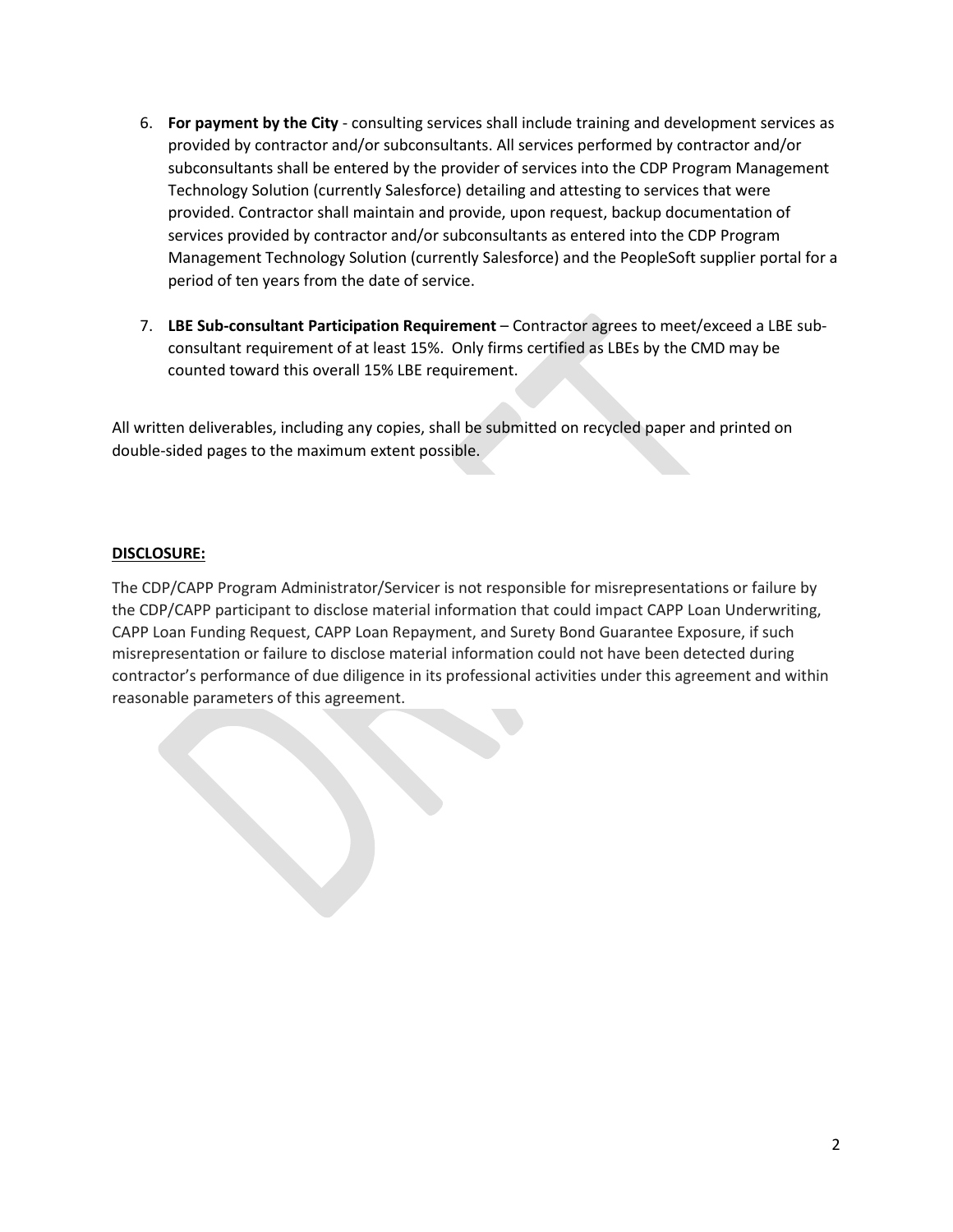- 6. **For payment by the City** consulting services shall include training and development services as provided by contractor and/or subconsultants. All services performed by contractor and/or subconsultants shall be entered by the provider of services into the CDP Program Management Technology Solution (currently Salesforce) detailing and attesting to services that were provided. Contractor shall maintain and provide, upon request, backup documentation of services provided by contractor and/or subconsultants as entered into the CDP Program Management Technology Solution (currently Salesforce) and the PeopleSoft supplier portal for a period of ten years from the date of service.
- 7. **LBE Sub-consultant Participation Requirement** Contractor agrees to meet/exceed a LBE subconsultant requirement of at least 15%. Only firms certified as LBEs by the CMD may be counted toward this overall 15% LBE requirement.

All written deliverables, including any copies, shall be submitted on recycled paper and printed on double-sided pages to the maximum extent possible.

### **DISCLOSURE:**

The CDP/CAPP Program Administrator/Servicer is not responsible for misrepresentations or failure by the CDP/CAPP participant to disclose material information that could impact CAPP Loan Underwriting, CAPP Loan Funding Request, CAPP Loan Repayment, and Surety Bond Guarantee Exposure, if such misrepresentation or failure to disclose material information could not have been detected during contractor's performance of due diligence in its professional activities under this agreement and within reasonable parameters of this agreement.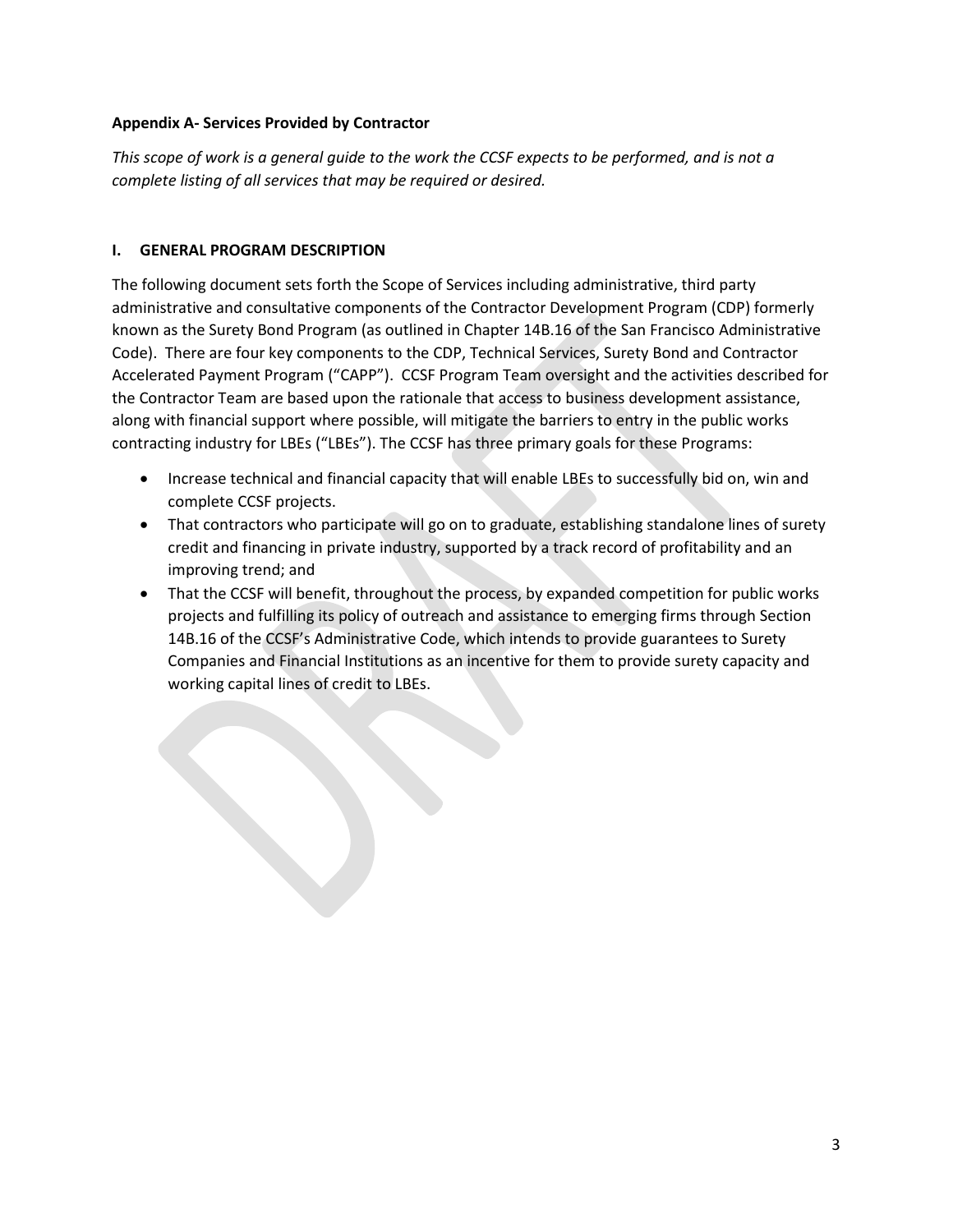### **Appendix A- Services Provided by Contractor**

*This scope of work is a general guide to the work the CCSF expects to be performed, and is not a complete listing of all services that may be required or desired.*

### **I. GENERAL PROGRAM DESCRIPTION**

The following document sets forth the Scope of Services including administrative, third party administrative and consultative components of the Contractor Development Program (CDP) formerly known as the Surety Bond Program (as outlined in Chapter 14B.16 of the San Francisco Administrative Code). There are four key components to the CDP, Technical Services, Surety Bond and Contractor Accelerated Payment Program ("CAPP"). CCSF Program Team oversight and the activities described for the Contractor Team are based upon the rationale that access to business development assistance, along with financial support where possible, will mitigate the barriers to entry in the public works contracting industry for LBEs ("LBEs"). The CCSF has three primary goals for these Programs:

- Increase technical and financial capacity that will enable LBEs to successfully bid on, win and complete CCSF projects.
- That contractors who participate will go on to graduate, establishing standalone lines of surety credit and financing in private industry, supported by a track record of profitability and an improving trend; and
- That the CCSF will benefit, throughout the process, by expanded competition for public works projects and fulfilling its policy of outreach and assistance to emerging firms through Section 14B.16 of the CCSF's Administrative Code, which intends to provide guarantees to Surety Companies and Financial Institutions as an incentive for them to provide surety capacity and working capital lines of credit to LBEs.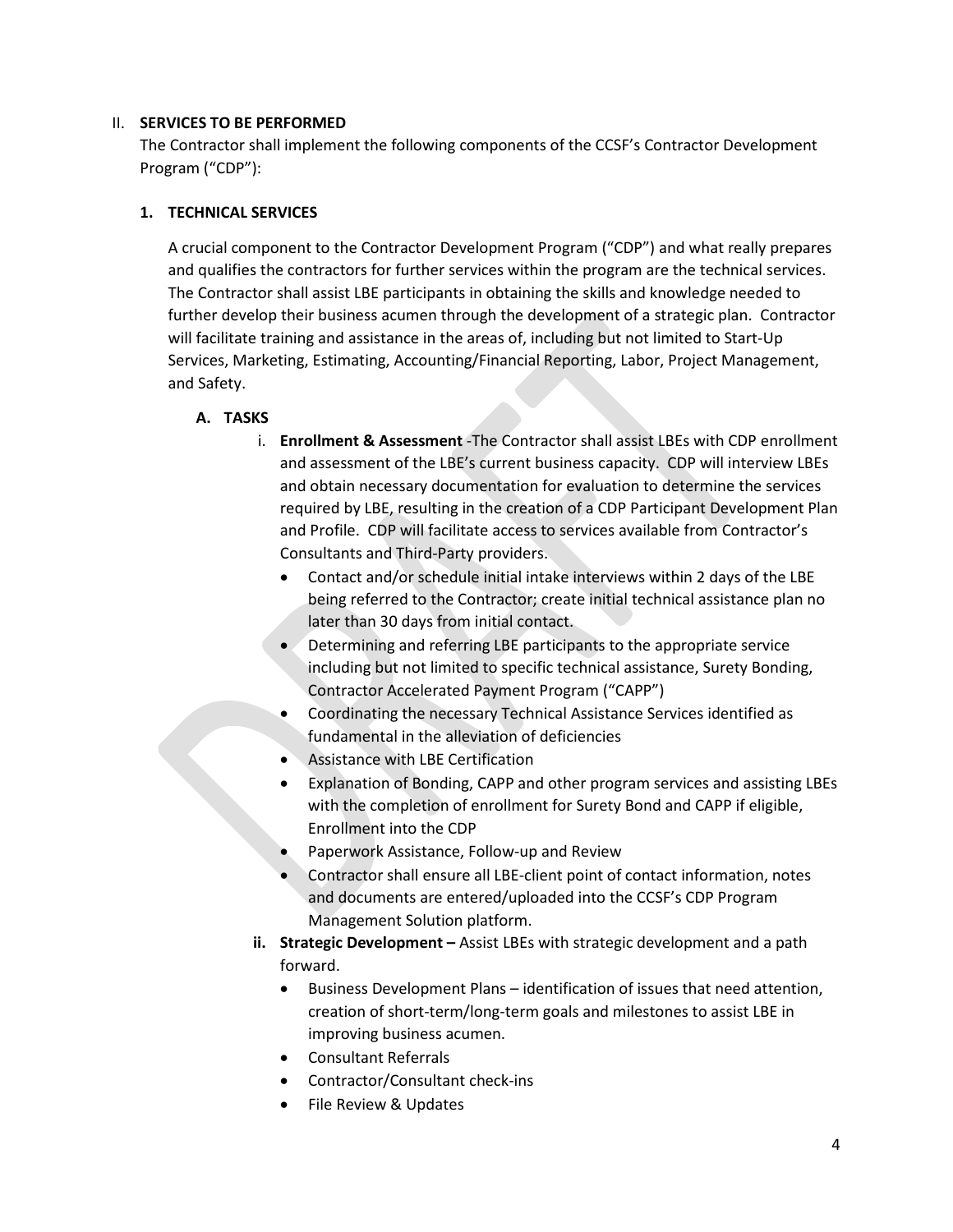#### II. **SERVICES TO BE PERFORMED**

The Contractor shall implement the following components of the CCSF's Contractor Development Program ("CDP"):

### **1. TECHNICAL SERVICES**

A crucial component to the Contractor Development Program ("CDP") and what really prepares and qualifies the contractors for further services within the program are the technical services. The Contractor shall assist LBE participants in obtaining the skills and knowledge needed to further develop their business acumen through the development of a strategic plan. Contractor will facilitate training and assistance in the areas of, including but not limited to Start-Up Services, Marketing, Estimating, Accounting/Financial Reporting, Labor, Project Management, and Safety.

### **A. TASKS**

- i. **Enrollment & Assessment** -The Contractor shall assist LBEs with CDP enrollment and assessment of the LBE's current business capacity. CDP will interview LBEs and obtain necessary documentation for evaluation to determine the services required by LBE, resulting in the creation of a CDP Participant Development Plan and Profile. CDP will facilitate access to services available from Contractor's Consultants and Third-Party providers.
	- Contact and/or schedule initial intake interviews within 2 days of the LBE being referred to the Contractor; create initial technical assistance plan no later than 30 days from initial contact.
	- Determining and referring LBE participants to the appropriate service including but not limited to specific technical assistance, Surety Bonding, Contractor Accelerated Payment Program ("CAPP")
	- Coordinating the necessary Technical Assistance Services identified as fundamental in the alleviation of deficiencies
	- Assistance with LBE Certification
	- Explanation of Bonding, CAPP and other program services and assisting LBEs with the completion of enrollment for Surety Bond and CAPP if eligible, Enrollment into the CDP
	- Paperwork Assistance, Follow-up and Review
	- Contractor shall ensure all LBE-client point of contact information, notes and documents are entered/uploaded into the CCSF's CDP Program Management Solution platform.
- **ii. Strategic Development –** Assist LBEs with strategic development and a path forward.
	- Business Development Plans identification of issues that need attention, creation of short-term/long-term goals and milestones to assist LBE in improving business acumen.
	- Consultant Referrals
	- Contractor/Consultant check-ins
	- File Review & Updates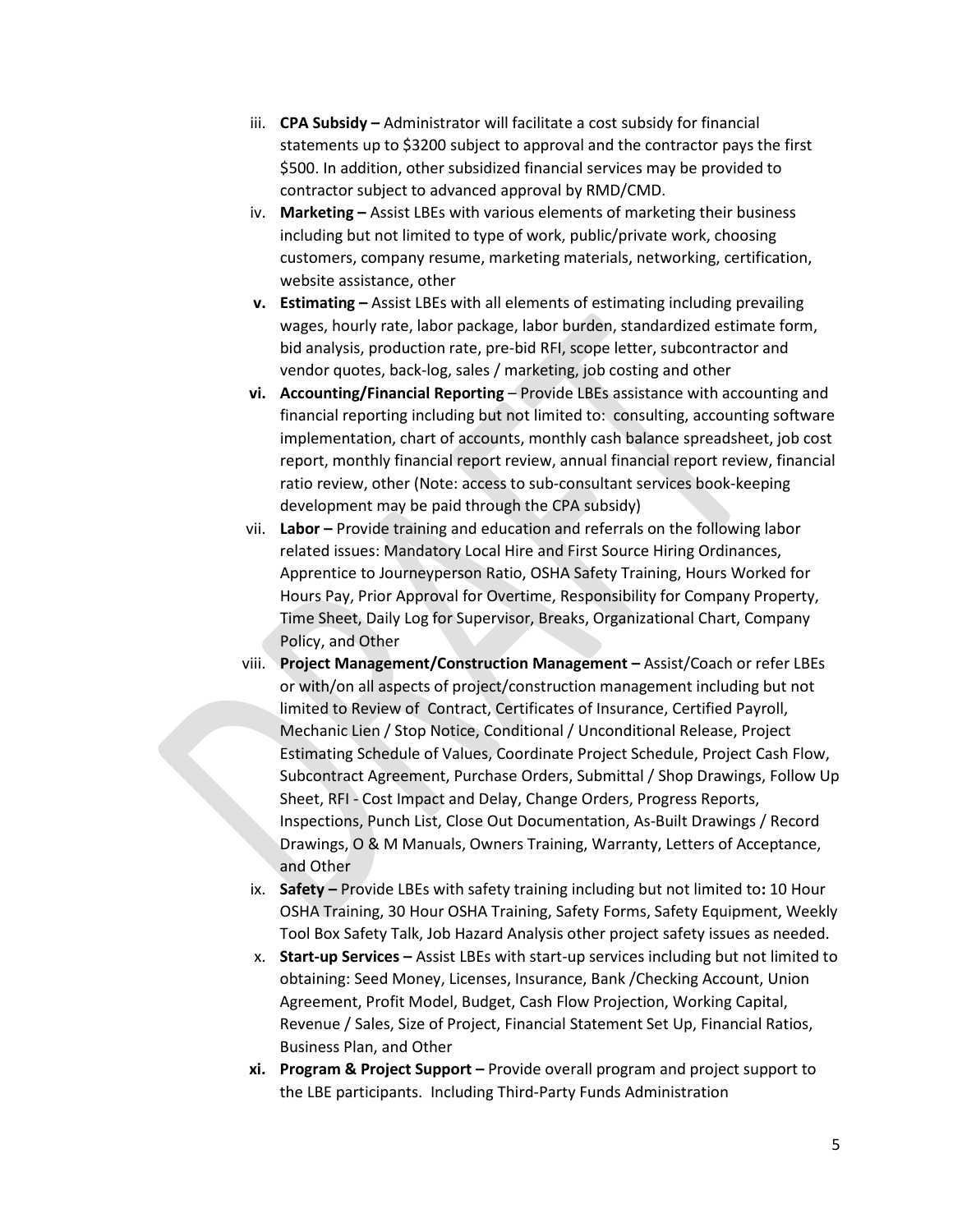- iii. **CPA Subsidy –** Administrator will facilitate a cost subsidy for financial statements up to \$3200 subject to approval and the contractor pays the first \$500. In addition, other subsidized financial services may be provided to contractor subject to advanced approval by RMD/CMD.
- iv. **Marketing –** Assist LBEs with various elements of marketing their business including but not limited to type of work, public/private work, choosing customers, company resume, marketing materials, networking, certification, website assistance, other
- **v. Estimating –** Assist LBEs with all elements of estimating including prevailing wages, hourly rate, labor package, labor burden, standardized estimate form, bid analysis, production rate, pre-bid RFI, scope letter, subcontractor and vendor quotes, back-log, sales / marketing, job costing and other
- **vi. Accounting/Financial Reporting** Provide LBEs assistance with accounting and financial reporting including but not limited to: consulting, accounting software implementation, chart of accounts, monthly cash balance spreadsheet, job cost report, monthly financial report review, annual financial report review, financial ratio review, other (Note: access to sub-consultant services book-keeping development may be paid through the CPA subsidy)
- vii. **Labor –** Provide training and education and referrals on the following labor related issues: Mandatory Local Hire and First Source Hiring Ordinances, Apprentice to Journeyperson Ratio, OSHA Safety Training, Hours Worked for Hours Pay, Prior Approval for Overtime, Responsibility for Company Property, Time Sheet, Daily Log for Supervisor, Breaks, Organizational Chart, Company Policy, and Other
- viii. **Project Management/Construction Management –** Assist/Coach or refer LBEs or with/on all aspects of project/construction management including but not limited to Review of Contract, Certificates of Insurance, Certified Payroll, Mechanic Lien / Stop Notice, Conditional / Unconditional Release, Project Estimating Schedule of Values, Coordinate Project Schedule, Project Cash Flow, Subcontract Agreement, Purchase Orders, Submittal / Shop Drawings, Follow Up Sheet, RFI - Cost Impact and Delay, Change Orders, Progress Reports, Inspections, Punch List, Close Out Documentation, As-Built Drawings / Record Drawings, O & M Manuals, Owners Training, Warranty, Letters of Acceptance, and Other
	- ix. **Safety –** Provide LBEs with safety training including but not limited to**:** 10 Hour OSHA Training, 30 Hour OSHA Training, Safety Forms, Safety Equipment, Weekly Tool Box Safety Talk, Job Hazard Analysis other project safety issues as needed.
	- x. **Start-up Services –** Assist LBEs with start-up services including but not limited to obtaining: Seed Money, Licenses, Insurance, Bank /Checking Account, Union Agreement, Profit Model, Budget, Cash Flow Projection, Working Capital, Revenue / Sales, Size of Project, Financial Statement Set Up, Financial Ratios, Business Plan, and Other
- **xi. Program & Project Support –** Provide overall program and project support to the LBE participants. Including Third-Party Funds Administration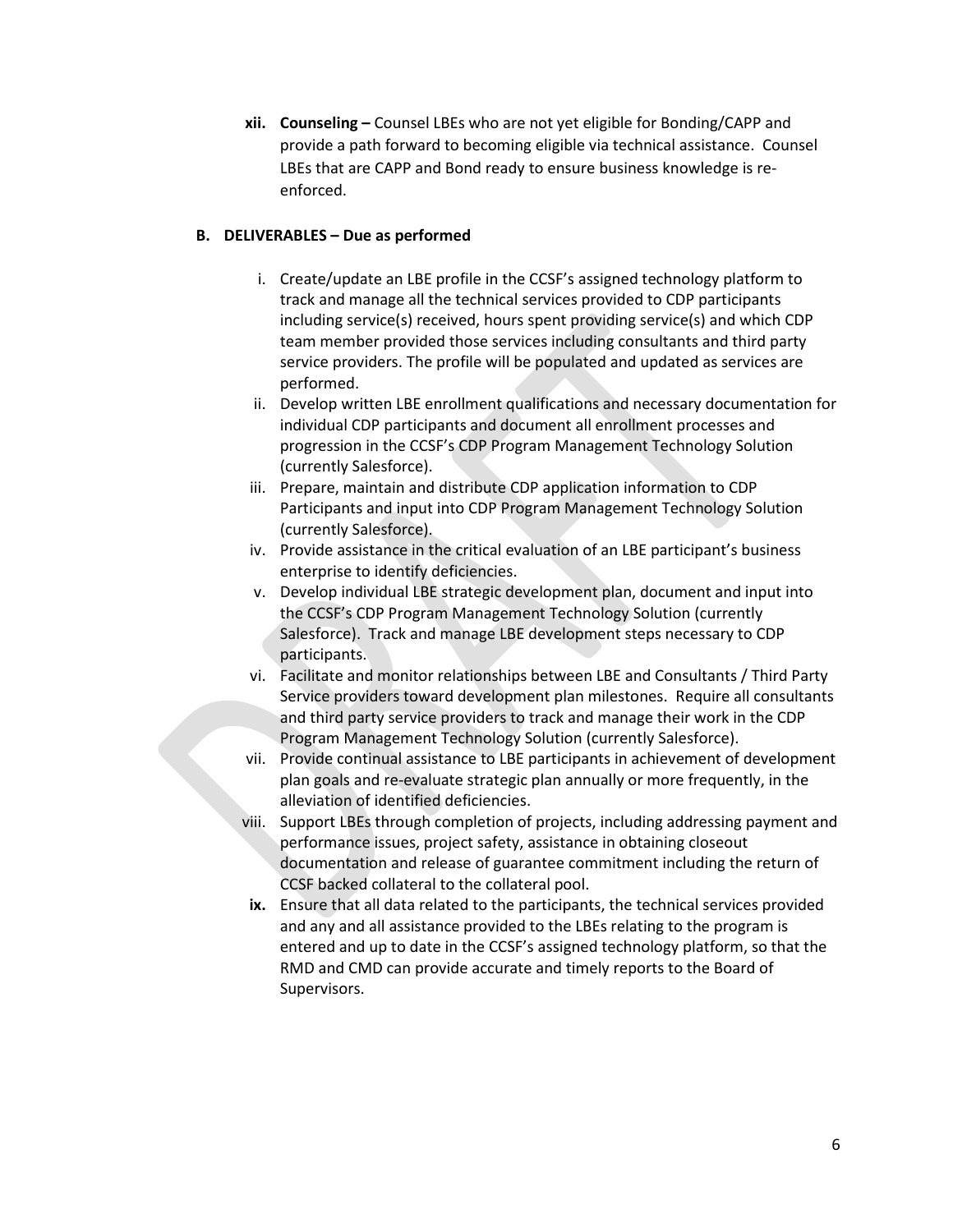**xii. Counseling –** Counsel LBEs who are not yet eligible for Bonding/CAPP and provide a path forward to becoming eligible via technical assistance. Counsel LBEs that are CAPP and Bond ready to ensure business knowledge is reenforced.

### **B. DELIVERABLES – Due as performed**

- i. Create/update an LBE profile in the CCSF's assigned technology platform to track and manage all the technical services provided to CDP participants including service(s) received, hours spent providing service(s) and which CDP team member provided those services including consultants and third party service providers. The profile will be populated and updated as services are performed.
- ii. Develop written LBE enrollment qualifications and necessary documentation for individual CDP participants and document all enrollment processes and progression in the CCSF's CDP Program Management Technology Solution (currently Salesforce).
- iii. Prepare, maintain and distribute CDP application information to CDP Participants and input into CDP Program Management Technology Solution (currently Salesforce).
- iv. Provide assistance in the critical evaluation of an LBE participant's business enterprise to identify deficiencies.
- v. Develop individual LBE strategic development plan, document and input into the CCSF's CDP Program Management Technology Solution (currently Salesforce). Track and manage LBE development steps necessary to CDP participants.
- vi. Facilitate and monitor relationships between LBE and Consultants / Third Party Service providers toward development plan milestones. Require all consultants and third party service providers to track and manage their work in the CDP Program Management Technology Solution (currently Salesforce).
- vii. Provide continual assistance to LBE participants in achievement of development plan goals and re-evaluate strategic plan annually or more frequently, in the alleviation of identified deficiencies.
- viii. Support LBEs through completion of projects, including addressing payment and performance issues, project safety, assistance in obtaining closeout documentation and release of guarantee commitment including the return of CCSF backed collateral to the collateral pool.
- **ix.** Ensure that all data related to the participants, the technical services provided and any and all assistance provided to the LBEs relating to the program is entered and up to date in the CCSF's assigned technology platform, so that the RMD and CMD can provide accurate and timely reports to the Board of Supervisors.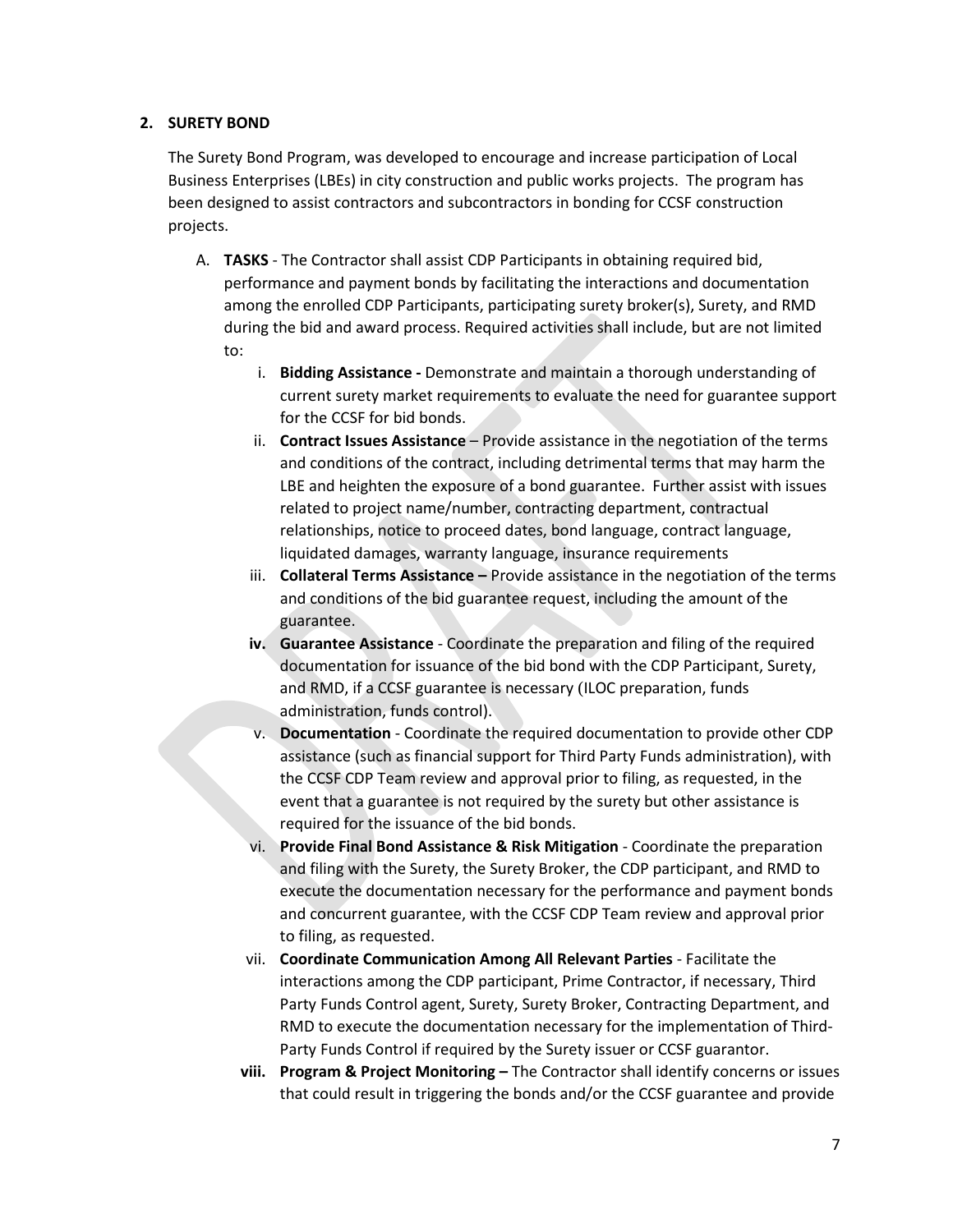### **2. SURETY BOND**

The Surety Bond Program, was developed to encourage and increase participation of Local Business Enterprises (LBEs) in city construction and public works projects. The program has been designed to assist contractors and subcontractors in bonding for CCSF construction projects.

- A. **TASKS** The Contractor shall assist CDP Participants in obtaining required bid, performance and payment bonds by facilitating the interactions and documentation among the enrolled CDP Participants, participating surety broker(s), Surety, and RMD during the bid and award process. Required activities shall include, but are not limited to:
	- i. **Bidding Assistance -** Demonstrate and maintain a thorough understanding of current surety market requirements to evaluate the need for guarantee support for the CCSF for bid bonds.
	- ii. **Contract Issues Assistance** Provide assistance in the negotiation of the terms and conditions of the contract, including detrimental terms that may harm the LBE and heighten the exposure of a bond guarantee. Further assist with issues related to project name/number, contracting department, contractual relationships, notice to proceed dates, bond language, contract language, liquidated damages, warranty language, insurance requirements
	- iii. **Collateral Terms Assistance –** Provide assistance in the negotiation of the terms and conditions of the bid guarantee request, including the amount of the guarantee.
	- **iv. Guarantee Assistance** Coordinate the preparation and filing of the required documentation for issuance of the bid bond with the CDP Participant, Surety, and RMD, if a CCSF guarantee is necessary (ILOC preparation, funds administration, funds control).
	- v. **Documentation**  Coordinate the required documentation to provide other CDP assistance (such as financial support for Third Party Funds administration), with the CCSF CDP Team review and approval prior to filing, as requested, in the event that a guarantee is not required by the surety but other assistance is required for the issuance of the bid bonds.
	- vi. **Provide Final Bond Assistance & Risk Mitigation** Coordinate the preparation and filing with the Surety, the Surety Broker, the CDP participant, and RMD to execute the documentation necessary for the performance and payment bonds and concurrent guarantee, with the CCSF CDP Team review and approval prior to filing, as requested.
	- vii. **Coordinate Communication Among All Relevant Parties** Facilitate the interactions among the CDP participant, Prime Contractor, if necessary, Third Party Funds Control agent, Surety, Surety Broker, Contracting Department, and RMD to execute the documentation necessary for the implementation of Third-Party Funds Control if required by the Surety issuer or CCSF guarantor.
	- **viii. Program & Project Monitoring –** The Contractor shall identify concerns or issues that could result in triggering the bonds and/or the CCSF guarantee and provide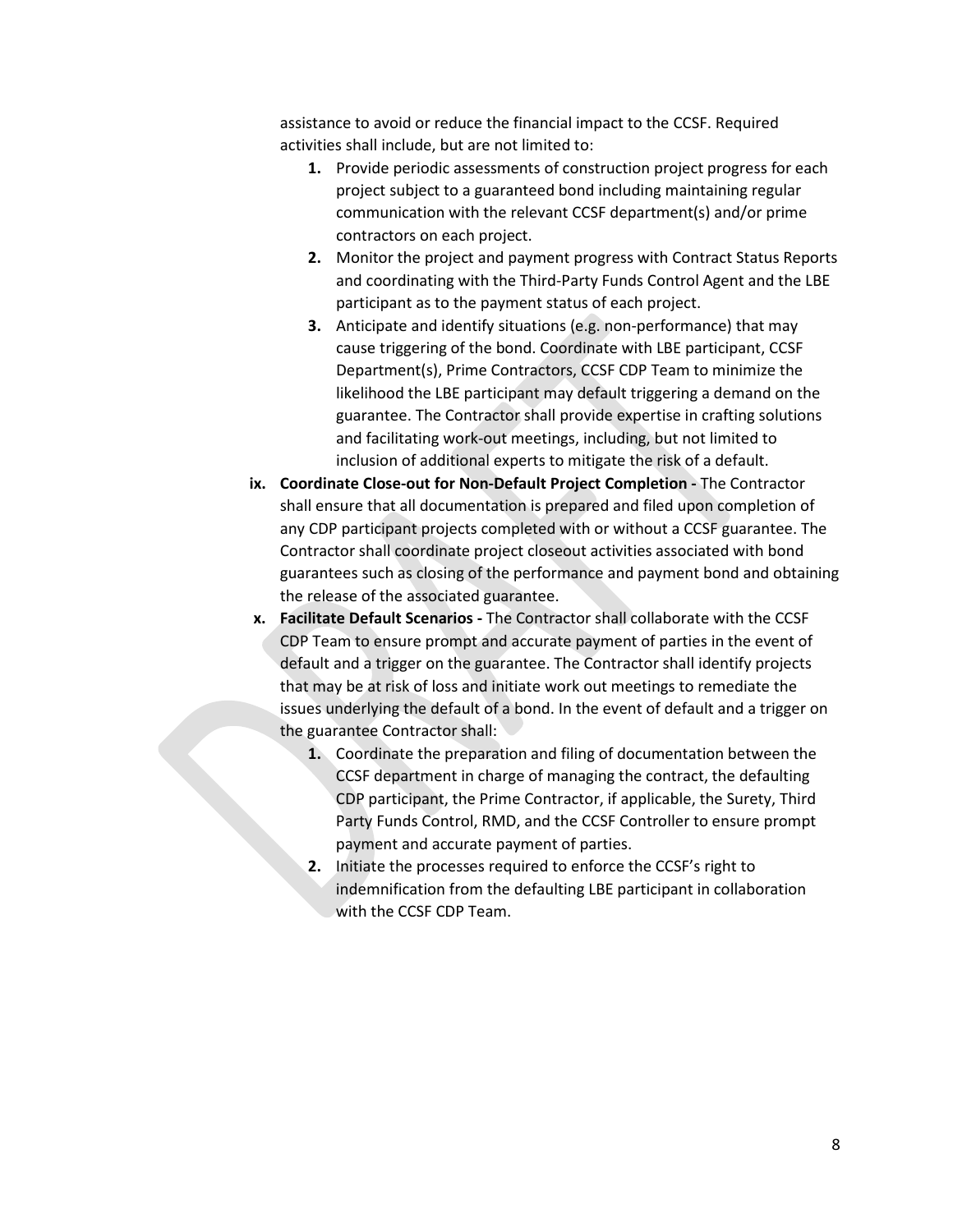assistance to avoid or reduce the financial impact to the CCSF. Required activities shall include, but are not limited to:

- **1.** Provide periodic assessments of construction project progress for each project subject to a guaranteed bond including maintaining regular communication with the relevant CCSF department(s) and/or prime contractors on each project.
- **2.** Monitor the project and payment progress with Contract Status Reports and coordinating with the Third-Party Funds Control Agent and the LBE participant as to the payment status of each project.
- **3.** Anticipate and identify situations (e.g. non-performance) that may cause triggering of the bond. Coordinate with LBE participant, CCSF Department(s), Prime Contractors, CCSF CDP Team to minimize the likelihood the LBE participant may default triggering a demand on the guarantee. The Contractor shall provide expertise in crafting solutions and facilitating work-out meetings, including, but not limited to inclusion of additional experts to mitigate the risk of a default.
- **ix. Coordinate Close-out for Non-Default Project Completion -** The Contractor shall ensure that all documentation is prepared and filed upon completion of any CDP participant projects completed with or without a CCSF guarantee. The Contractor shall coordinate project closeout activities associated with bond guarantees such as closing of the performance and payment bond and obtaining the release of the associated guarantee.
- **x. Facilitate Default Scenarios -** The Contractor shall collaborate with the CCSF CDP Team to ensure prompt and accurate payment of parties in the event of default and a trigger on the guarantee. The Contractor shall identify projects that may be at risk of loss and initiate work out meetings to remediate the issues underlying the default of a bond. In the event of default and a trigger on the guarantee Contractor shall:
	- **1.** Coordinate the preparation and filing of documentation between the CCSF department in charge of managing the contract, the defaulting CDP participant, the Prime Contractor, if applicable, the Surety, Third Party Funds Control, RMD, and the CCSF Controller to ensure prompt payment and accurate payment of parties.
	- **2.** Initiate the processes required to enforce the CCSF's right to indemnification from the defaulting LBE participant in collaboration with the CCSF CDP Team.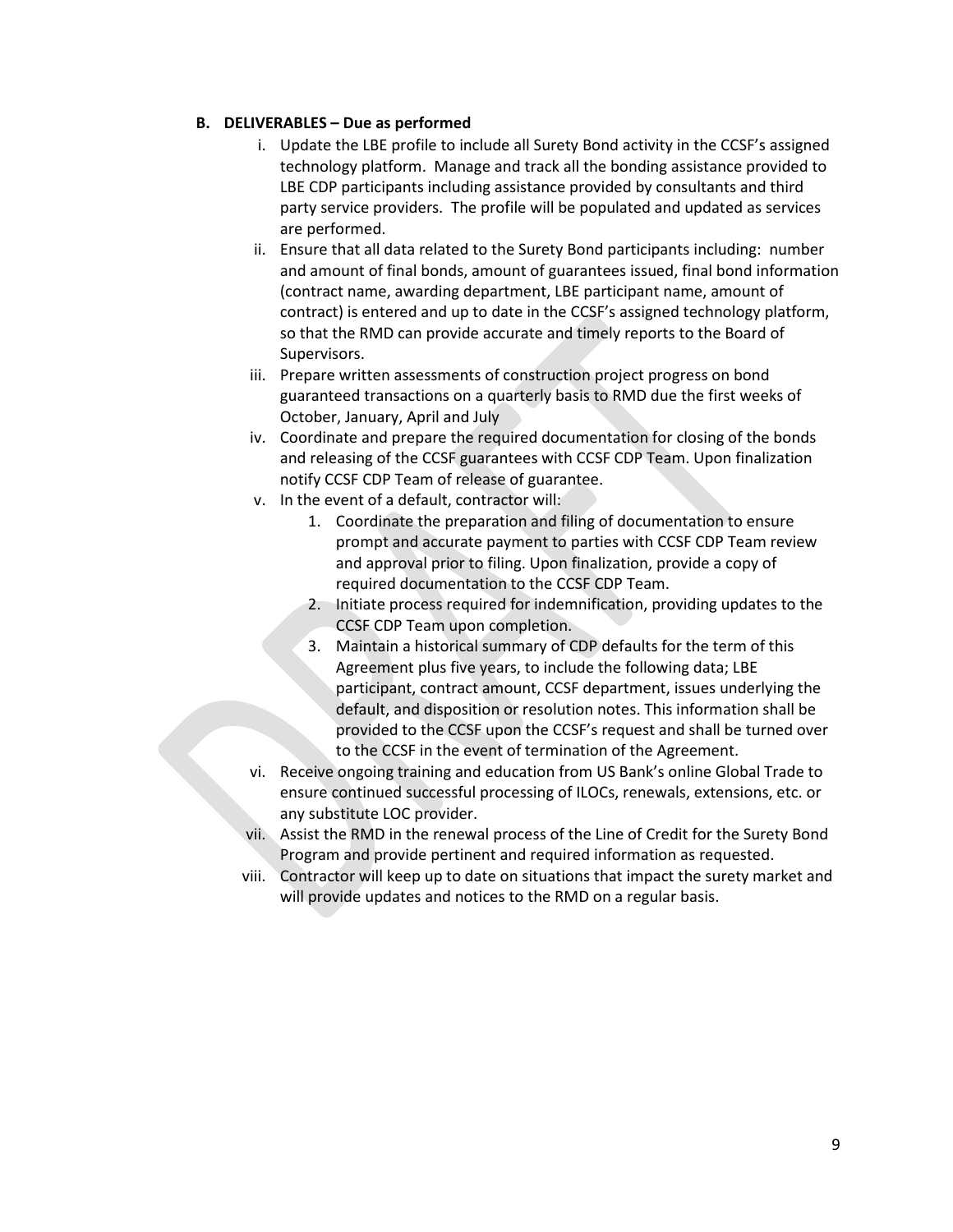### **B. DELIVERABLES – Due as performed**

- i. Update the LBE profile to include all Surety Bond activity in the CCSF's assigned technology platform. Manage and track all the bonding assistance provided to LBE CDP participants including assistance provided by consultants and third party service providers. The profile will be populated and updated as services are performed.
- ii. Ensure that all data related to the Surety Bond participants including: number and amount of final bonds, amount of guarantees issued, final bond information (contract name, awarding department, LBE participant name, amount of contract) is entered and up to date in the CCSF's assigned technology platform, so that the RMD can provide accurate and timely reports to the Board of Supervisors.
- iii. Prepare written assessments of construction project progress on bond guaranteed transactions on a quarterly basis to RMD due the first weeks of October, January, April and July
- iv. Coordinate and prepare the required documentation for closing of the bonds and releasing of the CCSF guarantees with CCSF CDP Team. Upon finalization notify CCSF CDP Team of release of guarantee.
- v. In the event of a default, contractor will:
	- 1. Coordinate the preparation and filing of documentation to ensure prompt and accurate payment to parties with CCSF CDP Team review and approval prior to filing. Upon finalization, provide a copy of required documentation to the CCSF CDP Team.
	- 2. Initiate process required for indemnification, providing updates to the CCSF CDP Team upon completion.
	- 3. Maintain a historical summary of CDP defaults for the term of this Agreement plus five years, to include the following data; LBE participant, contract amount, CCSF department, issues underlying the default, and disposition or resolution notes. This information shall be provided to the CCSF upon the CCSF's request and shall be turned over to the CCSF in the event of termination of the Agreement.
- vi. Receive ongoing training and education from US Bank's online Global Trade to ensure continued successful processing of ILOCs, renewals, extensions, etc. or any substitute LOC provider.
- vii. Assist the RMD in the renewal process of the Line of Credit for the Surety Bond Program and provide pertinent and required information as requested.
- viii. Contractor will keep up to date on situations that impact the surety market and will provide updates and notices to the RMD on a regular basis.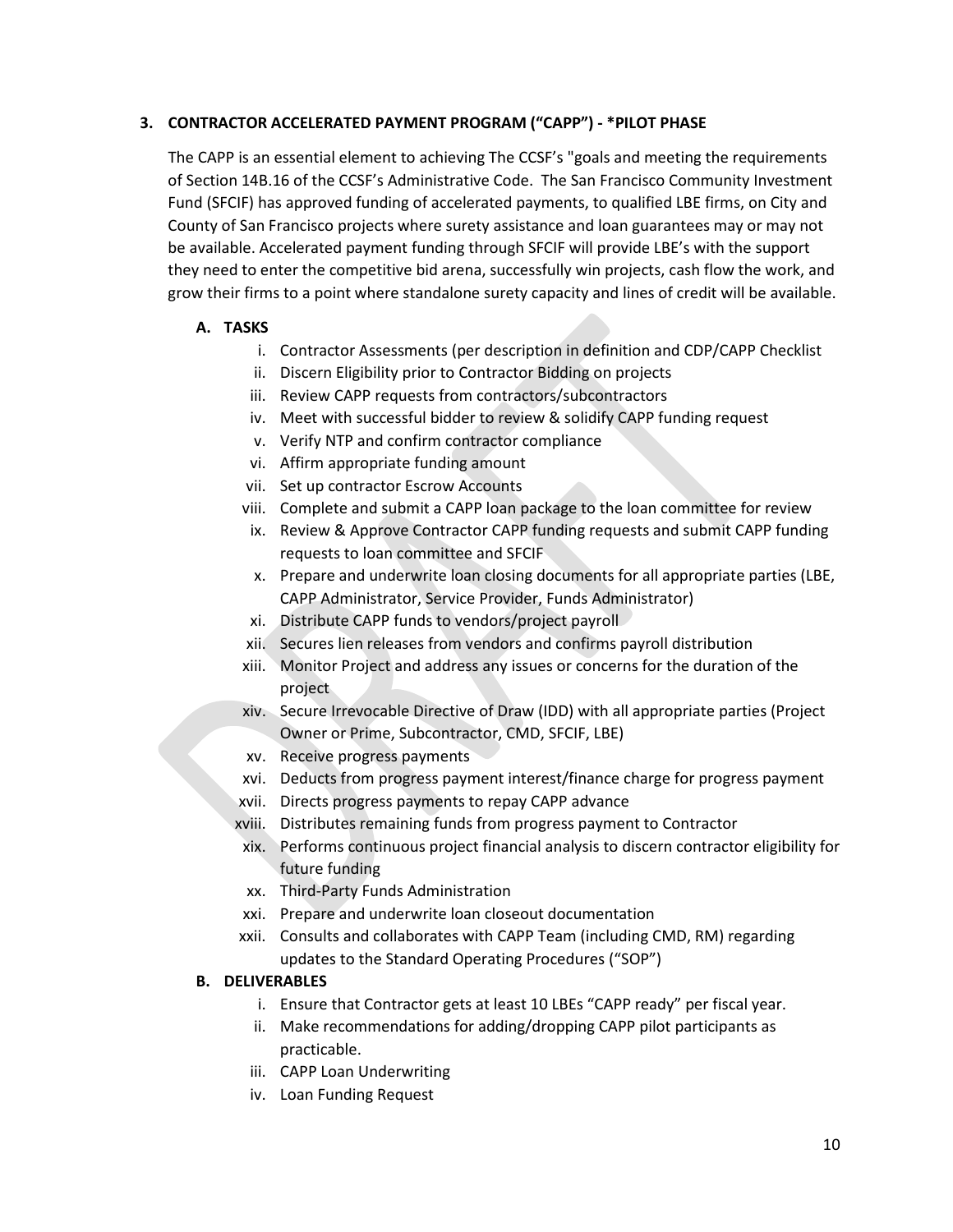### **3. CONTRACTOR ACCELERATED PAYMENT PROGRAM ("CAPP") - \*PILOT PHASE**

The CAPP is an essential element to achieving The CCSF's "goals and meeting the requirements of Section 14B.16 of the CCSF's Administrative Code. The San Francisco Community Investment Fund (SFCIF) has approved funding of accelerated payments, to qualified LBE firms, on City and County of San Francisco projects where surety assistance and loan guarantees may or may not be available. Accelerated payment funding through SFCIF will provide LBE's with the support they need to enter the competitive bid arena, successfully win projects, cash flow the work, and grow their firms to a point where standalone surety capacity and lines of credit will be available.

### **A. TASKS**

- i. Contractor Assessments (per description in definition and CDP/CAPP Checklist
- ii. Discern Eligibility prior to Contractor Bidding on projects
- iii. Review CAPP requests from contractors/subcontractors
- iv. Meet with successful bidder to review & solidify CAPP funding request
- v. Verify NTP and confirm contractor compliance
- vi. Affirm appropriate funding amount
- vii. Set up contractor Escrow Accounts
- viii. Complete and submit a CAPP loan package to the loan committee for review
- ix. Review & Approve Contractor CAPP funding requests and submit CAPP funding requests to loan committee and SFCIF
- x. Prepare and underwrite loan closing documents for all appropriate parties (LBE, CAPP Administrator, Service Provider, Funds Administrator)
- xi. Distribute CAPP funds to vendors/project payroll
- xii. Secures lien releases from vendors and confirms payroll distribution
- xiii. Monitor Project and address any issues or concerns for the duration of the project
- xiv. Secure Irrevocable Directive of Draw (IDD) with all appropriate parties (Project Owner or Prime, Subcontractor, CMD, SFCIF, LBE)
- xv. Receive progress payments
- xvi. Deducts from progress payment interest/finance charge for progress payment
- xvii. Directs progress payments to repay CAPP advance
- xviii. Distributes remaining funds from progress payment to Contractor
- xix. Performs continuous project financial analysis to discern contractor eligibility for future funding
- xx. Third-Party Funds Administration
- xxi. Prepare and underwrite loan closeout documentation
- xxii. Consults and collaborates with CAPP Team (including CMD, RM) regarding updates to the Standard Operating Procedures ("SOP")

### **B. DELIVERABLES**

- i. Ensure that Contractor gets at least 10 LBEs "CAPP ready" per fiscal year.
- ii. Make recommendations for adding/dropping CAPP pilot participants as practicable.
- iii. CAPP Loan Underwriting
- iv. Loan Funding Request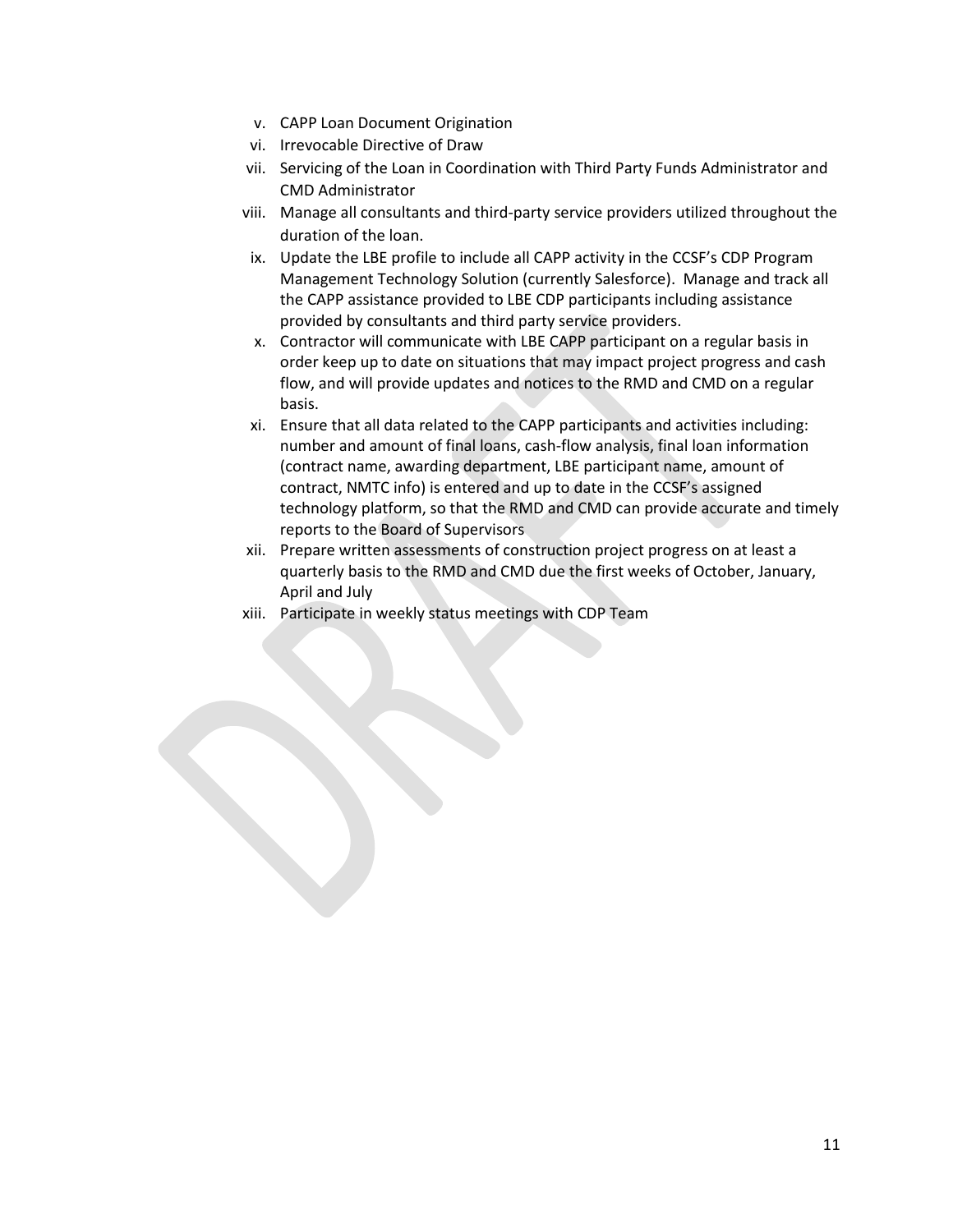- v. CAPP Loan Document Origination
- vi. Irrevocable Directive of Draw
- vii. Servicing of the Loan in Coordination with Third Party Funds Administrator and CMD Administrator
- viii. Manage all consultants and third-party service providers utilized throughout the duration of the loan.
- ix. Update the LBE profile to include all CAPP activity in the CCSF's CDP Program Management Technology Solution (currently Salesforce). Manage and track all the CAPP assistance provided to LBE CDP participants including assistance provided by consultants and third party service providers.
- x. Contractor will communicate with LBE CAPP participant on a regular basis in order keep up to date on situations that may impact project progress and cash flow, and will provide updates and notices to the RMD and CMD on a regular basis.
- xi. Ensure that all data related to the CAPP participants and activities including: number and amount of final loans, cash-flow analysis, final loan information (contract name, awarding department, LBE participant name, amount of contract, NMTC info) is entered and up to date in the CCSF's assigned technology platform, so that the RMD and CMD can provide accurate and timely reports to the Board of Supervisors
- xii. Prepare written assessments of construction project progress on at least a quarterly basis to the RMD and CMD due the first weeks of October, January, April and July
- xiii. Participate in weekly status meetings with CDP Team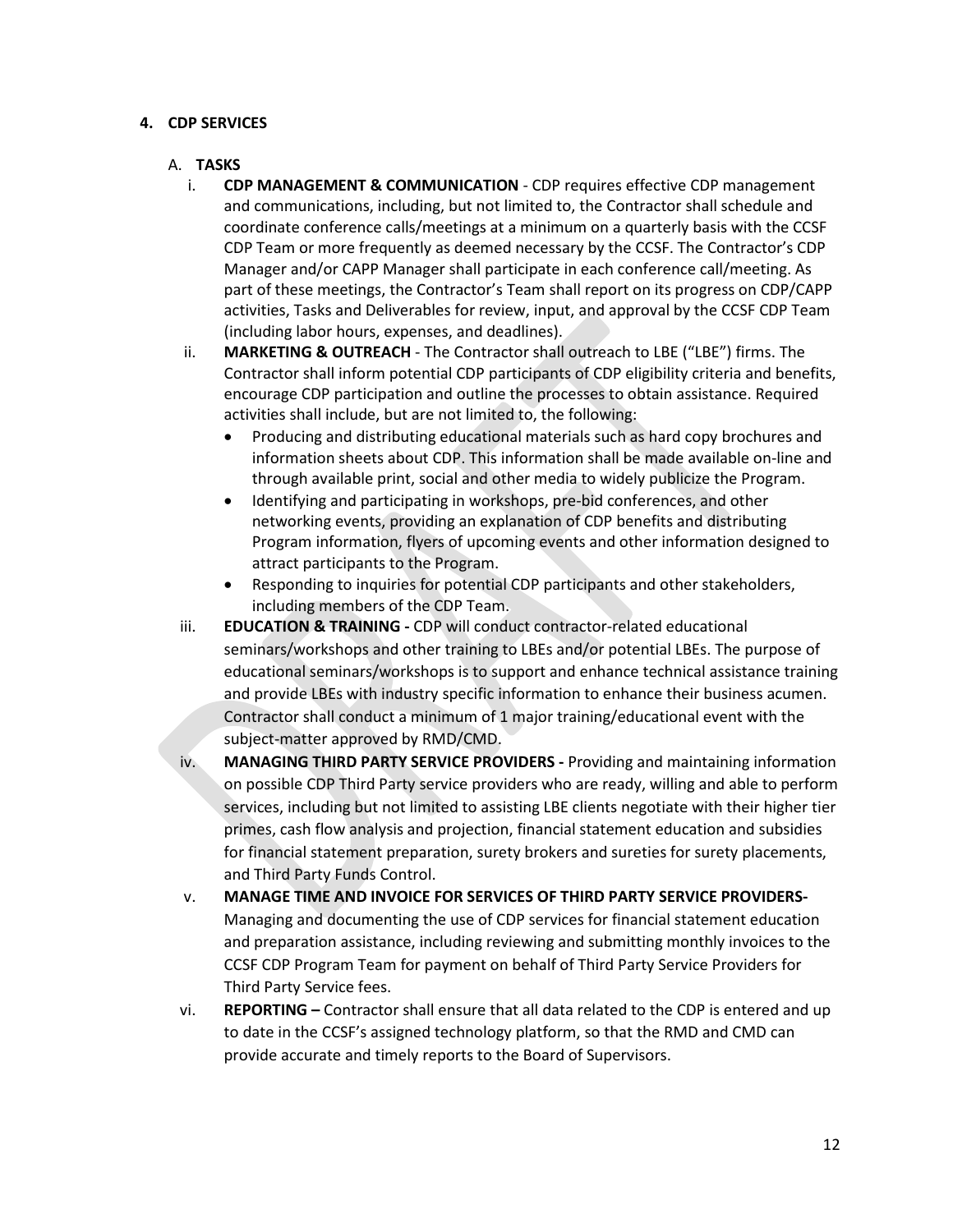#### **4. CDP SERVICES**

#### A. **TASKS**

- i. **CDP MANAGEMENT & COMMUNICATION** CDP requires effective CDP management and communications, including, but not limited to, the Contractor shall schedule and coordinate conference calls/meetings at a minimum on a quarterly basis with the CCSF CDP Team or more frequently as deemed necessary by the CCSF. The Contractor's CDP Manager and/or CAPP Manager shall participate in each conference call/meeting. As part of these meetings, the Contractor's Team shall report on its progress on CDP/CAPP activities, Tasks and Deliverables for review, input, and approval by the CCSF CDP Team (including labor hours, expenses, and deadlines).
- ii. **MARKETING & OUTREACH** The Contractor shall outreach to LBE ("LBE") firms. The Contractor shall inform potential CDP participants of CDP eligibility criteria and benefits, encourage CDP participation and outline the processes to obtain assistance. Required activities shall include, but are not limited to, the following:
	- Producing and distributing educational materials such as hard copy brochures and information sheets about CDP. This information shall be made available on-line and through available print, social and other media to widely publicize the Program.
	- Identifying and participating in workshops, pre-bid conferences, and other networking events, providing an explanation of CDP benefits and distributing Program information, flyers of upcoming events and other information designed to attract participants to the Program.
	- Responding to inquiries for potential CDP participants and other stakeholders, including members of the CDP Team.
- iii. **EDUCATION & TRAINING -** CDP will conduct contractor-related educational seminars/workshops and other training to LBEs and/or potential LBEs. The purpose of educational seminars/workshops is to support and enhance technical assistance training and provide LBEs with industry specific information to enhance their business acumen. Contractor shall conduct a minimum of 1 major training/educational event with the subject-matter approved by RMD/CMD.
- iv. **MANAGING THIRD PARTY SERVICE PROVIDERS -** Providing and maintaining information on possible CDP Third Party service providers who are ready, willing and able to perform services, including but not limited to assisting LBE clients negotiate with their higher tier primes, cash flow analysis and projection, financial statement education and subsidies for financial statement preparation, surety brokers and sureties for surety placements, and Third Party Funds Control.
- v. **MANAGE TIME AND INVOICE FOR SERVICES OF THIRD PARTY SERVICE PROVIDERS-**Managing and documenting the use of CDP services for financial statement education and preparation assistance, including reviewing and submitting monthly invoices to the CCSF CDP Program Team for payment on behalf of Third Party Service Providers for Third Party Service fees.
- vi. **REPORTING –** Contractor shall ensure that all data related to the CDP is entered and up to date in the CCSF's assigned technology platform, so that the RMD and CMD can provide accurate and timely reports to the Board of Supervisors.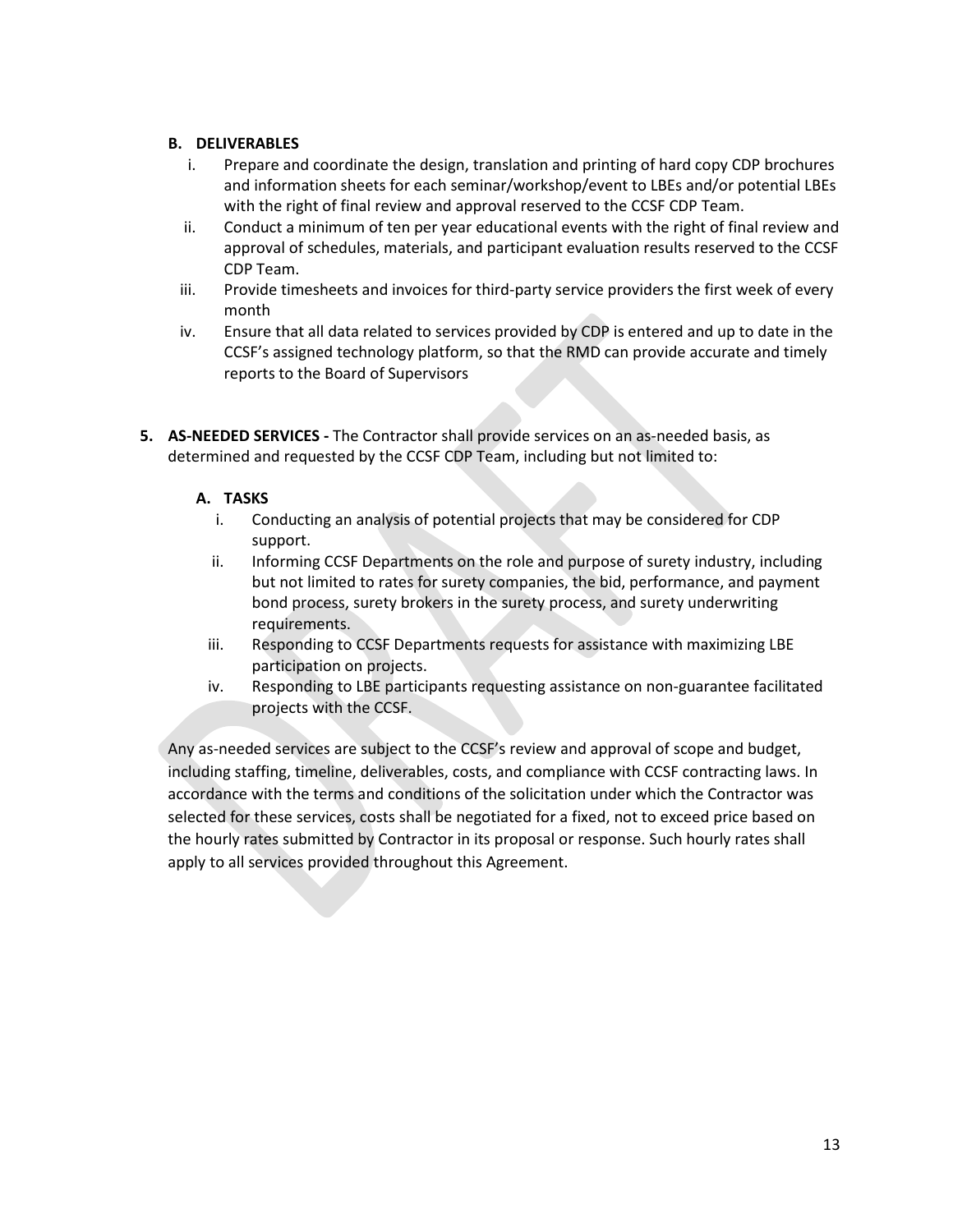### **B. DELIVERABLES**

- i. Prepare and coordinate the design, translation and printing of hard copy CDP brochures and information sheets for each seminar/workshop/event to LBEs and/or potential LBEs with the right of final review and approval reserved to the CCSF CDP Team.
- ii. Conduct a minimum of ten per year educational events with the right of final review and approval of schedules, materials, and participant evaluation results reserved to the CCSF CDP Team.
- iii. Provide timesheets and invoices for third-party service providers the first week of every month
- iv. Ensure that all data related to services provided by CDP is entered and up to date in the CCSF's assigned technology platform, so that the RMD can provide accurate and timely reports to the Board of Supervisors
- **5. AS-NEEDED SERVICES -** The Contractor shall provide services on an as-needed basis, as determined and requested by the CCSF CDP Team, including but not limited to:

### **A. TASKS**

- i. Conducting an analysis of potential projects that may be considered for CDP support.
- ii. Informing CCSF Departments on the role and purpose of surety industry, including but not limited to rates for surety companies, the bid, performance, and payment bond process, surety brokers in the surety process, and surety underwriting requirements.
- iii. Responding to CCSF Departments requests for assistance with maximizing LBE participation on projects.
- iv. Responding to LBE participants requesting assistance on non-guarantee facilitated projects with the CCSF.

Any as-needed services are subject to the CCSF's review and approval of scope and budget, including staffing, timeline, deliverables, costs, and compliance with CCSF contracting laws. In accordance with the terms and conditions of the solicitation under which the Contractor was selected for these services, costs shall be negotiated for a fixed, not to exceed price based on the hourly rates submitted by Contractor in its proposal or response. Such hourly rates shall apply to all services provided throughout this Agreement.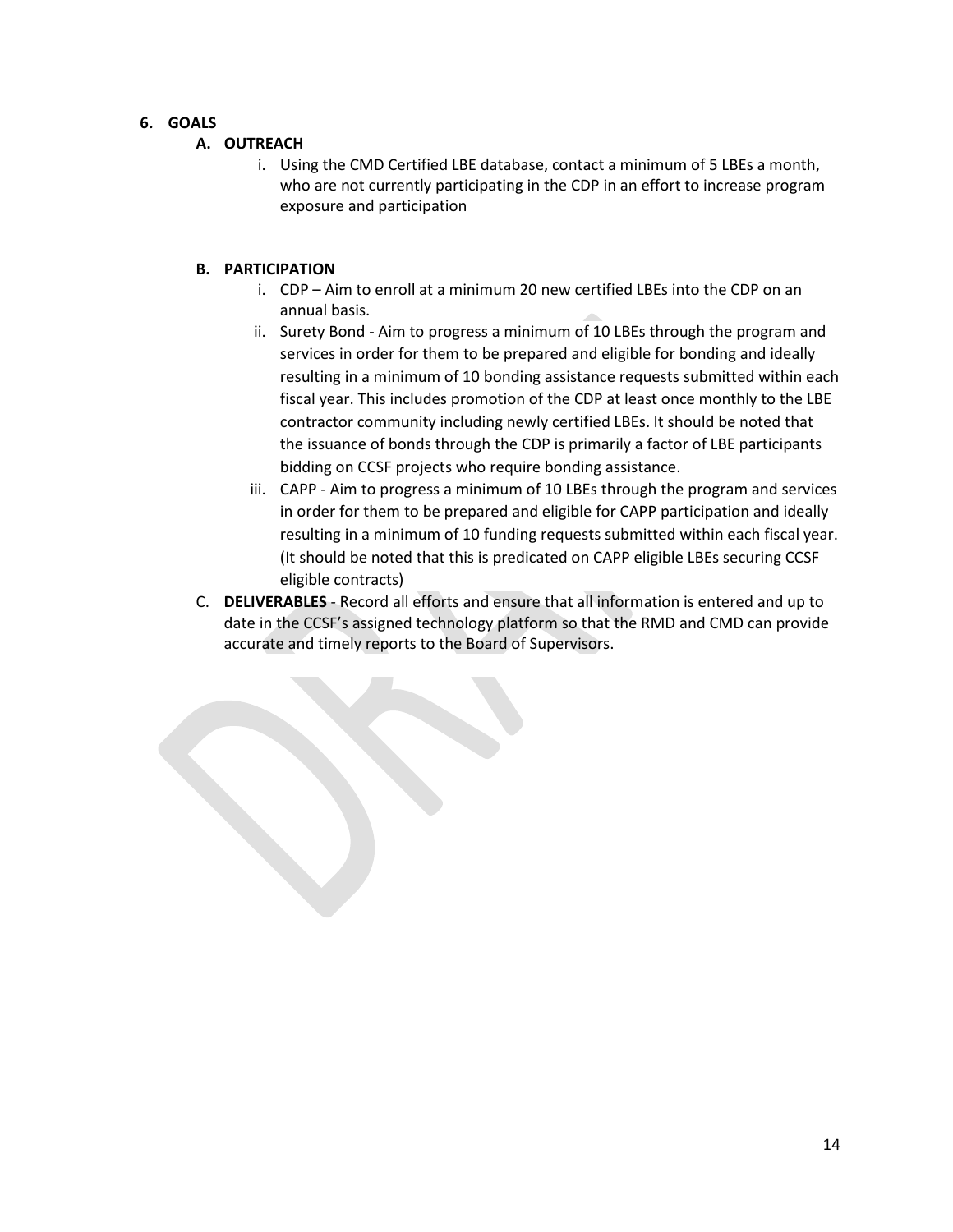### **6. GOALS**

### **A. OUTREACH**

i. Using the CMD Certified LBE database, contact a minimum of 5 LBEs a month, who are not currently participating in the CDP in an effort to increase program exposure and participation

### **B. PARTICIPATION**

- i. CDP Aim to enroll at a minimum 20 new certified LBEs into the CDP on an annual basis.
- ii. Surety Bond Aim to progress a minimum of 10 LBEs through the program and services in order for them to be prepared and eligible for bonding and ideally resulting in a minimum of 10 bonding assistance requests submitted within each fiscal year. This includes promotion of the CDP at least once monthly to the LBE contractor community including newly certified LBEs. It should be noted that the issuance of bonds through the CDP is primarily a factor of LBE participants bidding on CCSF projects who require bonding assistance.
- iii. CAPP Aim to progress a minimum of 10 LBEs through the program and services in order for them to be prepared and eligible for CAPP participation and ideally resulting in a minimum of 10 funding requests submitted within each fiscal year. (It should be noted that this is predicated on CAPP eligible LBEs securing CCSF eligible contracts)
- C. **DELIVERABLES** Record all efforts and ensure that all information is entered and up to date in the CCSF's assigned technology platform so that the RMD and CMD can provide accurate and timely reports to the Board of Supervisors.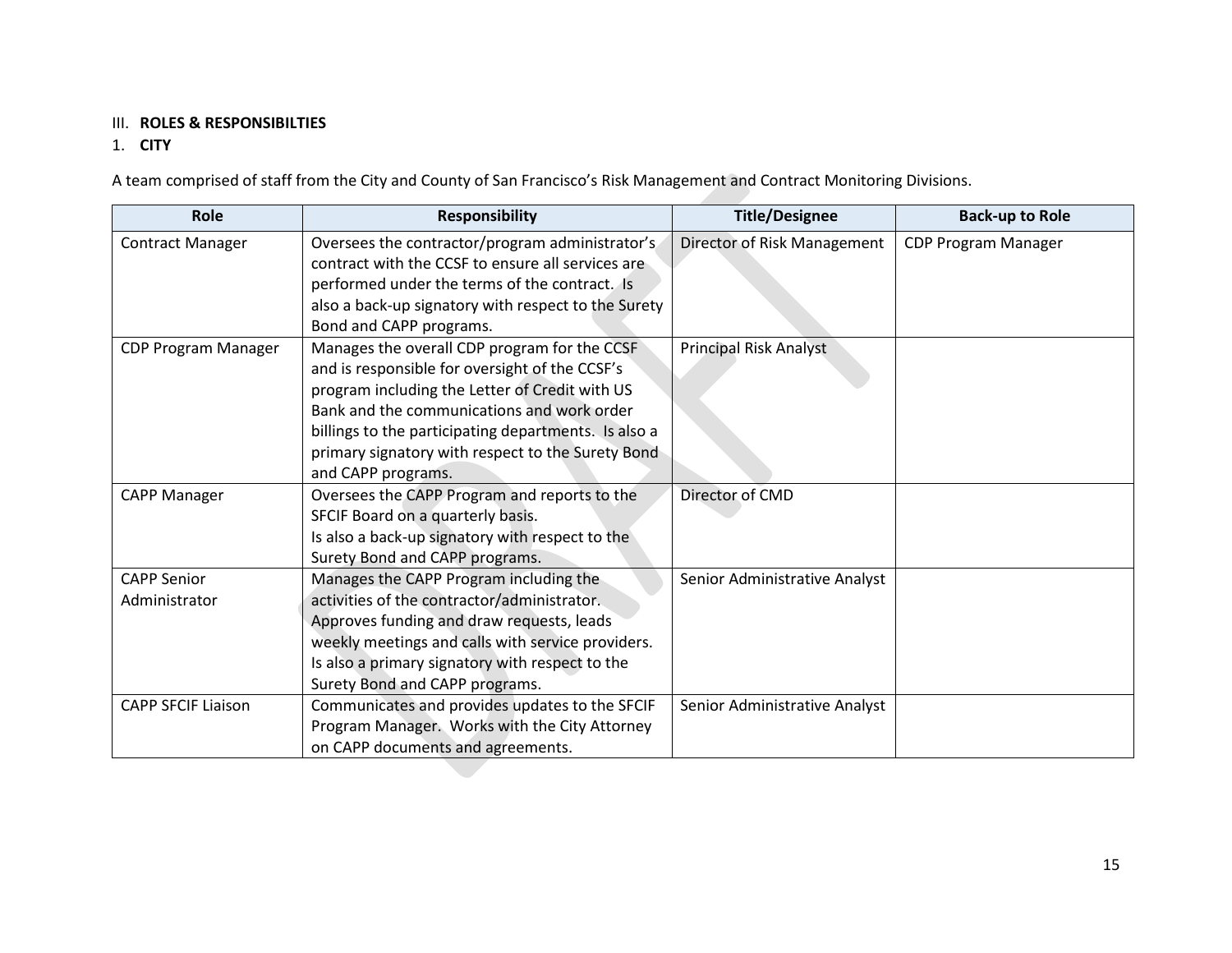### III. **ROLES & RESPONSIBILTIES**

## 1. **CITY**

A team comprised of staff from the City and County of San Francisco's Risk Management and Contract Monitoring Divisions.

| Role                      | <b>Responsibility</b>                                | <b>Title/Designee</b>         | <b>Back-up to Role</b> |
|---------------------------|------------------------------------------------------|-------------------------------|------------------------|
| <b>Contract Manager</b>   | Oversees the contractor/program administrator's      | Director of Risk Management   | CDP Program Manager    |
|                           | contract with the CCSF to ensure all services are    |                               |                        |
|                           | performed under the terms of the contract. Is        |                               |                        |
|                           | also a back-up signatory with respect to the Surety  |                               |                        |
|                           | Bond and CAPP programs.                              |                               |                        |
| CDP Program Manager       | Manages the overall CDP program for the CCSF         | <b>Principal Risk Analyst</b> |                        |
|                           | and is responsible for oversight of the CCSF's       |                               |                        |
|                           | program including the Letter of Credit with US       |                               |                        |
|                           | Bank and the communications and work order           |                               |                        |
|                           | billings to the participating departments. Is also a |                               |                        |
|                           | primary signatory with respect to the Surety Bond    |                               |                        |
|                           | and CAPP programs.                                   |                               |                        |
| <b>CAPP Manager</b>       | Oversees the CAPP Program and reports to the         | Director of CMD               |                        |
|                           | SFCIF Board on a quarterly basis.                    |                               |                        |
|                           | Is also a back-up signatory with respect to the      |                               |                        |
|                           | Surety Bond and CAPP programs.                       |                               |                        |
| <b>CAPP Senior</b>        | Manages the CAPP Program including the               | Senior Administrative Analyst |                        |
| Administrator             | activities of the contractor/administrator.          |                               |                        |
|                           | Approves funding and draw requests, leads            |                               |                        |
|                           | weekly meetings and calls with service providers.    |                               |                        |
|                           | Is also a primary signatory with respect to the      |                               |                        |
|                           | Surety Bond and CAPP programs.                       |                               |                        |
| <b>CAPP SFCIF Liaison</b> | Communicates and provides updates to the SFCIF       | Senior Administrative Analyst |                        |
|                           | Program Manager. Works with the City Attorney        |                               |                        |
|                           | on CAPP documents and agreements.                    |                               |                        |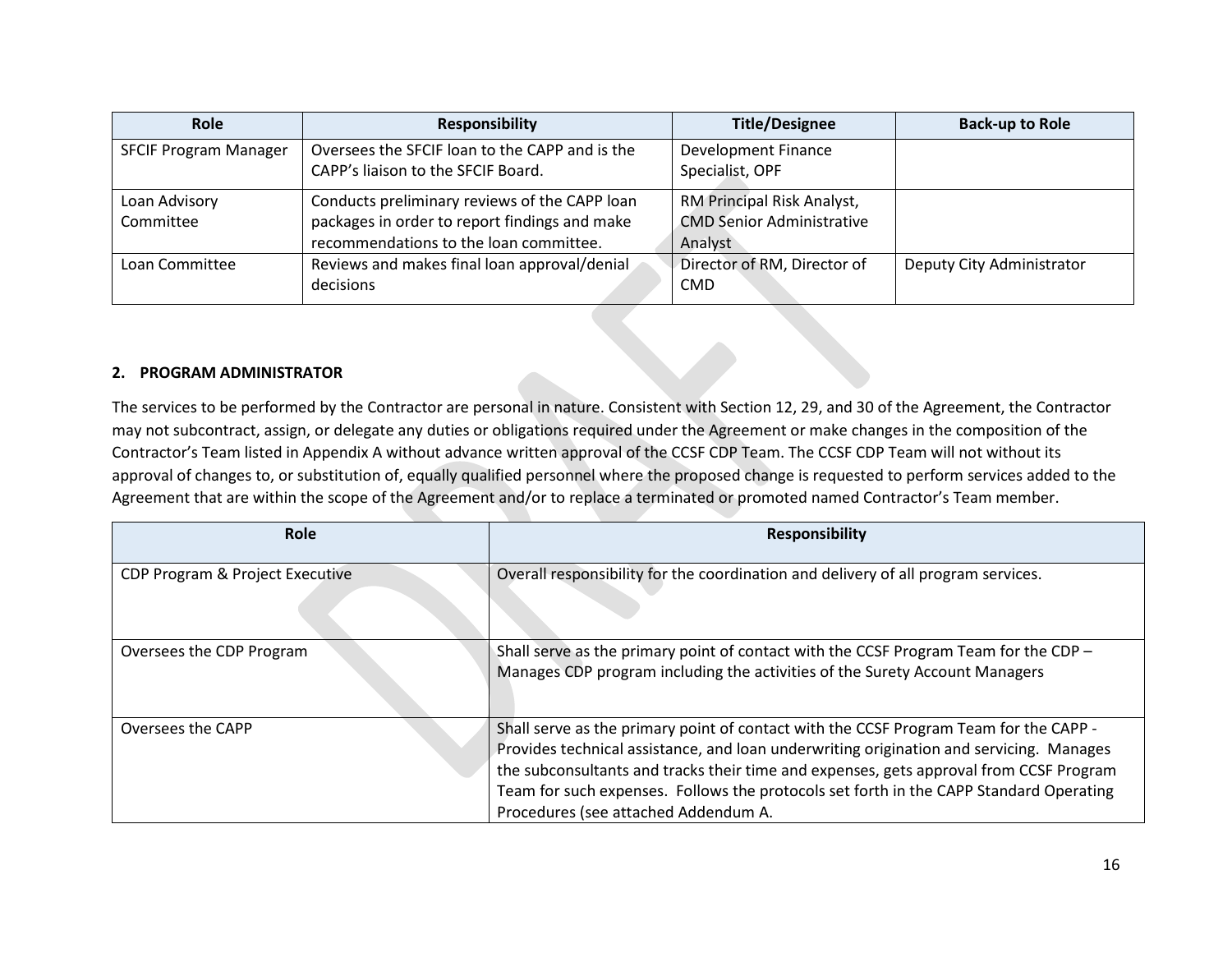| Role                         | <b>Responsibility</b>                                                                                                                    | <b>Title/Designee</b>                                                     | <b>Back-up to Role</b>    |
|------------------------------|------------------------------------------------------------------------------------------------------------------------------------------|---------------------------------------------------------------------------|---------------------------|
| <b>SFCIF Program Manager</b> | Oversees the SFCIF loan to the CAPP and is the<br>CAPP's liaison to the SFCIF Board.                                                     | Development Finance<br>Specialist, OPF                                    |                           |
| Loan Advisory<br>Committee   | Conducts preliminary reviews of the CAPP loan<br>packages in order to report findings and make<br>recommendations to the loan committee. | RM Principal Risk Analyst,<br><b>CMD Senior Administrative</b><br>Analyst |                           |
| Loan Committee               | Reviews and makes final loan approval/denial<br>decisions                                                                                | Director of RM, Director of<br><b>CMD</b>                                 | Deputy City Administrator |

#### **2. PROGRAM ADMINISTRATOR**

The services to be performed by the Contractor are personal in nature. Consistent with Section 12, 29, and 30 of the Agreement, the Contractor may not subcontract, assign, or delegate any duties or obligations required under the Agreement or make changes in the composition of the Contractor's Team listed in Appendix A without advance written approval of the CCSF CDP Team. The CCSF CDP Team will not without its approval of changes to, or substitution of, equally qualified personnel where the proposed change is requested to perform services added to the Agreement that are within the scope of the Agreement and/or to replace a terminated or promoted named Contractor's Team member.

| Role                            | <b>Responsibility</b>                                                                                                                                                                                                                                                                                                                                                                                        |
|---------------------------------|--------------------------------------------------------------------------------------------------------------------------------------------------------------------------------------------------------------------------------------------------------------------------------------------------------------------------------------------------------------------------------------------------------------|
| CDP Program & Project Executive | Overall responsibility for the coordination and delivery of all program services.                                                                                                                                                                                                                                                                                                                            |
| Oversees the CDP Program        | Shall serve as the primary point of contact with the CCSF Program Team for the CDP -<br>Manages CDP program including the activities of the Surety Account Managers                                                                                                                                                                                                                                          |
| Oversees the CAPP               | Shall serve as the primary point of contact with the CCSF Program Team for the CAPP -<br>Provides technical assistance, and loan underwriting origination and servicing. Manages<br>the subconsultants and tracks their time and expenses, gets approval from CCSF Program<br>Team for such expenses. Follows the protocols set forth in the CAPP Standard Operating<br>Procedures (see attached Addendum A. |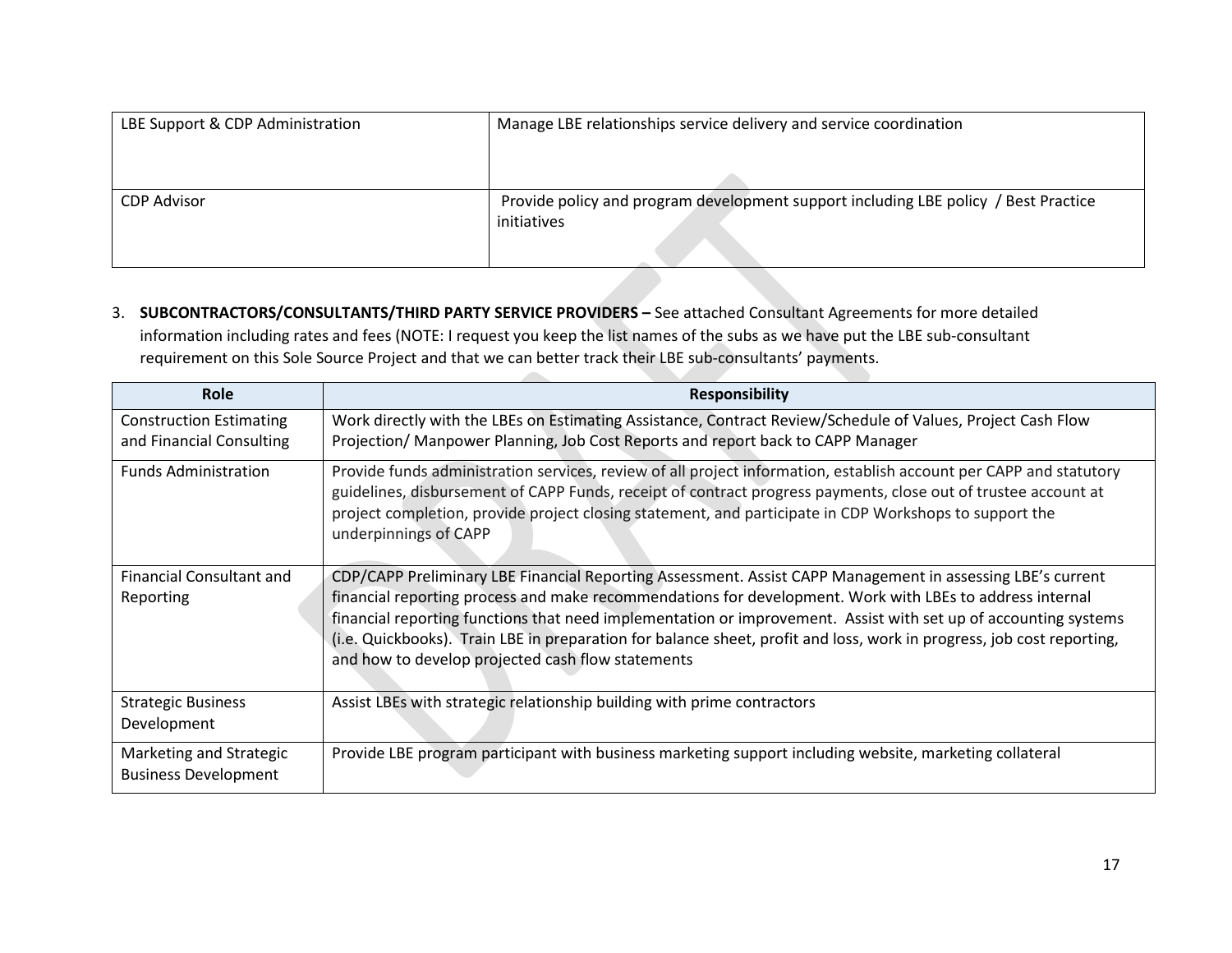| LBE Support & CDP Administration | Manage LBE relationships service delivery and service coordination                                 |  |
|----------------------------------|----------------------------------------------------------------------------------------------------|--|
|                                  |                                                                                                    |  |
|                                  |                                                                                                    |  |
| <b>CDP Advisor</b>               | Provide policy and program development support including LBE policy / Best Practice<br>initiatives |  |
|                                  |                                                                                                    |  |

3. **SUBCONTRACTORS/CONSULTANTS/THIRD PARTY SERVICE PROVIDERS –** See attached Consultant Agreements for more detailed information including rates and fees (NOTE: I request you keep the list names of the subs as we have put the LBE sub-consultant requirement on this Sole Source Project and that we can better track their LBE sub-consultants' payments.

| <b>Role</b>                                                | <b>Responsibility</b>                                                                                                                                                                                                                                                                                                                                                                                                                                                                                                   |
|------------------------------------------------------------|-------------------------------------------------------------------------------------------------------------------------------------------------------------------------------------------------------------------------------------------------------------------------------------------------------------------------------------------------------------------------------------------------------------------------------------------------------------------------------------------------------------------------|
| <b>Construction Estimating</b><br>and Financial Consulting | Work directly with the LBEs on Estimating Assistance, Contract Review/Schedule of Values, Project Cash Flow<br>Projection/ Manpower Planning, Job Cost Reports and report back to CAPP Manager                                                                                                                                                                                                                                                                                                                          |
| <b>Funds Administration</b>                                | Provide funds administration services, review of all project information, establish account per CAPP and statutory<br>guidelines, disbursement of CAPP Funds, receipt of contract progress payments, close out of trustee account at<br>project completion, provide project closing statement, and participate in CDP Workshops to support the<br>underpinnings of CAPP                                                                                                                                                 |
| <b>Financial Consultant and</b><br>Reporting               | CDP/CAPP Preliminary LBE Financial Reporting Assessment. Assist CAPP Management in assessing LBE's current<br>financial reporting process and make recommendations for development. Work with LBEs to address internal<br>financial reporting functions that need implementation or improvement. Assist with set up of accounting systems<br>(i.e. Quickbooks). Train LBE in preparation for balance sheet, profit and loss, work in progress, job cost reporting,<br>and how to develop projected cash flow statements |
| <b>Strategic Business</b><br>Development                   | Assist LBEs with strategic relationship building with prime contractors                                                                                                                                                                                                                                                                                                                                                                                                                                                 |
| Marketing and Strategic<br><b>Business Development</b>     | Provide LBE program participant with business marketing support including website, marketing collateral                                                                                                                                                                                                                                                                                                                                                                                                                 |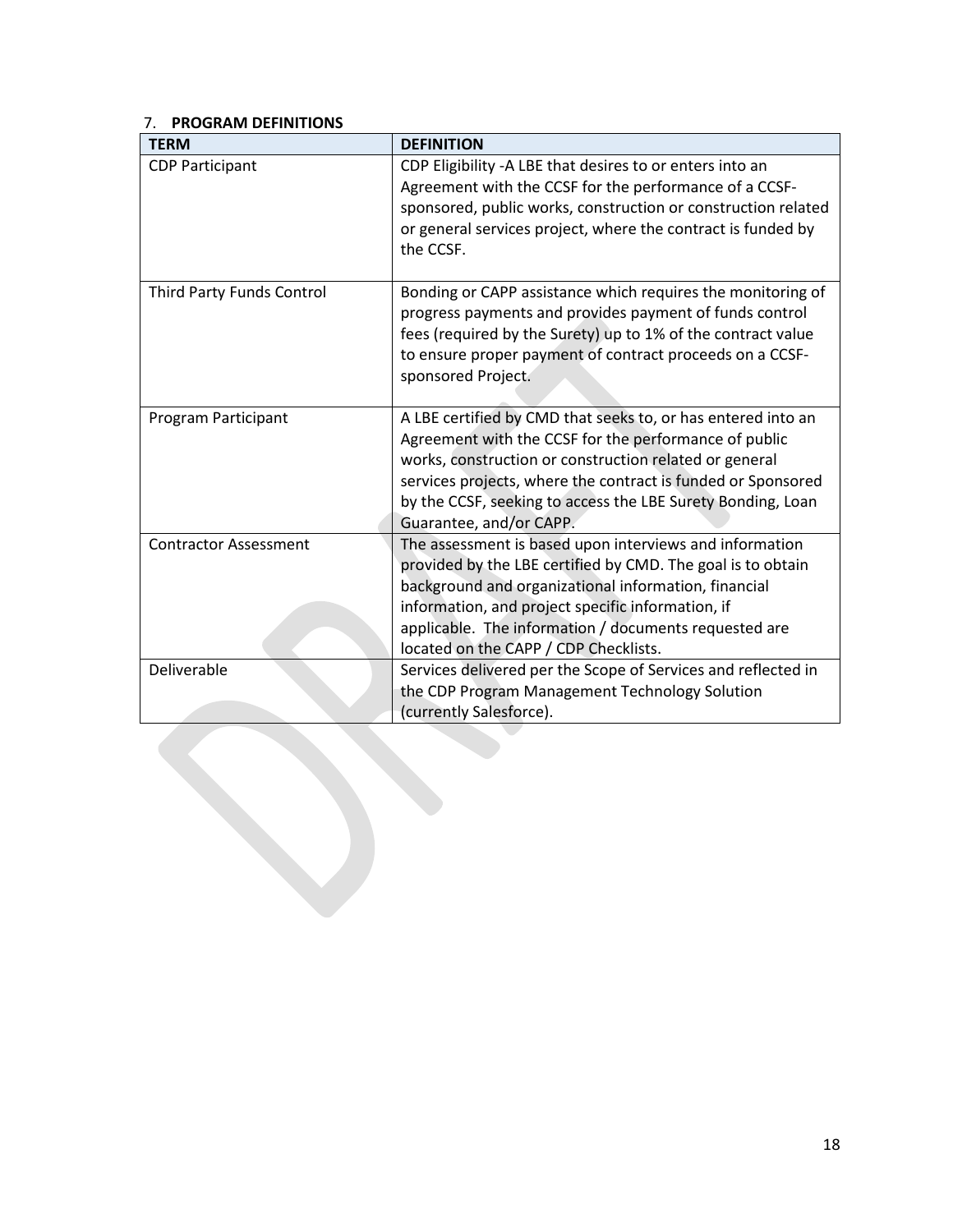### 7. **PROGRAM DEFINITIONS**

| <b>TERM</b>                  | <b>DEFINITION</b>                                                                                                                                                                                                                                                                                                                         |
|------------------------------|-------------------------------------------------------------------------------------------------------------------------------------------------------------------------------------------------------------------------------------------------------------------------------------------------------------------------------------------|
| <b>CDP Participant</b>       | CDP Eligibility -A LBE that desires to or enters into an<br>Agreement with the CCSF for the performance of a CCSF-<br>sponsored, public works, construction or construction related<br>or general services project, where the contract is funded by<br>the CCSF.                                                                          |
| Third Party Funds Control    | Bonding or CAPP assistance which requires the monitoring of<br>progress payments and provides payment of funds control<br>fees (required by the Surety) up to 1% of the contract value<br>to ensure proper payment of contract proceeds on a CCSF-<br>sponsored Project.                                                                  |
| Program Participant          | A LBE certified by CMD that seeks to, or has entered into an<br>Agreement with the CCSF for the performance of public<br>works, construction or construction related or general<br>services projects, where the contract is funded or Sponsored<br>by the CCSF, seeking to access the LBE Surety Bonding, Loan<br>Guarantee, and/or CAPP. |
| <b>Contractor Assessment</b> | The assessment is based upon interviews and information<br>provided by the LBE certified by CMD. The goal is to obtain<br>background and organizational information, financial<br>information, and project specific information, if<br>applicable. The information / documents requested are<br>located on the CAPP / CDP Checklists.     |
| Deliverable                  | Services delivered per the Scope of Services and reflected in<br>the CDP Program Management Technology Solution<br>(currently Salesforce).                                                                                                                                                                                                |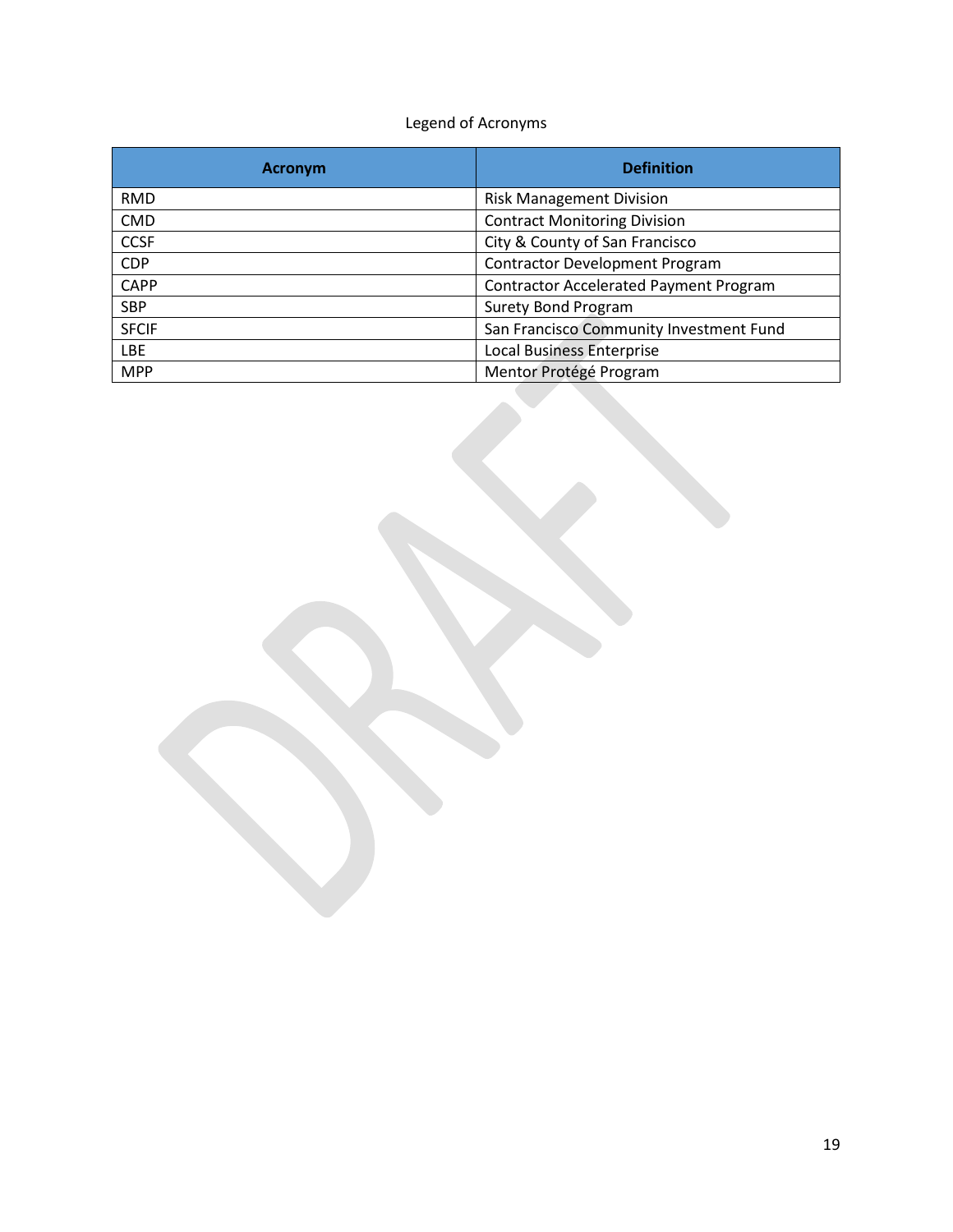## Legend of Acronyms

| <b>Acronym</b> | <b>Definition</b>                             |
|----------------|-----------------------------------------------|
| <b>RMD</b>     | <b>Risk Management Division</b>               |
| <b>CMD</b>     | <b>Contract Monitoring Division</b>           |
| <b>CCSF</b>    | City & County of San Francisco                |
| <b>CDP</b>     | <b>Contractor Development Program</b>         |
| <b>CAPP</b>    | <b>Contractor Accelerated Payment Program</b> |
| <b>SBP</b>     | <b>Surety Bond Program</b>                    |
| <b>SFCIF</b>   | San Francisco Community Investment Fund       |
| LBE            | <b>Local Business Enterprise</b>              |
| <b>MPP</b>     | Mentor Protégé Program                        |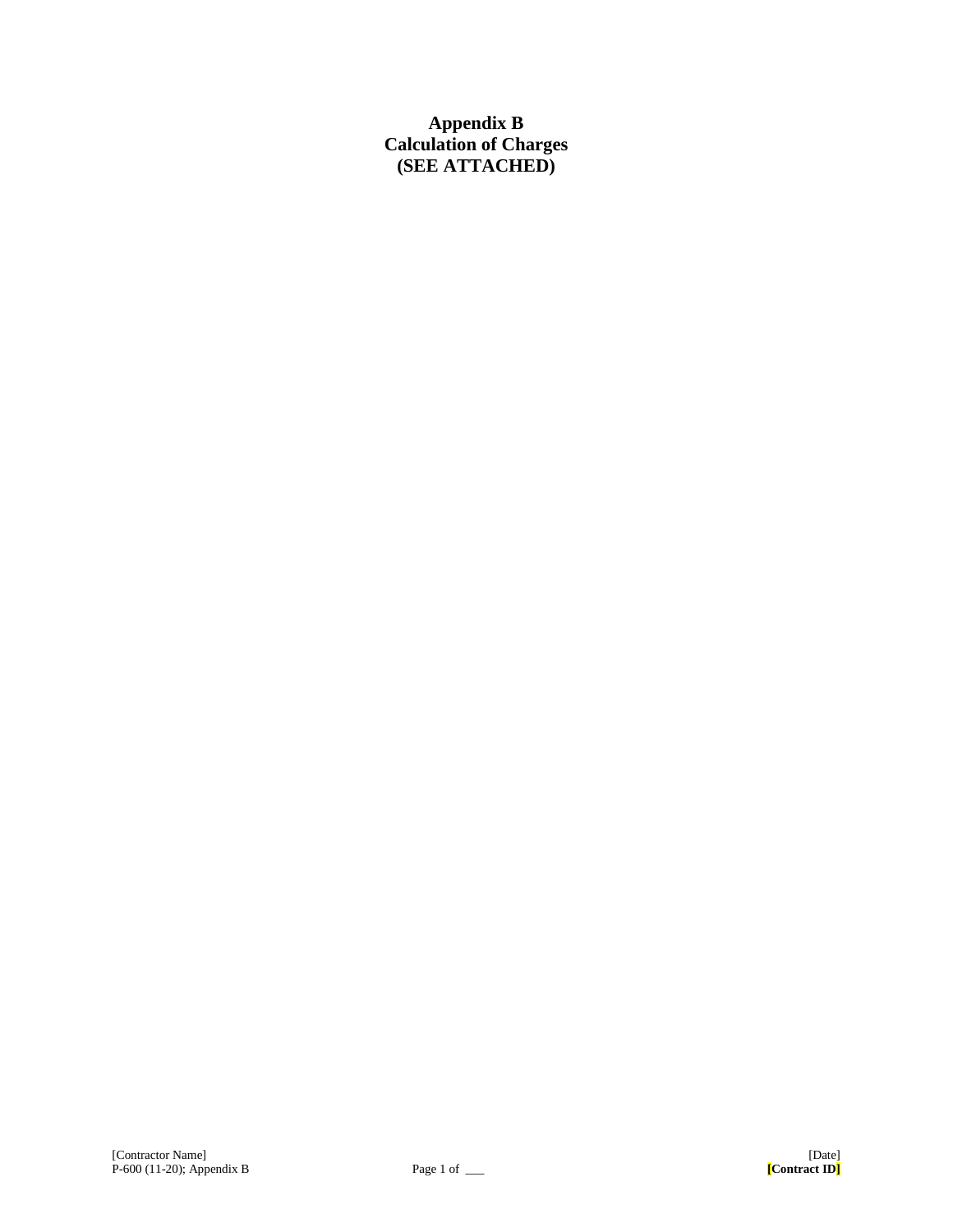## **Appendix B Calculation of Charges (SEE ATTACHED)**

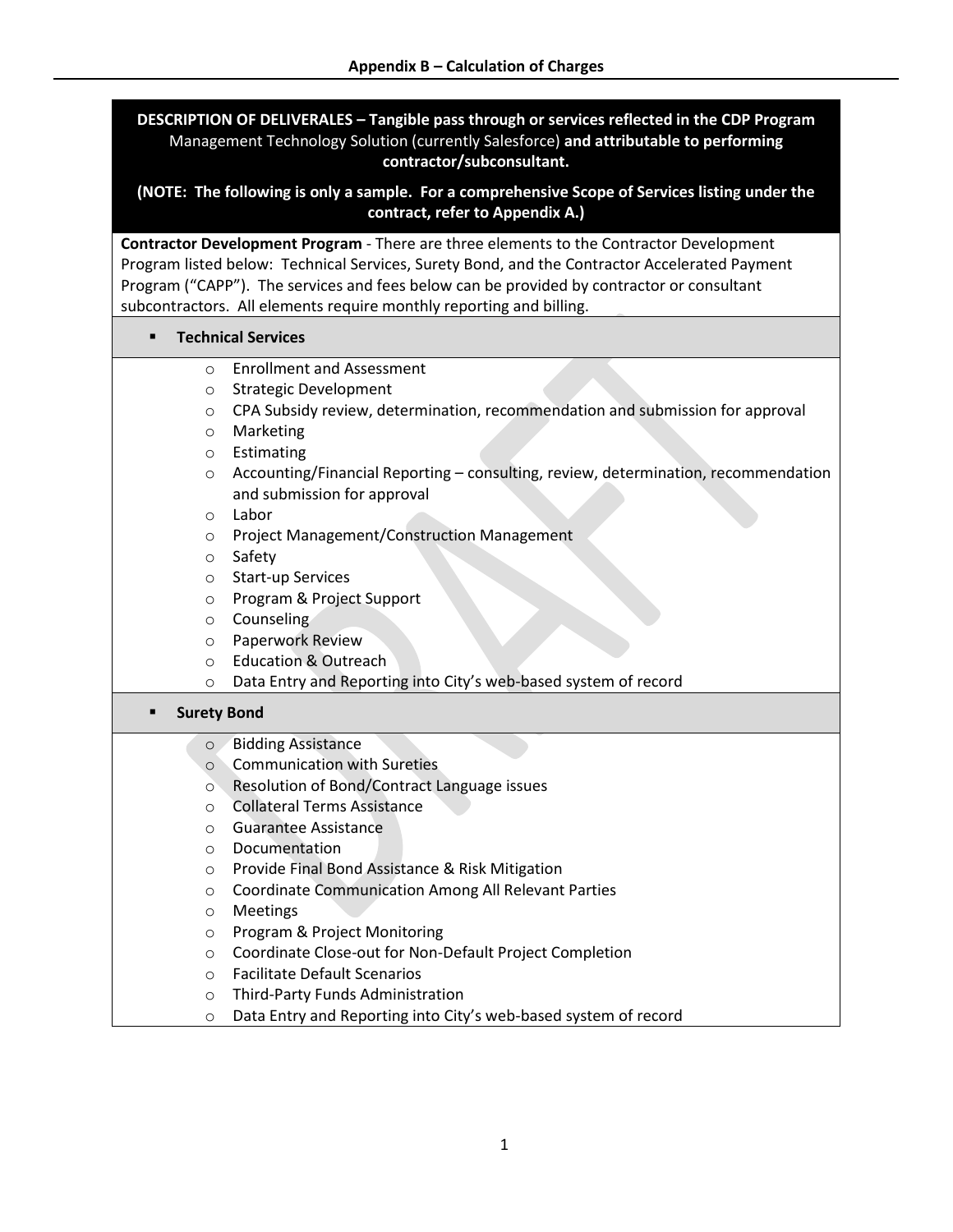**DESCRIPTION OF DELIVERALES – Tangible pass through or services reflected in the CDP Program** Management Technology Solution (currently Salesforce) **and attributable to performing contractor/subconsultant.** 

**(NOTE: The following is only a sample. For a comprehensive Scope of Services listing under the contract, refer to Appendix A.)**

**Contractor Development Program** - There are three elements to the Contractor Development Program listed below: Technical Services, Surety Bond, and the Contractor Accelerated Payment Program ("CAPP"). The services and fees below can be provided by contractor or consultant subcontractors. All elements require monthly reporting and billing.

### ▪ **Technical Services**

- o Enrollment and Assessment
- o Strategic Development
- o CPA Subsidy review, determination, recommendation and submission for approval
- o Marketing
- o Estimating
- $\circ$  Accounting/Financial Reporting consulting, review, determination, recommendation and submission for approval
- o Labor
- o Project Management/Construction Management
- o Safety
- o Start-up Services
- o Program & Project Support
- o Counseling
- o Paperwork Review
- o Education & Outreach
- o Data Entry and Reporting into City's web-based system of record

#### ▪ **Surety Bond**

- o Bidding Assistance
- o Communication with Sureties
- o Resolution of Bond/Contract Language issues
- o Collateral Terms Assistance
- o Guarantee Assistance
- o Documentation
- o Provide Final Bond Assistance & Risk Mitigation
- o Coordinate Communication Among All Relevant Parties
- o Meetings
- o Program & Project Monitoring
- o Coordinate Close-out for Non-Default Project Completion
- o Facilitate Default Scenarios
- o Third-Party Funds Administration
- o Data Entry and Reporting into City's web-based system of record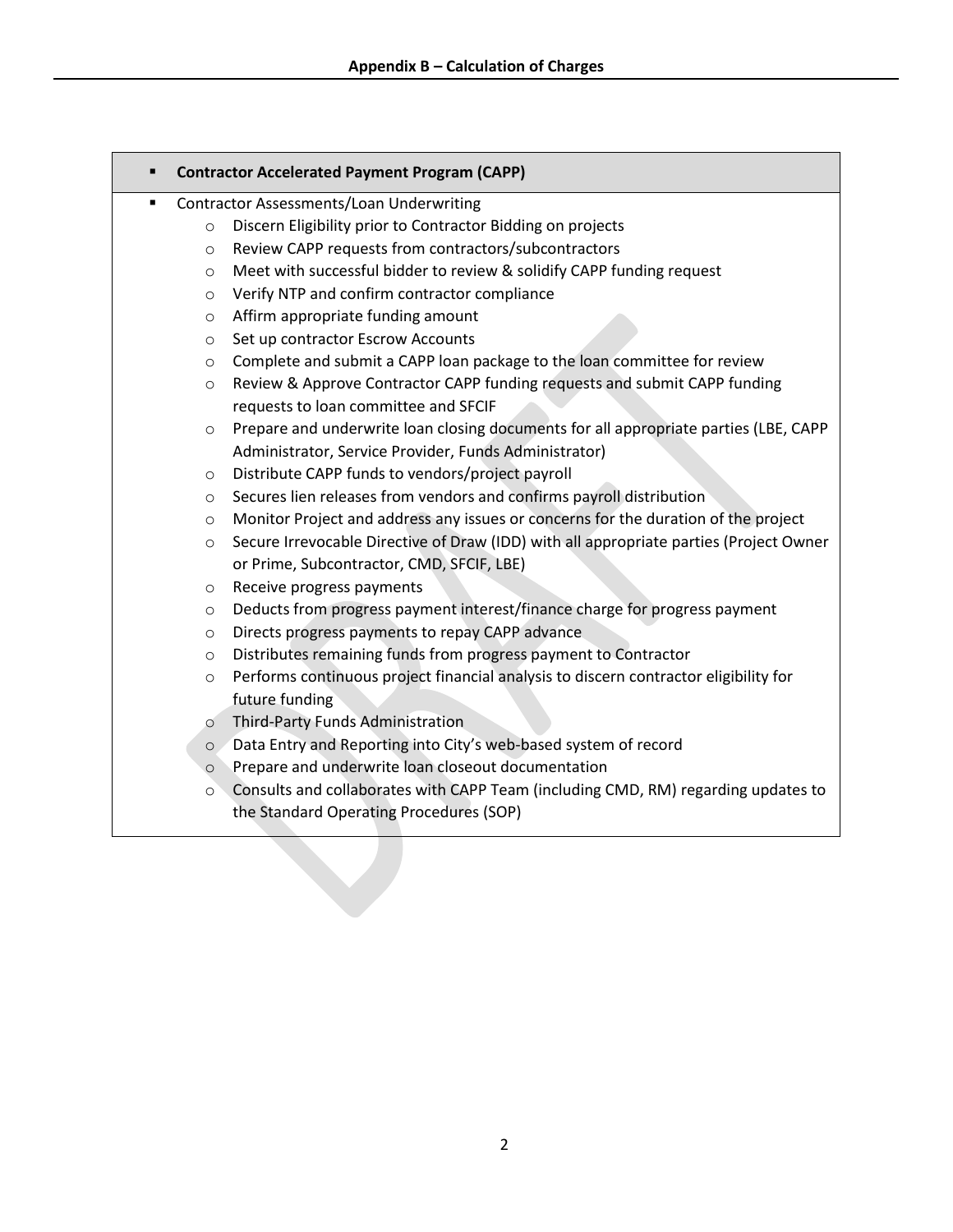### ▪ **Contractor Accelerated Payment Program (CAPP)**

- Contractor Assessments/Loan Underwriting
	- o Discern Eligibility prior to Contractor Bidding on projects
	- o Review CAPP requests from contractors/subcontractors
	- o Meet with successful bidder to review & solidify CAPP funding request
	- o Verify NTP and confirm contractor compliance
	- o Affirm appropriate funding amount
	- o Set up contractor Escrow Accounts
	- $\circ$  Complete and submit a CAPP loan package to the loan committee for review
	- o Review & Approve Contractor CAPP funding requests and submit CAPP funding requests to loan committee and SFCIF
	- o Prepare and underwrite loan closing documents for all appropriate parties (LBE, CAPP Administrator, Service Provider, Funds Administrator)
	- o Distribute CAPP funds to vendors/project payroll
	- o Secures lien releases from vendors and confirms payroll distribution
	- $\circ$  Monitor Project and address any issues or concerns for the duration of the project
	- o Secure Irrevocable Directive of Draw (IDD) with all appropriate parties (Project Owner or Prime, Subcontractor, CMD, SFCIF, LBE)
	- o Receive progress payments
	- o Deducts from progress payment interest/finance charge for progress payment
	- o Directs progress payments to repay CAPP advance
	- o Distributes remaining funds from progress payment to Contractor
	- $\circ$  Performs continuous project financial analysis to discern contractor eligibility for future funding
	- o Third-Party Funds Administration
	- o Data Entry and Reporting into City's web-based system of record
	- o Prepare and underwrite loan closeout documentation
	- o Consults and collaborates with CAPP Team (including CMD, RM) regarding updates to the Standard Operating Procedures (SOP)